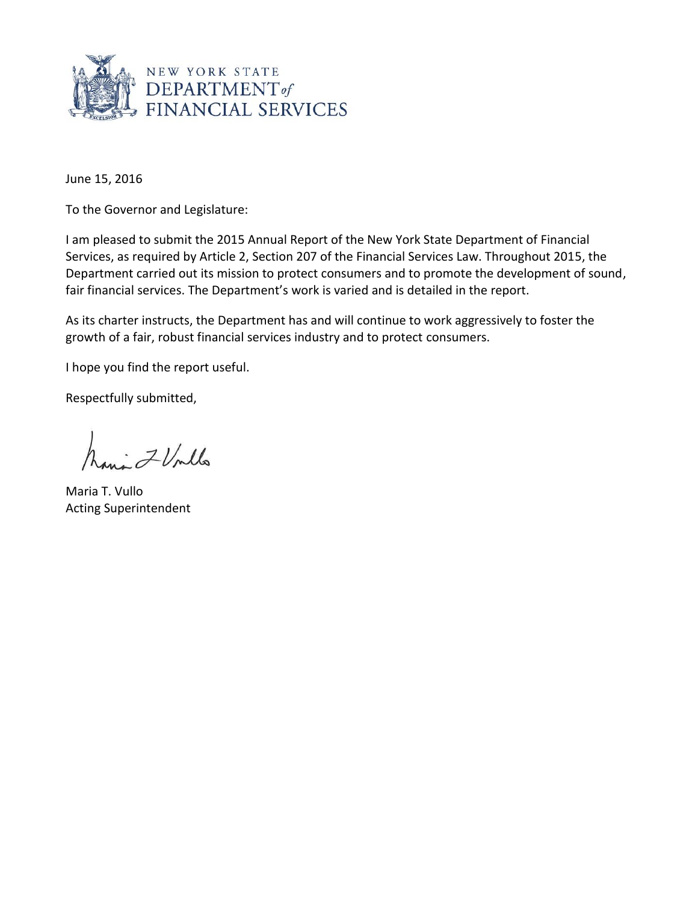

June 15, 2016

To the Governor and Legislature:

I am pleased to submit the 2015 Annual Report of the New York State Department of Financial Services, as required by Article 2, Section 207 of the Financial Services Law. Throughout 2015, the Department carried out its mission to protect consumers and to promote the development of sound, fair financial services. The Department's work is varied and is detailed in the report.

As its charter instructs, the Department has and will continue to work aggressively to foster the growth of a fair, robust financial services industry and to protect consumers.

I hope you find the report useful.

Respectfully submitted,

havi ZVMlo

Maria T. Vullo Acting Superintendent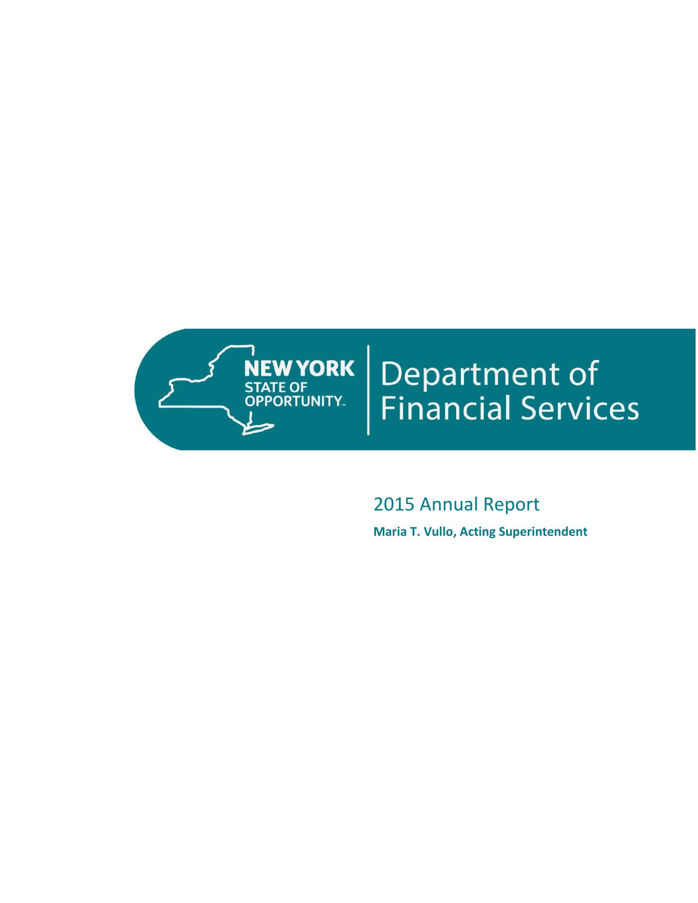

# **Department of<br>Financial Services**

2015 Annual Report **Maria T. Vullo, Acting Superintendent**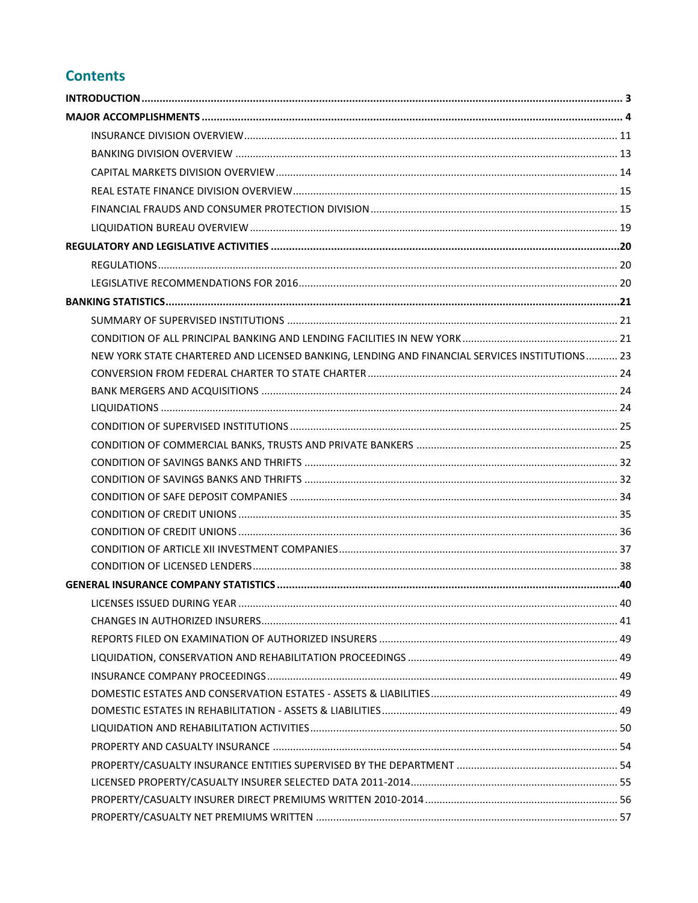# **Contents**

| NEW YORK STATE CHARTERED AND LICENSED BANKING, LENDING AND FINANCIAL SERVICES INSTITUTIONS 23 |  |
|-----------------------------------------------------------------------------------------------|--|
|                                                                                               |  |
|                                                                                               |  |
|                                                                                               |  |
|                                                                                               |  |
|                                                                                               |  |
|                                                                                               |  |
|                                                                                               |  |
|                                                                                               |  |
|                                                                                               |  |
|                                                                                               |  |
|                                                                                               |  |
|                                                                                               |  |
|                                                                                               |  |
| <b>LICENSES ISSUED DURING YEAR</b>                                                            |  |
|                                                                                               |  |
|                                                                                               |  |
|                                                                                               |  |
|                                                                                               |  |
|                                                                                               |  |
|                                                                                               |  |
|                                                                                               |  |
|                                                                                               |  |
|                                                                                               |  |
|                                                                                               |  |
|                                                                                               |  |
|                                                                                               |  |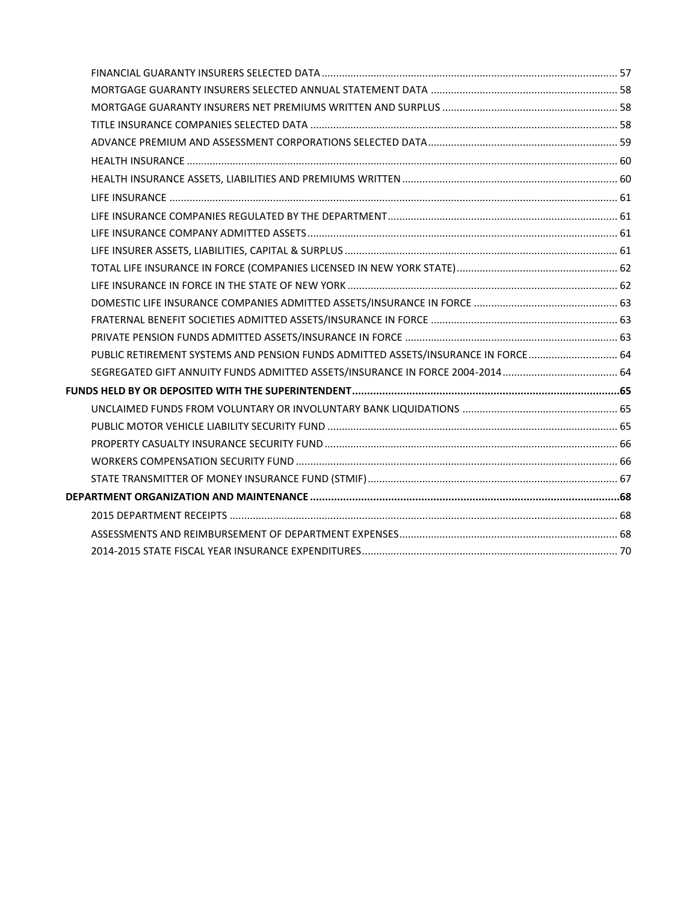| PUBLIC RETIREMENT SYSTEMS AND PENSION FUNDS ADMITTED ASSETS/INSURANCE IN FORCE 64 |  |
|-----------------------------------------------------------------------------------|--|
|                                                                                   |  |
|                                                                                   |  |
|                                                                                   |  |
|                                                                                   |  |
|                                                                                   |  |
|                                                                                   |  |
|                                                                                   |  |
|                                                                                   |  |
|                                                                                   |  |
|                                                                                   |  |
|                                                                                   |  |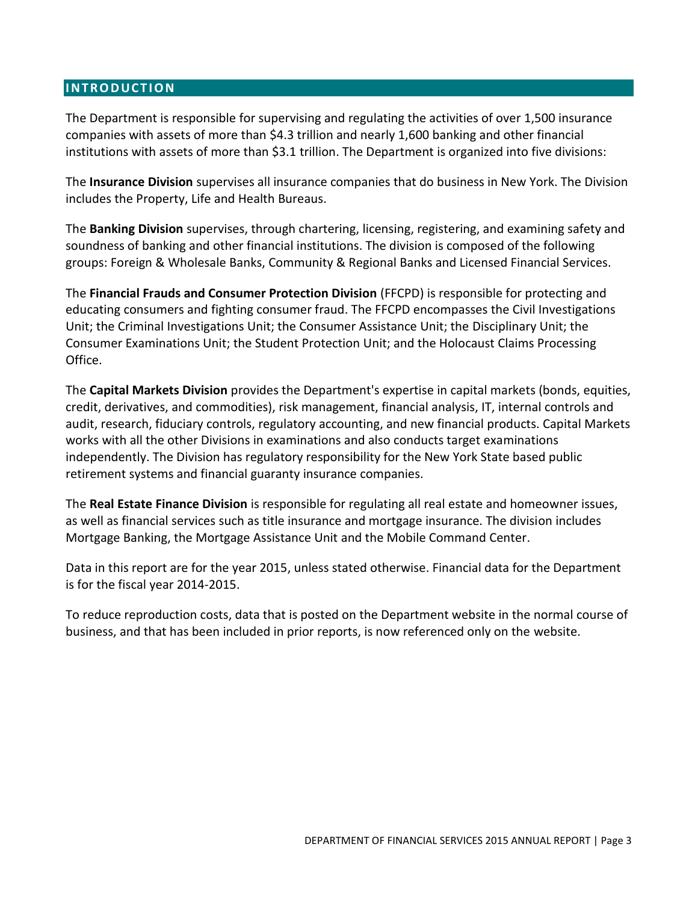## <span id="page-4-0"></span>**I N T R O D U C T I O N**

The Department is responsible for supervising and regulating the activities of over 1,500 insurance companies with assets of more than \$4.3 trillion and nearly 1,600 banking and other financial institutions with assets of more than \$3.1 trillion. The Department is organized into five divisions:

The **Insurance Division** supervises all insurance companies that do business in New York. The Division includes the Property, Life and Health Bureaus.

The **Banking Division** supervises, through chartering, licensing, registering, and examining safety and soundness of banking and other financial institutions. The division is composed of the following groups: Foreign & Wholesale Banks, Community & Regional Banks and Licensed Financial Services.

The **Financial Frauds and Consumer Protection Division** (FFCPD) is responsible for protecting and educating consumers and fighting consumer fraud. The FFCPD encompasses the Civil Investigations Unit; the Criminal Investigations Unit; the Consumer Assistance Unit; the Disciplinary Unit; the Consumer Examinations Unit; the Student Protection Unit; and the Holocaust Claims Processing Office.

The **Capital Markets Division** provides the Department's expertise in capital markets (bonds, equities, credit, derivatives, and commodities), risk management, financial analysis, IT, internal controls and audit, research, fiduciary controls, regulatory accounting, and new financial products. Capital Markets works with all the other Divisions in examinations and also conducts target examinations independently. The Division has regulatory responsibility for the New York State based public retirement systems and financial guaranty insurance companies.

The **Real Estate Finance Division** is responsible for regulating all real estate and homeowner issues, as well as financial services such as title insurance and mortgage insurance. The division includes Mortgage Banking, the Mortgage Assistance Unit and the Mobile Command Center.

Data in this report are for the year 2015, unless stated otherwise. Financial data for the Department is for the fiscal year 2014-2015.

To reduce reproduction costs, data that is posted on the Department website in the normal course of business, and that has been included in prior reports, is now referenced only on the website.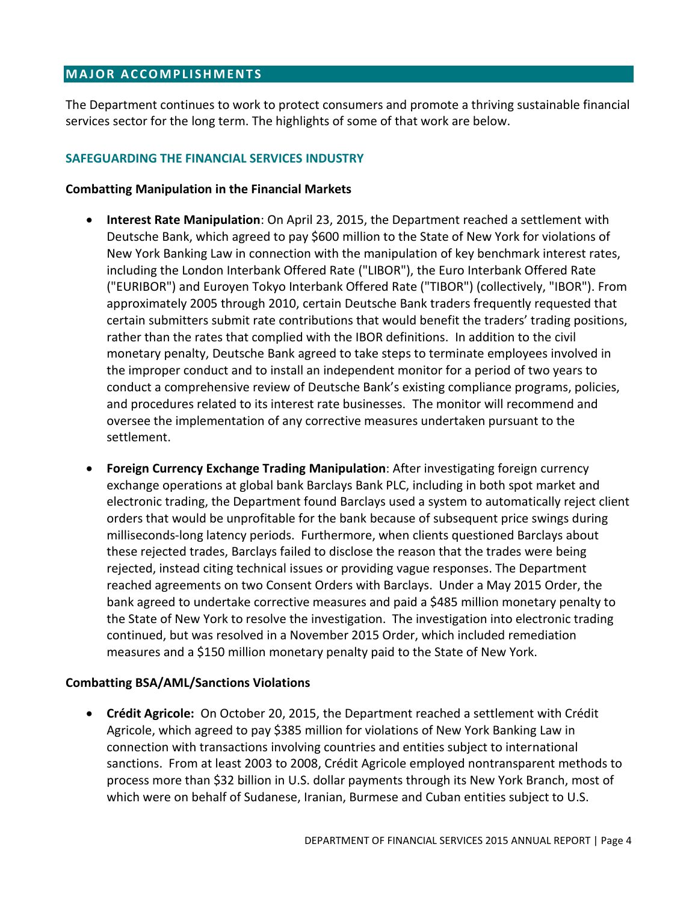# <span id="page-5-0"></span>**MAJOR ACCOMPLISHMENTS**

The Department continues to work to protect consumers and promote a thriving sustainable financial services sector for the long term. The highlights of some of that work are below.

## **SAFEGUARDING THE FINANCIAL SERVICES INDUSTRY**

#### **Combatting Manipulation in the Financial Markets**

- **Interest Rate Manipulation**: On April 23, 2015, the Department reached a settlement with Deutsche Bank, which agreed to pay \$600 million to the State of New York for violations of New York Banking Law in connection with the manipulation of key benchmark interest rates, including the London Interbank Offered Rate ("LIBOR"), the Euro Interbank Offered Rate ("EURIBOR") and Euroyen Tokyo Interbank Offered Rate ("TIBOR") (collectively, "IBOR"). From approximately 2005 through 2010, certain Deutsche Bank traders frequently requested that certain submitters submit rate contributions that would benefit the traders' trading positions, rather than the rates that complied with the IBOR definitions. In addition to the civil monetary penalty, Deutsche Bank agreed to take steps to terminate employees involved in the improper conduct and to install an independent monitor for a period of two years to conduct a comprehensive review of Deutsche Bank's existing compliance programs, policies, and procedures related to its interest rate businesses. The monitor will recommend and oversee the implementation of any corrective measures undertaken pursuant to the settlement.
- **Foreign Currency Exchange Trading Manipulation**: After investigating foreign currency exchange operations at global bank Barclays Bank PLC, including in both spot market and electronic trading, the Department found Barclays used a system to automatically reject client orders that would be unprofitable for the bank because of subsequent price swings during milliseconds-long latency periods. Furthermore, when clients questioned Barclays about these rejected trades, Barclays failed to disclose the reason that the trades were being rejected, instead citing technical issues or providing vague responses. The Department reached agreements on two Consent Orders with Barclays. Under a May 2015 Order, the bank agreed to undertake corrective measures and paid a \$485 million monetary penalty to the State of New York to resolve the investigation. The investigation into electronic trading continued, but was resolved in a November 2015 Order, which included remediation measures and a \$150 million monetary penalty paid to the State of New York.

## **Combatting BSA/AML/Sanctions Violations**

 **Crédit Agricole:** On October 20, 2015, the Department reached a settlement with Crédit Agricole, which agreed to pay \$385 million for violations of New York Banking Law in connection with transactions involving countries and entities subject to international sanctions. From at least 2003 to 2008, Crédit Agricole employed nontransparent methods to process more than \$32 billion in U.S. dollar payments through its New York Branch, most of which were on behalf of Sudanese, Iranian, Burmese and Cuban entities subject to U.S.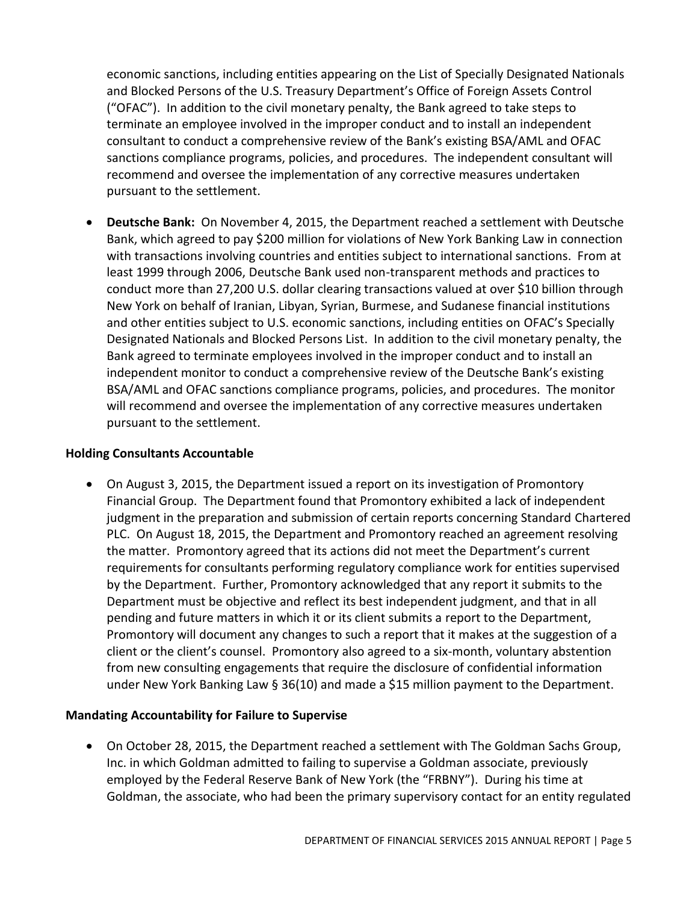economic sanctions, including entities appearing on the List of Specially Designated Nationals and Blocked Persons of the U.S. Treasury Department's Office of Foreign Assets Control ("OFAC"). In addition to the civil monetary penalty, the Bank agreed to take steps to terminate an employee involved in the improper conduct and to install an independent consultant to conduct a comprehensive review of the Bank's existing BSA/AML and OFAC sanctions compliance programs, policies, and procedures. The independent consultant will recommend and oversee the implementation of any corrective measures undertaken pursuant to the settlement.

 **Deutsche Bank:** On November 4, 2015, the Department reached a settlement with Deutsche Bank, which agreed to pay \$200 million for violations of New York Banking Law in connection with transactions involving countries and entities subject to international sanctions. From at least 1999 through 2006, Deutsche Bank used non-transparent methods and practices to conduct more than 27,200 U.S. dollar clearing transactions valued at over \$10 billion through New York on behalf of Iranian, Libyan, Syrian, Burmese, and Sudanese financial institutions and other entities subject to U.S. economic sanctions, including entities on OFAC's Specially Designated Nationals and Blocked Persons List. In addition to the civil monetary penalty, the Bank agreed to terminate employees involved in the improper conduct and to install an independent monitor to conduct a comprehensive review of the Deutsche Bank's existing BSA/AML and OFAC sanctions compliance programs, policies, and procedures. The monitor will recommend and oversee the implementation of any corrective measures undertaken pursuant to the settlement.

## **Holding Consultants Accountable**

 On August 3, 2015, the Department issued a report on its investigation of Promontory Financial Group. The Department found that Promontory exhibited a lack of independent judgment in the preparation and submission of certain reports concerning Standard Chartered PLC. On August 18, 2015, the Department and Promontory reached an agreement resolving the matter. Promontory agreed that its actions did not meet the Department's current requirements for consultants performing regulatory compliance work for entities supervised by the Department. Further, Promontory acknowledged that any report it submits to the Department must be objective and reflect its best independent judgment, and that in all pending and future matters in which it or its client submits a report to the Department, Promontory will document any changes to such a report that it makes at the suggestion of a client or the client's counsel. Promontory also agreed to a six-month, voluntary abstention from new consulting engagements that require the disclosure of confidential information under New York Banking Law § 36(10) and made a \$15 million payment to the Department.

# **Mandating Accountability for Failure to Supervise**

 On October 28, 2015, the Department reached a settlement with The Goldman Sachs Group, Inc. in which Goldman admitted to failing to supervise a Goldman associate, previously employed by the Federal Reserve Bank of New York (the "FRBNY"). During his time at Goldman, the associate, who had been the primary supervisory contact for an entity regulated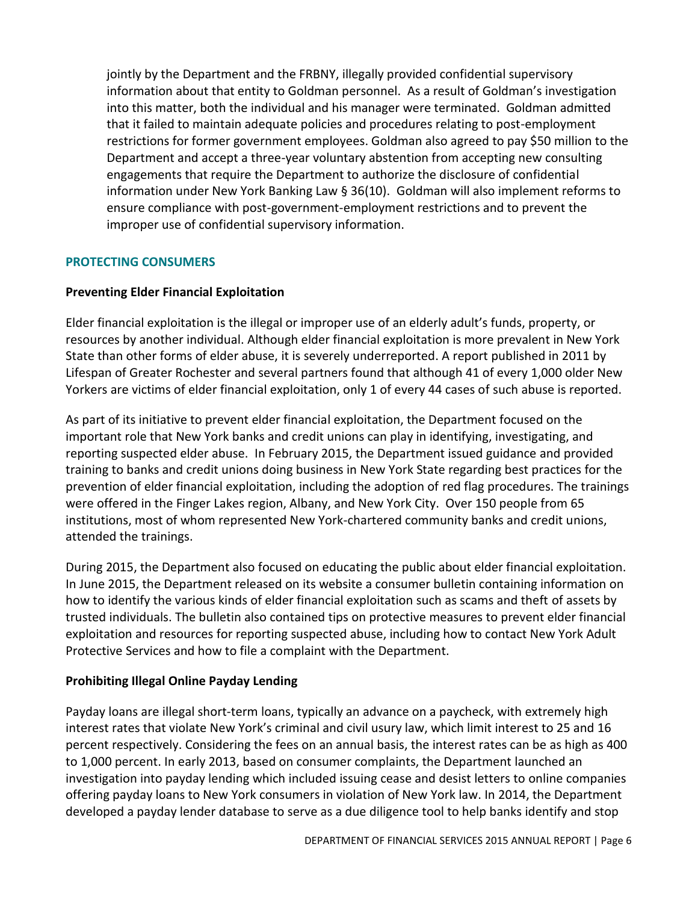jointly by the Department and the FRBNY, illegally provided confidential supervisory information about that entity to Goldman personnel. As a result of Goldman's investigation into this matter, both the individual and his manager were terminated. Goldman admitted that it failed to maintain adequate policies and procedures relating to post-employment restrictions for former government employees. Goldman also agreed to pay \$50 million to the Department and accept a three-year voluntary abstention from accepting new consulting engagements that require the Department to authorize the disclosure of confidential information under New York Banking Law § 36(10). Goldman will also implement reforms to ensure compliance with post-government-employment restrictions and to prevent the improper use of confidential supervisory information.

## **PROTECTING CONSUMERS**

## **Preventing Elder Financial Exploitation**

Elder financial exploitation is the illegal or improper use of an elderly adult's funds, property, or resources by another individual. Although elder financial exploitation is more prevalent in New York State than other forms of elder abuse, it is severely underreported. A report published in 2011 by Lifespan of Greater Rochester and several partners found that although 41 of every 1,000 older New Yorkers are victims of elder financial exploitation, only 1 of every 44 cases of such abuse is reported.

As part of its initiative to prevent elder financial exploitation, the Department focused on the important role that New York banks and credit unions can play in identifying, investigating, and reporting suspected elder abuse. In February 2015, the Department issued guidance and provided training to banks and credit unions doing business in New York State regarding best practices for the prevention of elder financial exploitation, including the adoption of red flag procedures. The trainings were offered in the Finger Lakes region, Albany, and New York City. Over 150 people from 65 institutions, most of whom represented New York-chartered community banks and credit unions, attended the trainings.

During 2015, the Department also focused on educating the public about elder financial exploitation. In June 2015, the Department released on its website a consumer bulletin containing information on how to identify the various kinds of elder financial exploitation such as scams and theft of assets by trusted individuals. The bulletin also contained tips on protective measures to prevent elder financial exploitation and resources for reporting suspected abuse, including how to contact New York Adult Protective Services and how to file a complaint with the Department.

# **Prohibiting Illegal Online Payday Lending**

Payday loans are illegal short-term loans, typically an advance on a paycheck, with extremely high interest rates that violate New York's criminal and civil usury law, which limit interest to 25 and 16 percent respectively. Considering the fees on an annual basis, the interest rates can be as high as 400 to 1,000 percent. In early 2013, based on consumer complaints, the Department launched an investigation into payday lending which included issuing cease and desist letters to online companies offering payday loans to New York consumers in violation of New York law. In 2014, the Department developed a payday lender database to serve as a due diligence tool to help banks identify and stop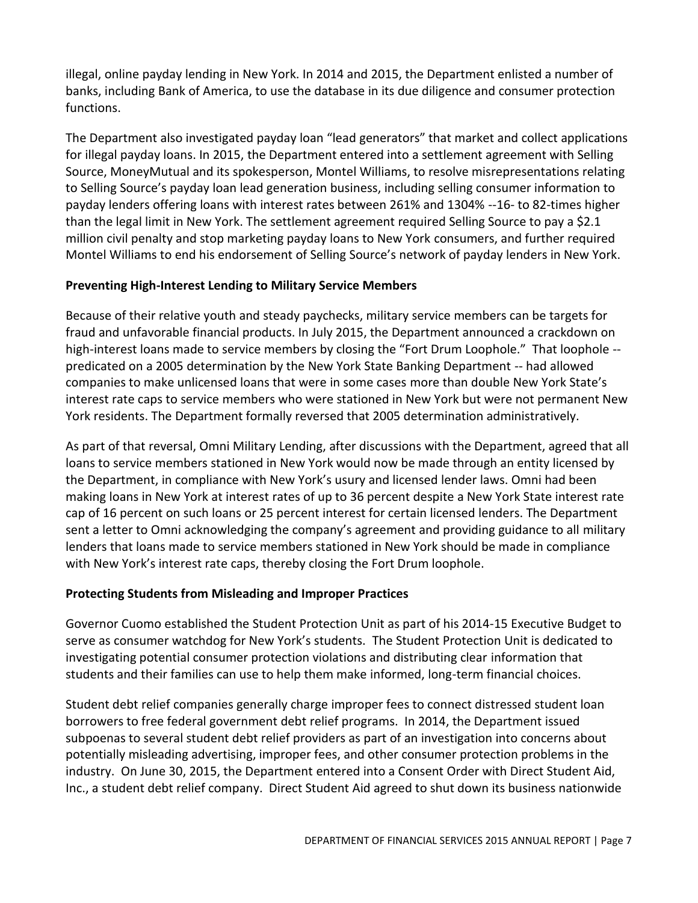illegal, online payday lending in New York. In 2014 and 2015, the Department enlisted a number of banks, including Bank of America, to use the database in its due diligence and consumer protection functions.

The Department also investigated payday loan "lead generators" that market and collect applications for illegal payday loans. In 2015, the Department entered into a settlement agreement with Selling Source, MoneyMutual and its spokesperson, Montel Williams, to resolve misrepresentations relating to Selling Source's payday loan lead generation business, including selling consumer information to payday lenders offering loans with interest rates between 261% and 1304% --16- to 82-times higher than the legal limit in New York. The settlement agreement required Selling Source to pay a \$2.1 million civil penalty and stop marketing payday loans to New York consumers, and further required Montel Williams to end his endorsement of Selling Source's network of payday lenders in New York.

# **Preventing High-Interest Lending to Military Service Members**

Because of their relative youth and steady paychecks, military service members can be targets for fraud and unfavorable financial products. In July 2015, the Department announced a crackdown on high-interest loans made to service members by closing the "Fort Drum Loophole." That loophole - predicated on a 2005 determination by the New York State Banking Department -- had allowed companies to make unlicensed loans that were in some cases more than double New York State's interest rate caps to service members who were stationed in New York but were not permanent New York residents. The Department formally reversed that 2005 determination administratively.

As part of that reversal, Omni Military Lending, after discussions with the Department, agreed that all loans to service members stationed in New York would now be made through an entity licensed by the Department, in compliance with New York's usury and licensed lender laws. Omni had been making loans in New York at interest rates of up to 36 percent despite a New York State interest rate cap of 16 percent on such loans or 25 percent interest for certain licensed lenders. The Department sent a letter to Omni acknowledging the company's agreement and providing guidance to all military lenders that loans made to service members stationed in New York should be made in compliance with New York's interest rate caps, thereby closing the Fort Drum loophole.

# **Protecting Students from Misleading and Improper Practices**

Governor Cuomo established the Student Protection Unit as part of his 2014-15 Executive Budget to serve as consumer watchdog for New York's students. The Student Protection Unit is dedicated to investigating potential consumer protection violations and distributing clear information that students and their families can use to help them make informed, long-term financial choices.

Student debt relief companies generally charge improper fees to connect distressed student loan borrowers to free federal government debt relief programs. In 2014, the Department issued subpoenas to several student debt relief providers as part of an investigation into concerns about potentially misleading advertising, improper fees, and other consumer protection problems in the industry. On June 30, 2015, the Department entered into a Consent Order with Direct Student Aid, Inc., a student debt relief company. Direct Student Aid agreed to shut down its business nationwide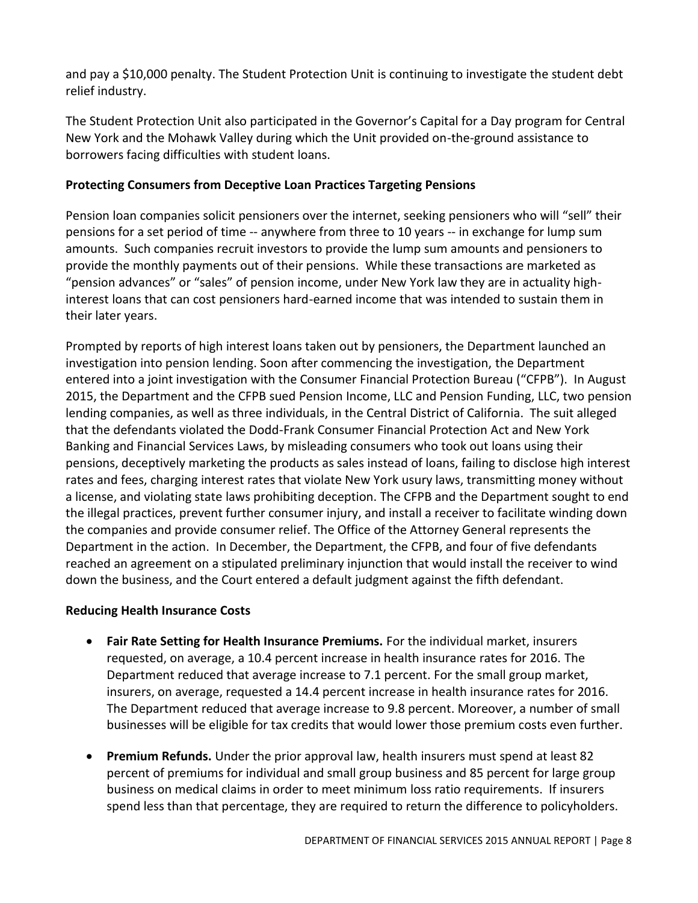and pay a \$10,000 penalty. The Student Protection Unit is continuing to investigate the student debt relief industry.

The Student Protection Unit also participated in the Governor's Capital for a Day program for Central New York and the Mohawk Valley during which the Unit provided on-the-ground assistance to borrowers facing difficulties with student loans.

# **Protecting Consumers from Deceptive Loan Practices Targeting Pensions**

Pension loan companies solicit pensioners over the internet, seeking pensioners who will "sell" their pensions for a set period of time -- anywhere from three to 10 years -- in exchange for lump sum amounts. Such companies recruit investors to provide the lump sum amounts and pensioners to provide the monthly payments out of their pensions. While these transactions are marketed as "pension advances" or "sales" of pension income, under New York law they are in actuality highinterest loans that can cost pensioners hard-earned income that was intended to sustain them in their later years.

Prompted by reports of high interest loans taken out by pensioners, the Department launched an investigation into pension lending. Soon after commencing the investigation, the Department entered into a joint investigation with the Consumer Financial Protection Bureau ("CFPB"). In August 2015, the Department and the CFPB sued Pension Income, LLC and Pension Funding, LLC, two pension lending companies, as well as three individuals, in the Central District of California. The suit alleged that the defendants violated the Dodd-Frank Consumer Financial Protection Act and New York Banking and Financial Services Laws, by misleading consumers who took out loans using their pensions, deceptively marketing the products as sales instead of loans, failing to disclose high interest rates and fees, charging interest rates that violate New York usury laws, transmitting money without a license, and violating state laws prohibiting deception. The CFPB and the Department sought to end the illegal practices, prevent further consumer injury, and install a receiver to facilitate winding down the companies and provide consumer relief. The Office of the Attorney General represents the Department in the action. In December, the Department, the CFPB, and four of five defendants reached an agreement on a stipulated preliminary injunction that would install the receiver to wind down the business, and the Court entered a default judgment against the fifth defendant.

# **Reducing Health Insurance Costs**

- **Fair Rate Setting for Health Insurance Premiums.** For the individual market, insurers requested, on average, a 10.4 percent increase in health insurance rates for 2016. The Department reduced that average increase to 7.1 percent. For the small group market, insurers, on average, requested a 14.4 percent increase in health insurance rates for 2016. The Department reduced that average increase to 9.8 percent. Moreover, a number of small businesses will be eligible for tax credits that would lower those premium costs even further.
- **Premium Refunds.** Under the prior approval law, health insurers must spend at least 82 percent of premiums for individual and small group business and 85 percent for large group business on medical claims in order to meet minimum loss ratio requirements. If insurers spend less than that percentage, they are required to return the difference to policyholders.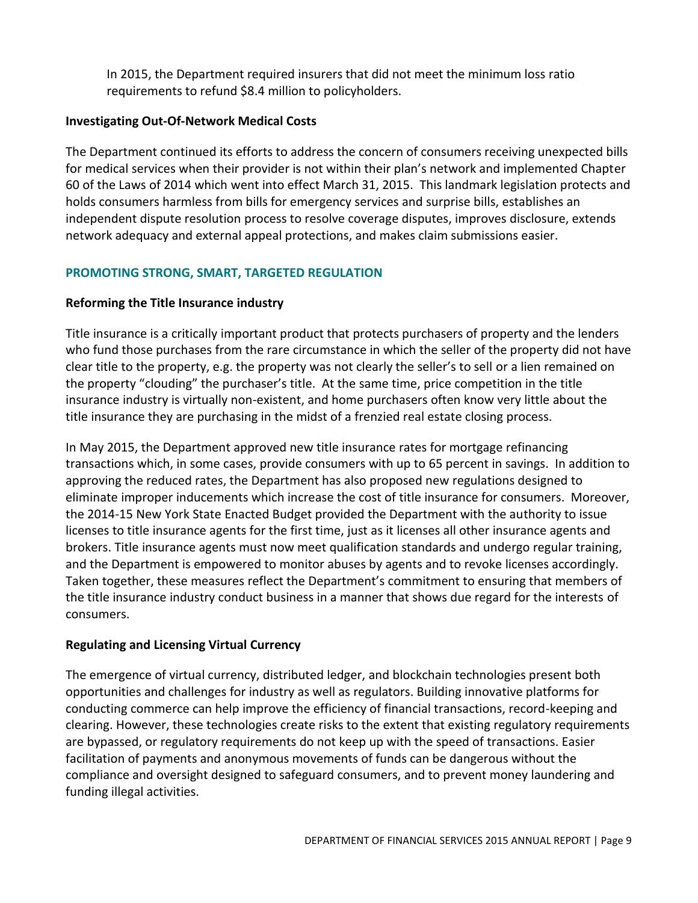In 2015, the Department required insurers that did not meet the minimum loss ratio requirements to refund \$8.4 million to policyholders.

## **Investigating Out-Of-Network Medical Costs**

The Department continued its efforts to address the concern of consumers receiving unexpected bills for medical services when their provider is not within their plan's network and implemented Chapter 60 of the Laws of 2014 which went into effect March 31, 2015. This landmark legislation protects and holds consumers harmless from bills for emergency services and surprise bills, establishes an independent dispute resolution process to resolve coverage disputes, improves disclosure, extends network adequacy and external appeal protections, and makes claim submissions easier.

# **PROMOTING STRONG, SMART, TARGETED REGULATION**

# **Reforming the Title Insurance industry**

Title insurance is a critically important product that protects purchasers of property and the lenders who fund those purchases from the rare circumstance in which the seller of the property did not have clear title to the property, e.g. the property was not clearly the seller's to sell or a lien remained on the property "clouding" the purchaser's title. At the same time, price competition in the title insurance industry is virtually non-existent, and home purchasers often know very little about the title insurance they are purchasing in the midst of a frenzied real estate closing process.

In May 2015, the Department approved new title insurance rates for mortgage refinancing transactions which, in some cases, provide consumers with up to 65 percent in savings. In addition to approving the reduced rates, the Department has also proposed new regulations designed to eliminate improper inducements which increase the cost of title insurance for consumers. Moreover, the 2014-15 New York State Enacted Budget provided the Department with the authority to issue licenses to title insurance agents for the first time, just as it licenses all other insurance agents and brokers. Title insurance agents must now meet qualification standards and undergo regular training, and the Department is empowered to monitor abuses by agents and to revoke licenses accordingly. Taken together, these measures reflect the Department's commitment to ensuring that members of the title insurance industry conduct business in a manner that shows due regard for the interests of consumers.

# **Regulating and Licensing Virtual Currency**

The emergence of virtual currency, distributed ledger, and blockchain technologies present both opportunities and challenges for industry as well as regulators. Building innovative platforms for conducting commerce can help improve the efficiency of financial transactions, record-keeping and clearing. However, these technologies create risks to the extent that existing regulatory requirements are bypassed, or regulatory requirements do not keep up with the speed of transactions. Easier facilitation of payments and anonymous movements of funds can be dangerous without the compliance and oversight designed to safeguard consumers, and to prevent money laundering and funding illegal activities.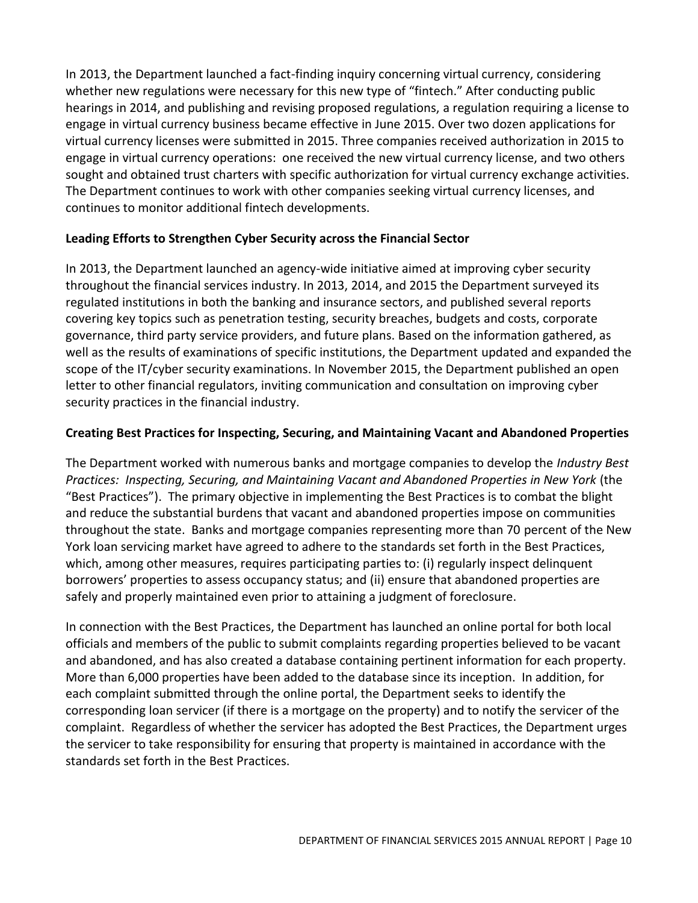In 2013, the Department launched a fact-finding inquiry concerning virtual currency, considering whether new regulations were necessary for this new type of "fintech." After conducting public hearings in 2014, and publishing and revising proposed regulations, a regulation requiring a license to engage in virtual currency business became effective in June 2015. Over two dozen applications for virtual currency licenses were submitted in 2015. Three companies received authorization in 2015 to engage in virtual currency operations: one received the new virtual currency license, and two others sought and obtained trust charters with specific authorization for virtual currency exchange activities. The Department continues to work with other companies seeking virtual currency licenses, and continues to monitor additional fintech developments.

# **Leading Efforts to Strengthen Cyber Security across the Financial Sector**

In 2013, the Department launched an agency-wide initiative aimed at improving cyber security throughout the financial services industry. In 2013, 2014, and 2015 the Department surveyed its regulated institutions in both the banking and insurance sectors, and published several reports covering key topics such as penetration testing, security breaches, budgets and costs, corporate governance, third party service providers, and future plans. Based on the information gathered, as well as the results of examinations of specific institutions, the Department updated and expanded the scope of the IT/cyber security examinations. In November 2015, the Department published an open letter to other financial regulators, inviting communication and consultation on improving cyber security practices in the financial industry.

# **Creating Best Practices for Inspecting, Securing, and Maintaining Vacant and Abandoned Properties**

The Department worked with numerous banks and mortgage companies to develop the *Industry Best Practices: Inspecting, Securing, and Maintaining Vacant and Abandoned Properties in New York* (the "Best Practices"). The primary objective in implementing the Best Practices is to combat the blight and reduce the substantial burdens that vacant and abandoned properties impose on communities throughout the state. Banks and mortgage companies representing more than 70 percent of the New York loan servicing market have agreed to adhere to the standards set forth in the Best Practices, which, among other measures, requires participating parties to: (i) regularly inspect delinquent borrowers' properties to assess occupancy status; and (ii) ensure that abandoned properties are safely and properly maintained even prior to attaining a judgment of foreclosure.

In connection with the Best Practices, the Department has launched an online portal for both local officials and members of the public to submit complaints regarding properties believed to be vacant and abandoned, and has also created a database containing pertinent information for each property. More than 6,000 properties have been added to the database since its inception. In addition, for each complaint submitted through the online portal, the Department seeks to identify the corresponding loan servicer (if there is a mortgage on the property) and to notify the servicer of the complaint. Regardless of whether the servicer has adopted the Best Practices, the Department urges the servicer to take responsibility for ensuring that property is maintained in accordance with the standards set forth in the Best Practices.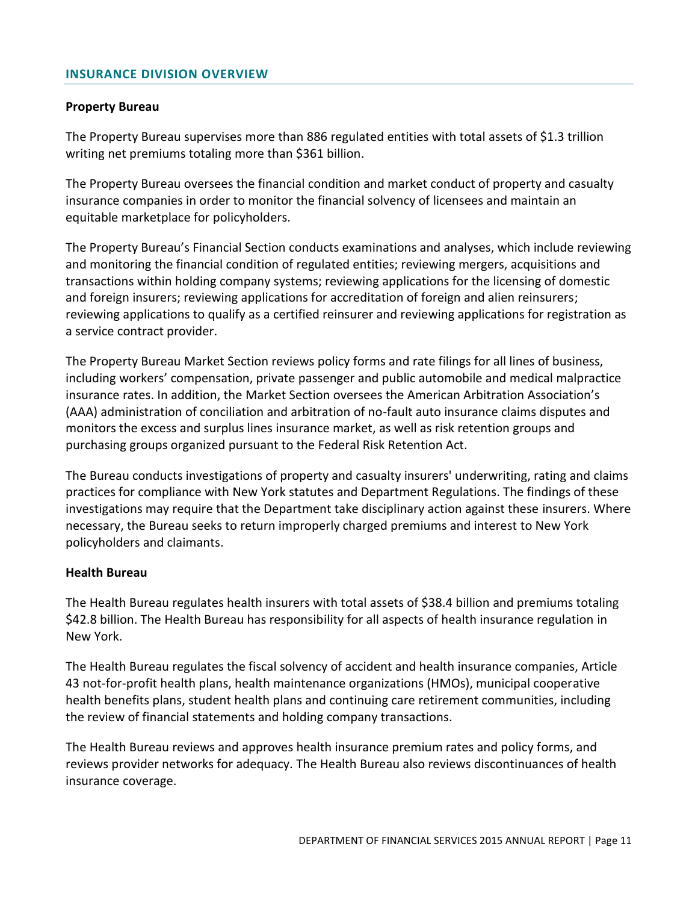#### <span id="page-12-0"></span>**INSURANCE DIVISION OVERVIEW**

#### **Property Bureau**

The Property Bureau supervises more than 886 regulated entities with total assets of \$1.3 trillion writing net premiums totaling more than \$361 billion.

The Property Bureau oversees the financial condition and market conduct of property and casualty insurance companies in order to monitor the financial solvency of licensees and maintain an equitable marketplace for policyholders.

The Property Bureau's Financial Section conducts examinations and analyses, which include reviewing and monitoring the financial condition of regulated entities; reviewing mergers, acquisitions and transactions within holding company systems; reviewing applications for the licensing of domestic and foreign insurers; reviewing applications for accreditation of foreign and alien reinsurers; reviewing applications to qualify as a certified reinsurer and reviewing applications for registration as a service contract provider.

The Property Bureau Market Section reviews policy forms and rate filings for all lines of business, including workers' compensation, private passenger and public automobile and medical malpractice insurance rates. In addition, the Market Section oversees the American Arbitration Association's (AAA) administration of conciliation and arbitration of no-fault auto insurance claims disputes and monitors the excess and surplus lines insurance market, as well as risk retention groups and purchasing groups organized pursuant to the Federal Risk Retention Act.

The Bureau conducts investigations of property and casualty insurers' underwriting, rating and claims practices for compliance with New York statutes and Department Regulations. The findings of these investigations may require that the Department take disciplinary action against these insurers. Where necessary, the Bureau seeks to return improperly charged premiums and interest to New York policyholders and claimants.

#### **Health Bureau**

The Health Bureau regulates health insurers with total assets of \$38.4 billion and premiums totaling \$42.8 billion. The Health Bureau has responsibility for all aspects of health insurance regulation in New York.

The Health Bureau regulates the fiscal solvency of accident and health insurance companies, Article 43 not-for-profit health plans, health maintenance organizations (HMOs), municipal cooperative health benefits plans, student health plans and continuing care retirement communities, including the review of financial statements and holding company transactions.

The Health Bureau reviews and approves health insurance premium rates and policy forms, and reviews provider networks for adequacy. The Health Bureau also reviews discontinuances of health insurance coverage.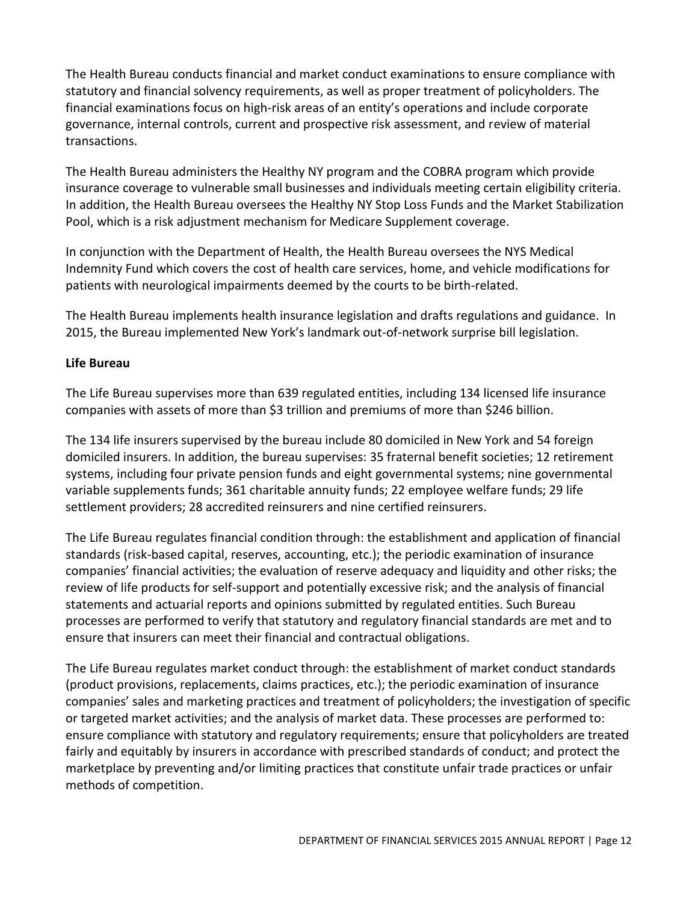The Health Bureau conducts financial and market conduct examinations to ensure compliance with statutory and financial solvency requirements, as well as proper treatment of policyholders. The financial examinations focus on high-risk areas of an entity's operations and include corporate governance, internal controls, current and prospective risk assessment, and review of material transactions.

The Health Bureau administers the Healthy NY program and the COBRA program which provide insurance coverage to vulnerable small businesses and individuals meeting certain eligibility criteria. In addition, the Health Bureau oversees the Healthy NY Stop Loss Funds and the Market Stabilization Pool, which is a risk adjustment mechanism for Medicare Supplement coverage.

In conjunction with the Department of Health, the Health Bureau oversees the NYS Medical Indemnity Fund which covers the cost of health care services, home, and vehicle modifications for patients with neurological impairments deemed by the courts to be birth-related.

The Health Bureau implements health insurance legislation and drafts regulations and guidance. In 2015, the Bureau implemented New York's landmark out-of-network surprise bill legislation.

# **Life Bureau**

The Life Bureau supervises more than 639 regulated entities, including 134 licensed life insurance companies with assets of more than \$3 trillion and premiums of more than \$246 billion.

The 134 life insurers supervised by the bureau include 80 domiciled in New York and 54 foreign domiciled insurers. In addition, the bureau supervises: 35 fraternal benefit societies; 12 retirement systems, including four private pension funds and eight governmental systems; nine governmental variable supplements funds; 361 charitable annuity funds; 22 employee welfare funds; 29 life settlement providers; 28 accredited reinsurers and nine certified reinsurers.

The Life Bureau regulates financial condition through: the establishment and application of financial standards (risk-based capital, reserves, accounting, etc.); the periodic examination of insurance companies' financial activities; the evaluation of reserve adequacy and liquidity and other risks; the review of life products for self-support and potentially excessive risk; and the analysis of financial statements and actuarial reports and opinions submitted by regulated entities. Such Bureau processes are performed to verify that statutory and regulatory financial standards are met and to ensure that insurers can meet their financial and contractual obligations.

The Life Bureau regulates market conduct through: the establishment of market conduct standards (product provisions, replacements, claims practices, etc.); the periodic examination of insurance companies' sales and marketing practices and treatment of policyholders; the investigation of specific or targeted market activities; and the analysis of market data. These processes are performed to: ensure compliance with statutory and regulatory requirements; ensure that policyholders are treated fairly and equitably by insurers in accordance with prescribed standards of conduct; and protect the marketplace by preventing and/or limiting practices that constitute unfair trade practices or unfair methods of competition.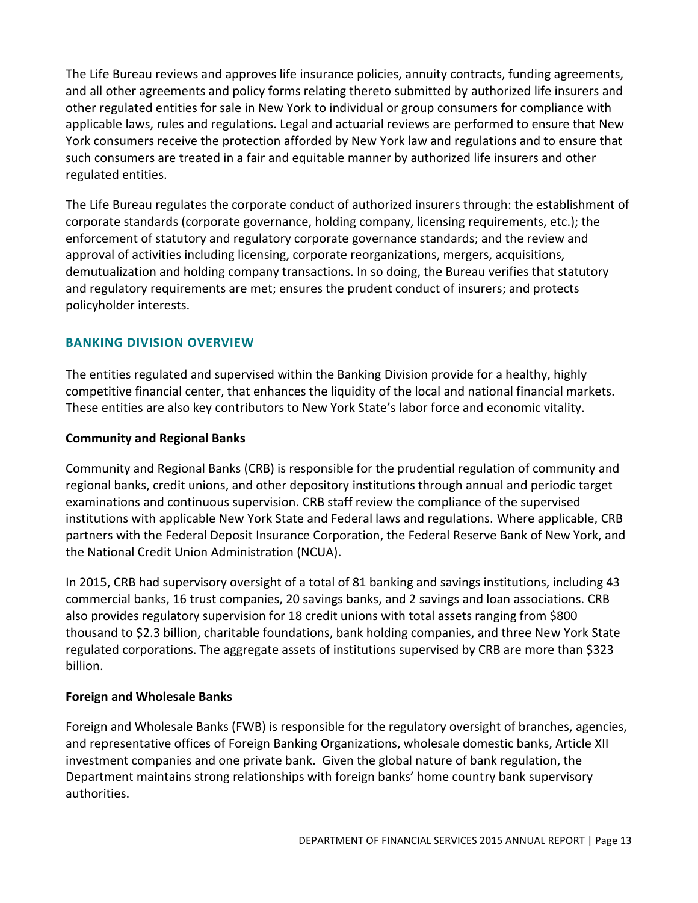The Life Bureau reviews and approves life insurance policies, annuity contracts, funding agreements, and all other agreements and policy forms relating thereto submitted by authorized life insurers and other regulated entities for sale in New York to individual or group consumers for compliance with applicable laws, rules and regulations. Legal and actuarial reviews are performed to ensure that New York consumers receive the protection afforded by New York law and regulations and to ensure that such consumers are treated in a fair and equitable manner by authorized life insurers and other regulated entities.

The Life Bureau regulates the corporate conduct of authorized insurers through: the establishment of corporate standards (corporate governance, holding company, licensing requirements, etc.); the enforcement of statutory and regulatory corporate governance standards; and the review and approval of activities including licensing, corporate reorganizations, mergers, acquisitions, demutualization and holding company transactions. In so doing, the Bureau verifies that statutory and regulatory requirements are met; ensures the prudent conduct of insurers; and protects policyholder interests.

# <span id="page-14-0"></span>**BANKING DIVISION OVERVIEW**

The entities regulated and supervised within the Banking Division provide for a healthy, highly competitive financial center, that enhances the liquidity of the local and national financial markets. These entities are also key contributors to New York State's labor force and economic vitality.

## **Community and Regional Banks**

Community and Regional Banks (CRB) is responsible for the prudential regulation of community and regional banks, credit unions, and other depository institutions through annual and periodic target examinations and continuous supervision. CRB staff review the compliance of the supervised institutions with applicable New York State and Federal laws and regulations. Where applicable, CRB partners with the Federal Deposit Insurance Corporation, the Federal Reserve Bank of New York, and the National Credit Union Administration (NCUA).

In 2015, CRB had supervisory oversight of a total of 81 banking and savings institutions, including 43 commercial banks, 16 trust companies, 20 savings banks, and 2 savings and loan associations. CRB also provides regulatory supervision for 18 credit unions with total assets ranging from \$800 thousand to \$2.3 billion, charitable foundations, bank holding companies, and three New York State regulated corporations. The aggregate assets of institutions supervised by CRB are more than \$323 billion.

# **Foreign and Wholesale Banks**

Foreign and Wholesale Banks (FWB) is responsible for the regulatory oversight of branches, agencies, and representative offices of Foreign Banking Organizations, wholesale domestic banks, Article XII investment companies and one private bank. Given the global nature of bank regulation, the Department maintains strong relationships with foreign banks' home country bank supervisory authorities.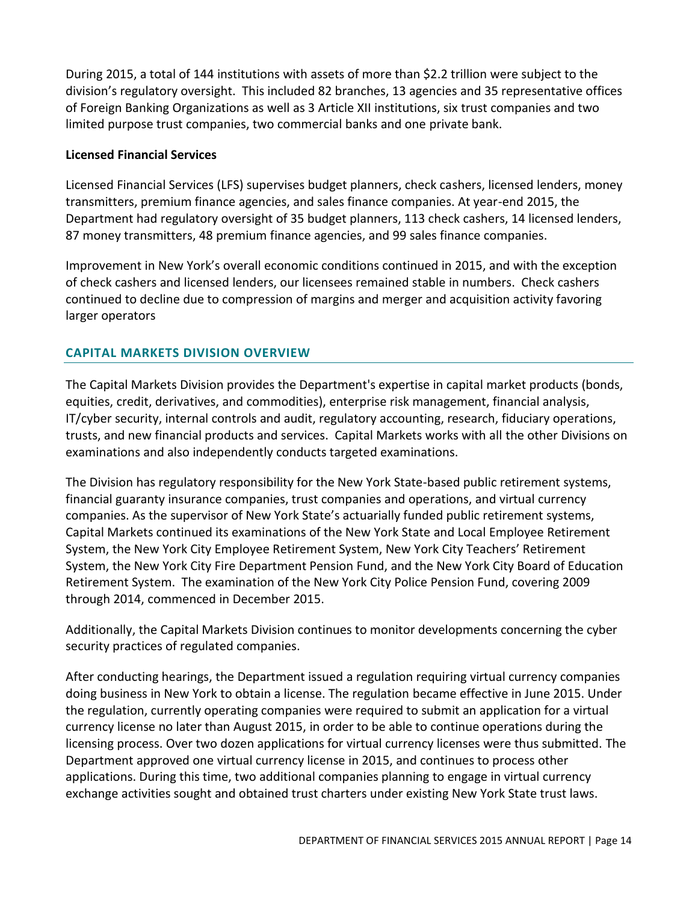During 2015, a total of 144 institutions with assets of more than \$2.2 trillion were subject to the division's regulatory oversight. This included 82 branches, 13 agencies and 35 representative offices of Foreign Banking Organizations as well as 3 Article XII institutions, six trust companies and two limited purpose trust companies, two commercial banks and one private bank.

## **Licensed Financial Services**

Licensed Financial Services (LFS) supervises budget planners, check cashers, licensed lenders, money transmitters, premium finance agencies, and sales finance companies. At year-end 2015, the Department had regulatory oversight of 35 budget planners, 113 check cashers, 14 licensed lenders, 87 money transmitters, 48 premium finance agencies, and 99 sales finance companies.

Improvement in New York's overall economic conditions continued in 2015, and with the exception of check cashers and licensed lenders, our licensees remained stable in numbers. Check cashers continued to decline due to compression of margins and merger and acquisition activity favoring larger operators

# <span id="page-15-0"></span>**CAPITAL MARKETS DIVISION OVERVIEW**

The Capital Markets Division provides the Department's expertise in capital market products (bonds, equities, credit, derivatives, and commodities), enterprise risk management, financial analysis, IT/cyber security, internal controls and audit, regulatory accounting, research, fiduciary operations, trusts, and new financial products and services. Capital Markets works with all the other Divisions on examinations and also independently conducts targeted examinations.

The Division has regulatory responsibility for the New York State-based public retirement systems, financial guaranty insurance companies, trust companies and operations, and virtual currency companies. As the supervisor of New York State's actuarially funded public retirement systems, Capital Markets continued its examinations of the New York State and Local Employee Retirement System, the New York City Employee Retirement System, New York City Teachers' Retirement System, the New York City Fire Department Pension Fund, and the New York City Board of Education Retirement System. The examination of the New York City Police Pension Fund, covering 2009 through 2014, commenced in December 2015.

Additionally, the Capital Markets Division continues to monitor developments concerning the cyber security practices of regulated companies.

After conducting hearings, the Department issued a regulation requiring virtual currency companies doing business in New York to obtain a license. The regulation became effective in June 2015. Under the regulation, currently operating companies were required to submit an application for a virtual currency license no later than August 2015, in order to be able to continue operations during the licensing process. Over two dozen applications for virtual currency licenses were thus submitted. The Department approved one virtual currency license in 2015, and continues to process other applications. During this time, two additional companies planning to engage in virtual currency exchange activities sought and obtained trust charters under existing New York State trust laws.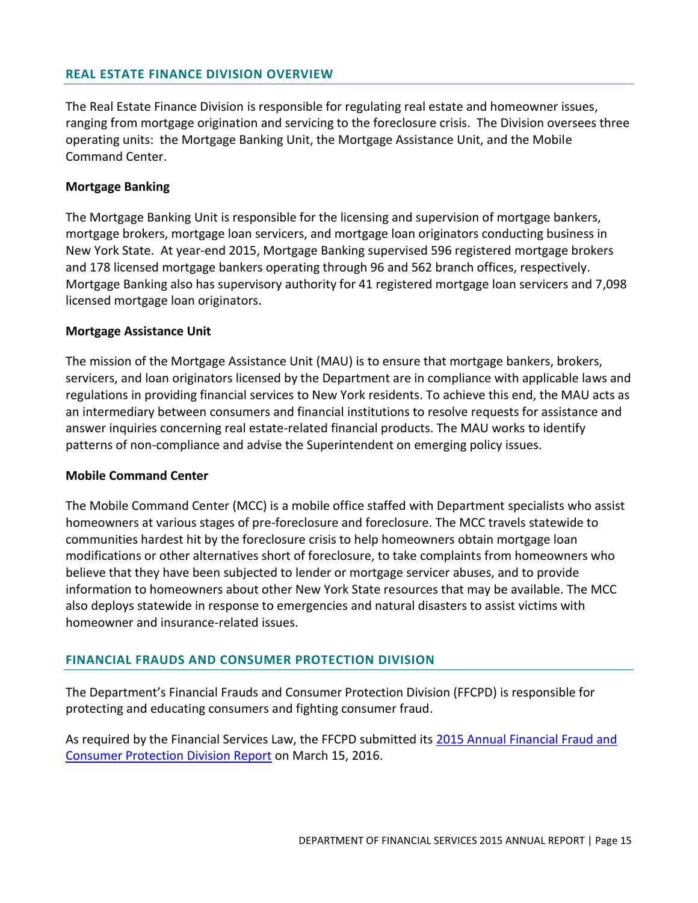#### <span id="page-16-0"></span>**REAL ESTATE FINANCE DIVISION OVERVIEW**

The Real Estate Finance Division is responsible for regulating real estate and homeowner issues, ranging from mortgage origination and servicing to the foreclosure crisis. The Division oversees three operating units: the Mortgage Banking Unit, the Mortgage Assistance Unit, and the Mobile Command Center.

#### **Mortgage Banking**

The Mortgage Banking Unit is responsible for the licensing and supervision of mortgage bankers, mortgage brokers, mortgage loan servicers, and mortgage loan originators conducting business in New York State. At year-end 2015, Mortgage Banking supervised 596 registered mortgage brokers and 178 licensed mortgage bankers operating through 96 and 562 branch offices, respectively. Mortgage Banking also has supervisory authority for 41 registered mortgage loan servicers and 7,098 licensed mortgage loan originators.

#### **Mortgage Assistance Unit**

The mission of the Mortgage Assistance Unit (MAU) is to ensure that mortgage bankers, brokers, servicers, and loan originators licensed by the Department are in compliance with applicable laws and regulations in providing financial services to New York residents. To achieve this end, the MAU acts as an intermediary between consumers and financial institutions to resolve requests for assistance and answer inquiries concerning real estate-related financial products. The MAU works to identify patterns of non-compliance and advise the Superintendent on emerging policy issues.

#### **Mobile Command Center**

The Mobile Command Center (MCC) is a mobile office staffed with Department specialists who assist homeowners at various stages of pre-foreclosure and foreclosure. The MCC travels statewide to communities hardest hit by the foreclosure crisis to help homeowners obtain mortgage loan modifications or other alternatives short of foreclosure, to take complaints from homeowners who believe that they have been subjected to lender or mortgage servicer abuses, and to provide information to homeowners about other New York State resources that may be available. The MCC also deploys statewide in response to emergencies and natural disasters to assist victims with homeowner and insurance-related issues.

#### <span id="page-16-1"></span>**FINANCIAL FRAUDS AND CONSUMER PROTECTION DIVISION**

The Department's Financial Frauds and Consumer Protection Division (FFCPD) is responsible for protecting and educating consumers and fighting consumer fraud.

As required by the Financial Services Law, the FFCPD submitted its 2015 Annual Financial Fraud and [Consumer Protection Division Report](http://www.dfs.ny.gov/reportpub/annualrep.htm) on March 15, 2016.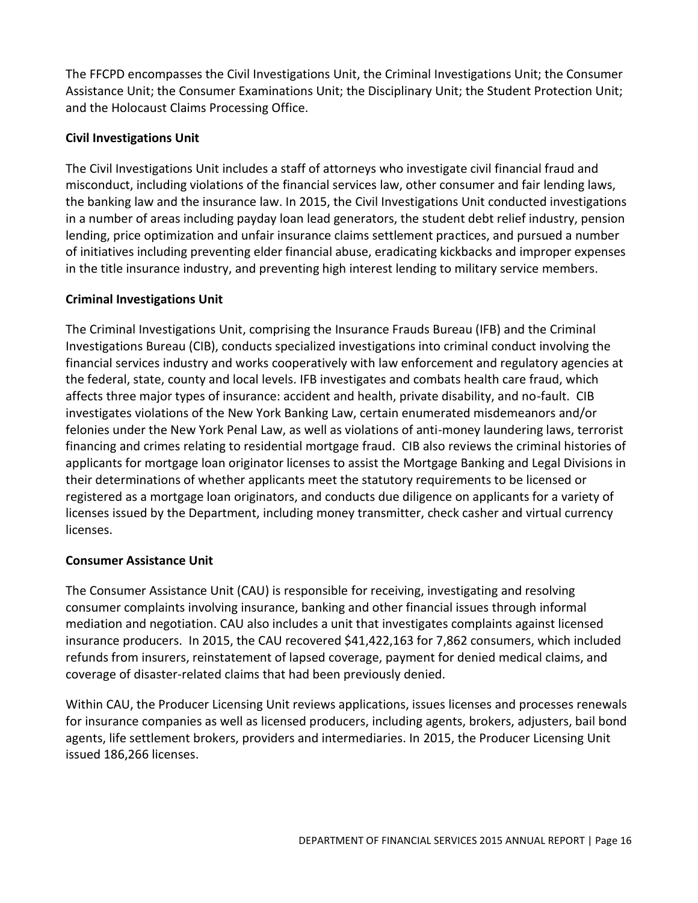The FFCPD encompasses the Civil Investigations Unit, the Criminal Investigations Unit; the Consumer Assistance Unit; the Consumer Examinations Unit; the Disciplinary Unit; the Student Protection Unit; and the Holocaust Claims Processing Office.

# **Civil Investigations Unit**

The Civil Investigations Unit includes a staff of attorneys who investigate civil financial fraud and misconduct, including violations of the financial services law, other consumer and fair lending laws, the banking law and the insurance law. In 2015, the Civil Investigations Unit conducted investigations in a number of areas including payday loan lead generators, the student debt relief industry, pension lending, price optimization and unfair insurance claims settlement practices, and pursued a number of initiatives including preventing elder financial abuse, eradicating kickbacks and improper expenses in the title insurance industry, and preventing high interest lending to military service members.

# **Criminal Investigations Unit**

The Criminal Investigations Unit, comprising the Insurance Frauds Bureau (IFB) and the Criminal Investigations Bureau (CIB), conducts specialized investigations into criminal conduct involving the financial services industry and works cooperatively with law enforcement and regulatory agencies at the federal, state, county and local levels. IFB investigates and combats health care fraud, which affects three major types of insurance: accident and health, private disability, and no-fault. CIB investigates violations of the New York Banking Law, certain enumerated misdemeanors and/or felonies under the New York Penal Law, as well as violations of anti-money laundering laws, terrorist financing and crimes relating to residential mortgage fraud. CIB also reviews the criminal histories of applicants for mortgage loan originator licenses to assist the Mortgage Banking and Legal Divisions in their determinations of whether applicants meet the statutory requirements to be licensed or registered as a mortgage loan originators, and conducts due diligence on applicants for a variety of licenses issued by the Department, including money transmitter, check casher and virtual currency licenses.

# **Consumer Assistance Unit**

The Consumer Assistance Unit (CAU) is responsible for receiving, investigating and resolving consumer complaints involving insurance, banking and other financial issues through informal mediation and negotiation. CAU also includes a unit that investigates complaints against licensed insurance producers. In 2015, the CAU recovered \$41,422,163 for 7,862 consumers, which included refunds from insurers, reinstatement of lapsed coverage, payment for denied medical claims, and coverage of disaster-related claims that had been previously denied.

Within CAU, the Producer Licensing Unit reviews applications, issues licenses and processes renewals for insurance companies as well as licensed producers, including agents, brokers, adjusters, bail bond agents, life settlement brokers, providers and intermediaries. In 2015, the Producer Licensing Unit issued 186,266 licenses.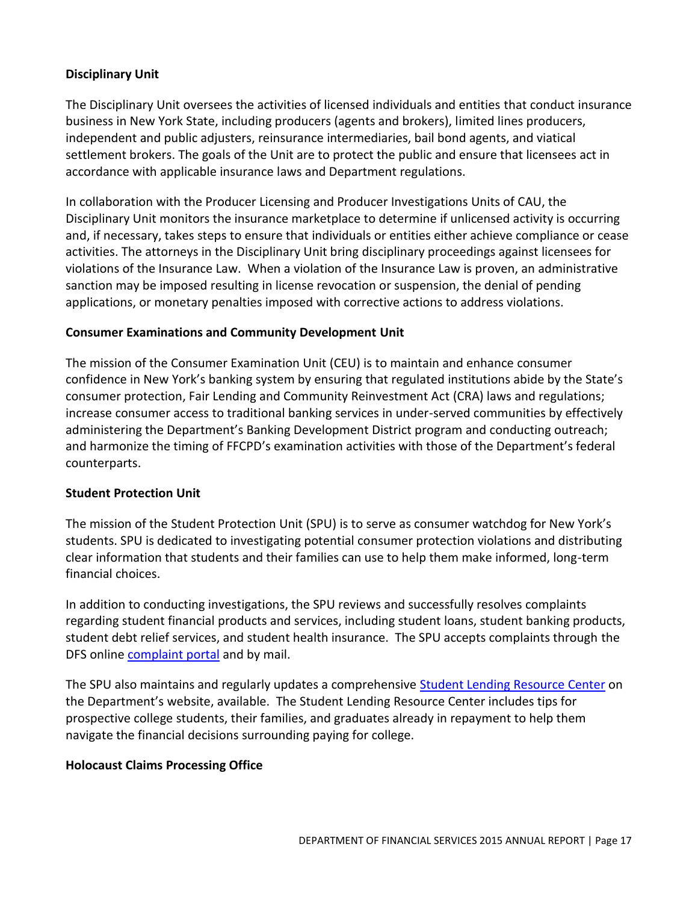## **Disciplinary Unit**

The Disciplinary Unit oversees the activities of licensed individuals and entities that conduct insurance business in New York State, including producers (agents and brokers), limited lines producers, independent and public adjusters, reinsurance intermediaries, bail bond agents, and viatical settlement brokers. The goals of the Unit are to protect the public and ensure that licensees act in accordance with applicable insurance laws and Department regulations.

In collaboration with the Producer Licensing and Producer Investigations Units of CAU, the Disciplinary Unit monitors the insurance marketplace to determine if unlicensed activity is occurring and, if necessary, takes steps to ensure that individuals or entities either achieve compliance or cease activities. The attorneys in the Disciplinary Unit bring disciplinary proceedings against licensees for violations of the Insurance Law. When a violation of the Insurance Law is proven, an administrative sanction may be imposed resulting in license revocation or suspension, the denial of pending applications, or monetary penalties imposed with corrective actions to address violations.

## **Consumer Examinations and Community Development Unit**

The mission of the Consumer Examination Unit (CEU) is to maintain and enhance consumer confidence in New York's banking system by ensuring that regulated institutions abide by the State's consumer protection, Fair Lending and Community Reinvestment Act (CRA) laws and regulations; increase consumer access to traditional banking services in under-served communities by effectively administering the Department's Banking Development District program and conducting outreach; and harmonize the timing of FFCPD's examination activities with those of the Department's federal counterparts.

## **Student Protection Unit**

The mission of the Student Protection Unit (SPU) is to serve as consumer watchdog for New York's students. SPU is dedicated to investigating potential consumer protection violations and distributing clear information that students and their families can use to help them make informed, long-term financial choices.

In addition to conducting investigations, the SPU reviews and successfully resolves complaints regarding student financial products and services, including student loans, student banking products, student debt relief services, and student health insurance. The SPU accepts complaints through the DFS online [complaint portal](http://www.dfs.ny.gov/consumer/fileacomplaint.htm) and by mail.

The SPU also maintains and regularly updates a comprehensive [Student Lending Resource Center](http://www.dfs.ny.gov/studentprotection) on the Department's website, available. The Student Lending Resource Center includes tips for prospective college students, their families, and graduates already in repayment to help them navigate the financial decisions surrounding paying for college.

# **Holocaust Claims Processing Office**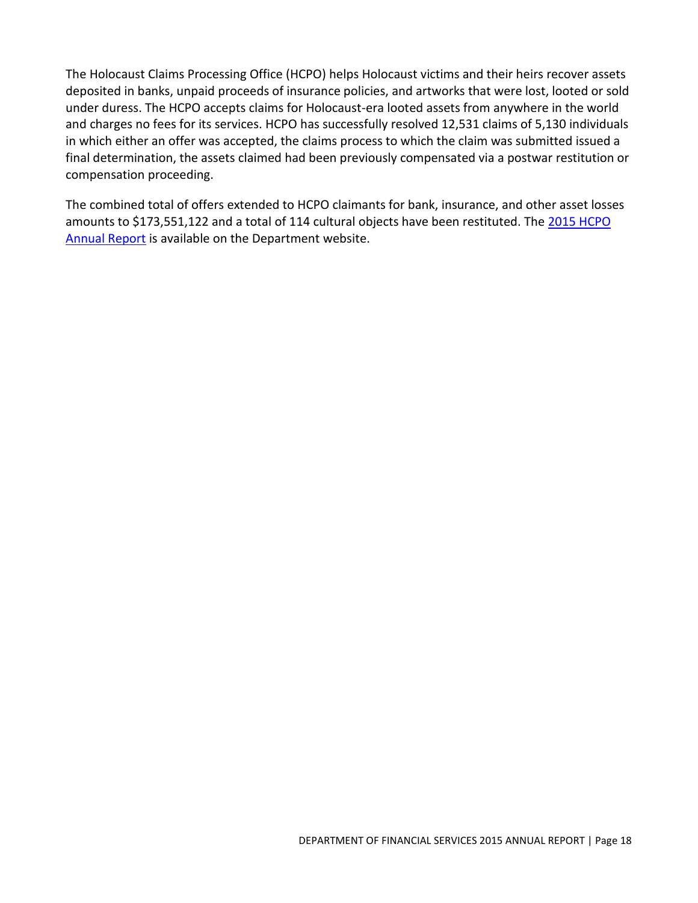The Holocaust Claims Processing Office (HCPO) helps Holocaust victims and their heirs recover assets deposited in banks, unpaid proceeds of insurance policies, and artworks that were lost, looted or sold under duress. The HCPO accepts claims for Holocaust-era looted assets from anywhere in the world and charges no fees for its services. HCPO has successfully resolved 12,531 claims of 5,130 individuals in which either an offer was accepted, the claims process to which the claim was submitted issued a final determination, the assets claimed had been previously compensated via a postwar restitution or compensation proceeding.

The combined total of offers extended to HCPO claimants for bank, insurance, and other asset losses amounts to \$173,551,122 and a total of 114 cultural objects have been restituted. Th[e 2015 HCPO](http://www.dfs.ny.gov/reportpub/annualrep.htm)  [Annual Report](http://www.dfs.ny.gov/reportpub/annualrep.htm) is available on the Department website.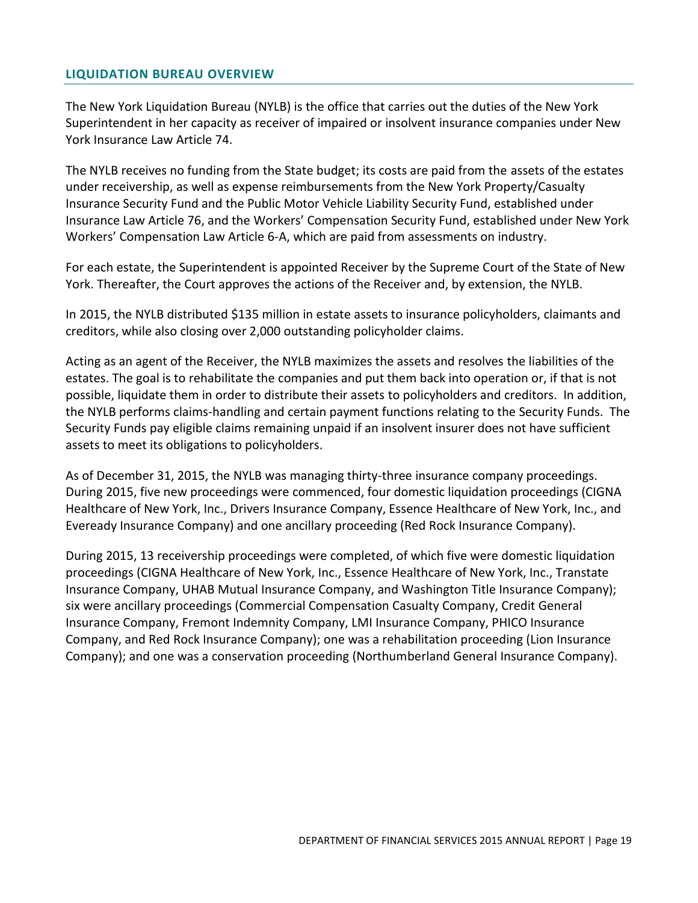#### <span id="page-20-0"></span>**LIQUIDATION BUREAU OVERVIEW**

The New York Liquidation Bureau (NYLB) is the office that carries out the duties of the New York Superintendent in her capacity as receiver of impaired or insolvent insurance companies under New York Insurance Law Article 74.

The NYLB receives no funding from the State budget; its costs are paid from the assets of the estates under receivership, as well as expense reimbursements from the New York Property/Casualty Insurance Security Fund and the Public Motor Vehicle Liability Security Fund, established under Insurance Law Article 76, and the Workers' Compensation Security Fund, established under New York Workers' Compensation Law Article 6-A, which are paid from assessments on industry.

For each estate, the Superintendent is appointed Receiver by the Supreme Court of the State of New York. Thereafter, the Court approves the actions of the Receiver and, by extension, the NYLB.

In 2015, the NYLB distributed \$135 million in estate assets to insurance policyholders, claimants and creditors, while also closing over 2,000 outstanding policyholder claims.

Acting as an agent of the Receiver, the NYLB maximizes the assets and resolves the liabilities of the estates. The goal is to rehabilitate the companies and put them back into operation or, if that is not possible, liquidate them in order to distribute their assets to policyholders and creditors. In addition, the NYLB performs claims-handling and certain payment functions relating to the Security Funds. The Security Funds pay eligible claims remaining unpaid if an insolvent insurer does not have sufficient assets to meet its obligations to policyholders.

As of December 31, 2015, the NYLB was managing thirty-three insurance company proceedings. During 2015, five new proceedings were commenced, four domestic liquidation proceedings (CIGNA Healthcare of New York, Inc., Drivers Insurance Company, Essence Healthcare of New York, Inc., and Eveready Insurance Company) and one ancillary proceeding (Red Rock Insurance Company).

During 2015, 13 receivership proceedings were completed, of which five were domestic liquidation proceedings (CIGNA Healthcare of New York, Inc., Essence Healthcare of New York, Inc., Transtate Insurance Company, UHAB Mutual Insurance Company, and Washington Title Insurance Company); six were ancillary proceedings (Commercial Compensation Casualty Company, Credit General Insurance Company, Fremont Indemnity Company, LMI Insurance Company, PHICO Insurance Company, and Red Rock Insurance Company); one was a rehabilitation proceeding (Lion Insurance Company); and one was a conservation proceeding (Northumberland General Insurance Company).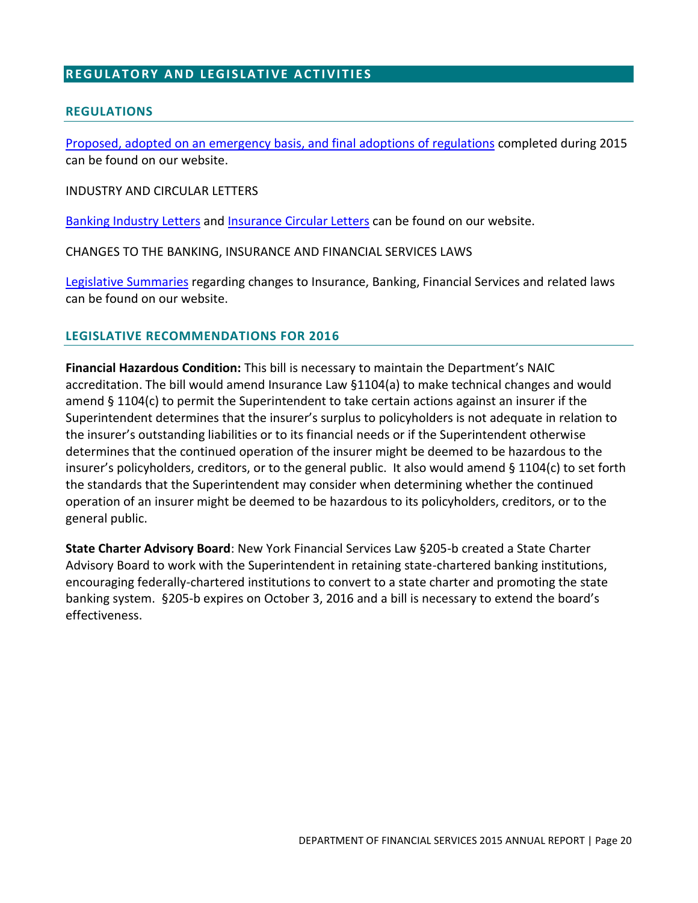## <span id="page-21-0"></span>**REGULATORY AND LEGISLATIVE ACTIVITIES**

#### <span id="page-21-1"></span>**REGULATIONS**

[Proposed, adopted on an emergency basis, and final adoptions of regulations](http://www.dfs.ny.gov/legal/regulations.htm) completed during 2015 can be found on our website.

INDUSTRY AND CIRCULAR LETTERS

[Banking Industry Letters](http://www.dfs.ny.gov/legal/industry/il.htm) an[d Insurance Circular Letters](http://www.dfs.ny.gov/insurance/circindx.htm) can be found on our website.

CHANGES TO THE BANKING, INSURANCE AND FINANCIAL SERVICES LAWS

[Legislative Summaries](http://www.dfs.ny.gov/legal/leg_summ/leg_summ.htm) regarding changes to Insurance, Banking, Financial Services and related laws can be found on our website.

#### <span id="page-21-2"></span>**LEGISLATIVE RECOMMENDATIONS FOR 2016**

**Financial Hazardous Condition:** This bill is necessary to maintain the Department's NAIC accreditation. The bill would amend Insurance Law §1104(a) to make technical changes and would amend § 1104(c) to permit the Superintendent to take certain actions against an insurer if the Superintendent determines that the insurer's surplus to policyholders is not adequate in relation to the insurer's outstanding liabilities or to its financial needs or if the Superintendent otherwise determines that the continued operation of the insurer might be deemed to be hazardous to the insurer's policyholders, creditors, or to the general public. It also would amend § 1104(c) to set forth the standards that the Superintendent may consider when determining whether the continued operation of an insurer might be deemed to be hazardous to its policyholders, creditors, or to the general public.

**State Charter Advisory Board**: New York Financial Services Law §205-b created a State Charter Advisory Board to work with the Superintendent in retaining state-chartered banking institutions, encouraging federally-chartered institutions to convert to a state charter and promoting the state banking system. §205-b expires on October 3, 2016 and a bill is necessary to extend the board's effectiveness.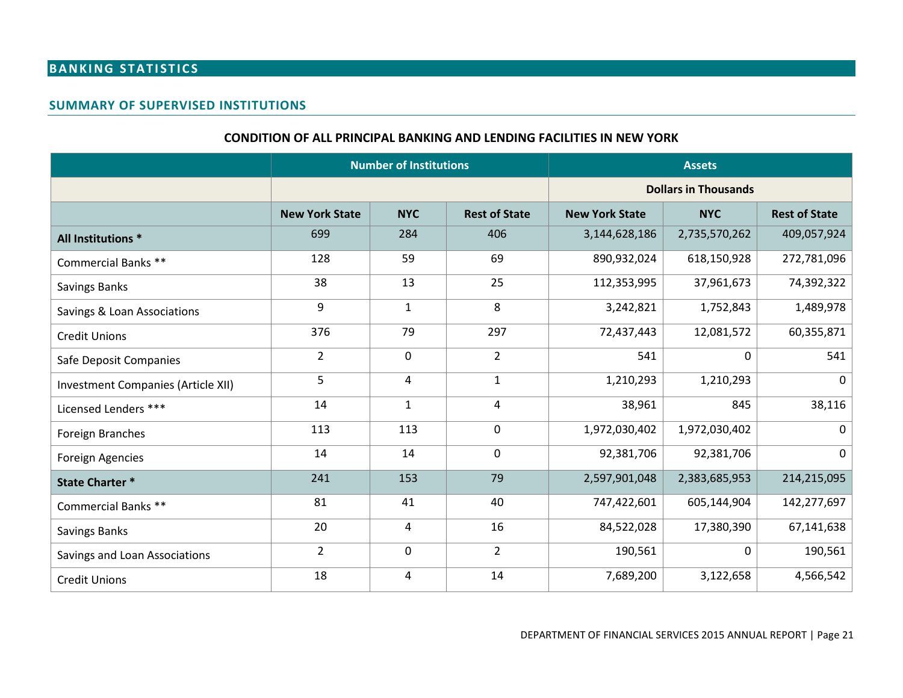# **BANKING STATISTICS**

#### **SUMMARY OF SUPERVISED INSTITUTIONS**

#### **CONDITION OF ALL PRINCIPAL BANKING AND LENDING FACILITIES IN NEW YORK**

<span id="page-22-2"></span><span id="page-22-1"></span><span id="page-22-0"></span>

|                                    | <b>Number of Institutions</b> |                |                      |                       | <b>Assets</b> |                      |
|------------------------------------|-------------------------------|----------------|----------------------|-----------------------|---------------|----------------------|
|                                    | <b>Dollars in Thousands</b>   |                |                      |                       |               |                      |
|                                    | <b>New York State</b>         | <b>NYC</b>     | <b>Rest of State</b> | <b>New York State</b> | <b>NYC</b>    | <b>Rest of State</b> |
| All Institutions *                 | 699                           | 284            | 406                  | 3,144,628,186         | 2,735,570,262 | 409,057,924          |
| Commercial Banks **                | 128                           | 59             | 69                   | 890,932,024           | 618,150,928   | 272,781,096          |
| Savings Banks                      | 38                            | 13             | 25                   | 112,353,995           | 37,961,673    | 74,392,322           |
| Savings & Loan Associations        | 9                             | $\mathbf{1}$   | 8                    | 3,242,821             | 1,752,843     | 1,489,978            |
| <b>Credit Unions</b>               | 376                           | 79             | 297                  | 72,437,443            | 12,081,572    | 60,355,871           |
| Safe Deposit Companies             | $\overline{2}$                | $\mathbf 0$    | $\overline{2}$       | 541                   | 0             | 541                  |
| Investment Companies (Article XII) | 5                             | $\overline{4}$ | $\mathbf{1}$         | 1,210,293             | 1,210,293     | $\mathbf{0}$         |
| Licensed Lenders ***               | 14                            | $\mathbf 1$    | $\overline{4}$       | 38,961                | 845           | 38,116               |
| Foreign Branches                   | 113                           | 113            | $\mathbf 0$          | 1,972,030,402         | 1,972,030,402 | $\Omega$             |
| <b>Foreign Agencies</b>            | 14                            | 14             | $\mathbf 0$          | 92,381,706            | 92,381,706    | $\mathbf{0}$         |
| <b>State Charter *</b>             | 241                           | 153            | 79                   | 2,597,901,048         | 2,383,685,953 | 214,215,095          |
| Commercial Banks **                | 81                            | 41             | 40                   | 747,422,601           | 605,144,904   | 142,277,697          |
| Savings Banks                      | 20                            | 4              | 16                   | 84,522,028            | 17,380,390    | 67,141,638           |
| Savings and Loan Associations      | $\overline{2}$                | $\mathbf 0$    | $\overline{2}$       | 190,561               | 0             | 190,561              |
| <b>Credit Unions</b>               | 18                            | 4              | 14                   | 7,689,200             | 3,122,658     | 4,566,542            |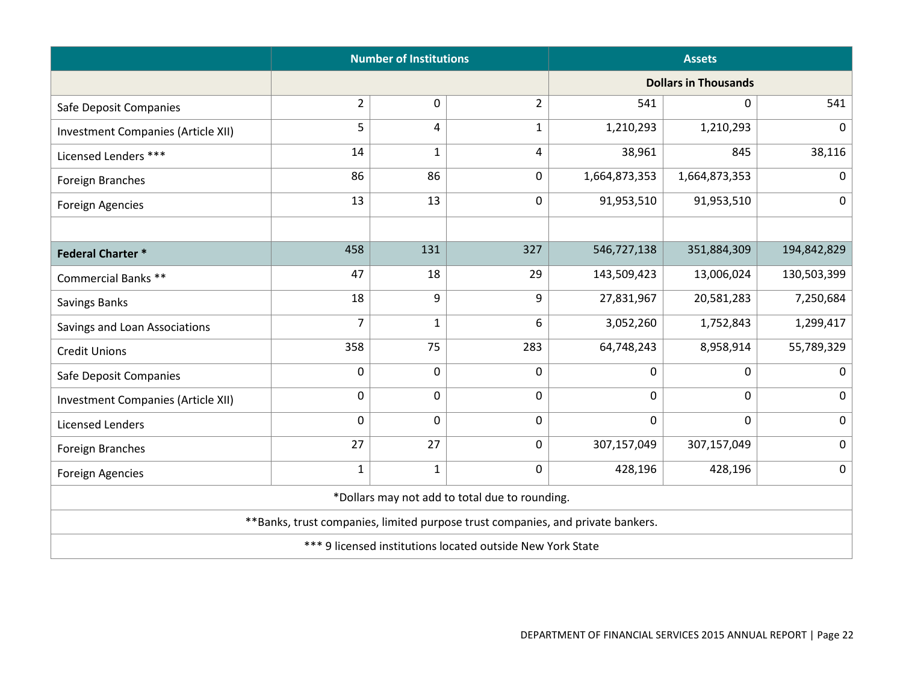|                                    | <b>Number of Institutions</b>                                                   |              |                                                |                             | <b>Assets</b> |             |  |  |
|------------------------------------|---------------------------------------------------------------------------------|--------------|------------------------------------------------|-----------------------------|---------------|-------------|--|--|
|                                    |                                                                                 |              |                                                | <b>Dollars in Thousands</b> |               |             |  |  |
| Safe Deposit Companies             | $\overline{2}$                                                                  | 0            | $\overline{2}$                                 | 541                         | 0             | 541         |  |  |
| Investment Companies (Article XII) | 5                                                                               | 4            | $\mathbf{1}$                                   | 1,210,293                   | 1,210,293     | 0           |  |  |
| Licensed Lenders ***               | 14                                                                              | $\mathbf{1}$ | 4                                              | 38,961                      | 845           | 38,116      |  |  |
| Foreign Branches                   | 86                                                                              | 86           | 0                                              | 1,664,873,353               | 1,664,873,353 | $\mathbf 0$ |  |  |
| <b>Foreign Agencies</b>            | 13                                                                              | 13           | 0                                              | 91,953,510                  | 91,953,510    | $\mathbf 0$ |  |  |
|                                    |                                                                                 |              |                                                |                             |               |             |  |  |
| <b>Federal Charter *</b>           | 458                                                                             | 131          | 327                                            | 546,727,138                 | 351,884,309   | 194,842,829 |  |  |
| Commercial Banks **                | 47                                                                              | 18           | 29                                             | 143,509,423                 | 13,006,024    | 130,503,399 |  |  |
| <b>Savings Banks</b>               | 18                                                                              | 9            | 9                                              | 27,831,967                  | 20,581,283    | 7,250,684   |  |  |
| Savings and Loan Associations      | 7                                                                               | $\mathbf{1}$ | 6                                              | 3,052,260                   | 1,752,843     | 1,299,417   |  |  |
| <b>Credit Unions</b>               | 358                                                                             | 75           | 283                                            | 64,748,243                  | 8,958,914     | 55,789,329  |  |  |
| Safe Deposit Companies             | $\mathbf 0$                                                                     | 0            | 0                                              | $\mathbf 0$                 | $\mathbf 0$   | 0           |  |  |
| Investment Companies (Article XII) | 0                                                                               | 0            | 0                                              | $\mathbf 0$                 | 0             | 0           |  |  |
| <b>Licensed Lenders</b>            | 0                                                                               | 0            | 0                                              | $\mathbf 0$                 | $\mathbf 0$   | $\mathbf 0$ |  |  |
| Foreign Branches                   | 27                                                                              | 27           | 0                                              | 307,157,049                 | 307,157,049   | 0           |  |  |
| Foreign Agencies                   | $\mathbf{1}$                                                                    | $\mathbf{1}$ | 0                                              | 428,196                     | 428,196       | $\mathbf 0$ |  |  |
|                                    |                                                                                 |              | *Dollars may not add to total due to rounding. |                             |               |             |  |  |
|                                    | **Banks, trust companies, limited purpose trust companies, and private bankers. |              |                                                |                             |               |             |  |  |
|                                    | *** 9 licensed institutions located outside New York State                      |              |                                                |                             |               |             |  |  |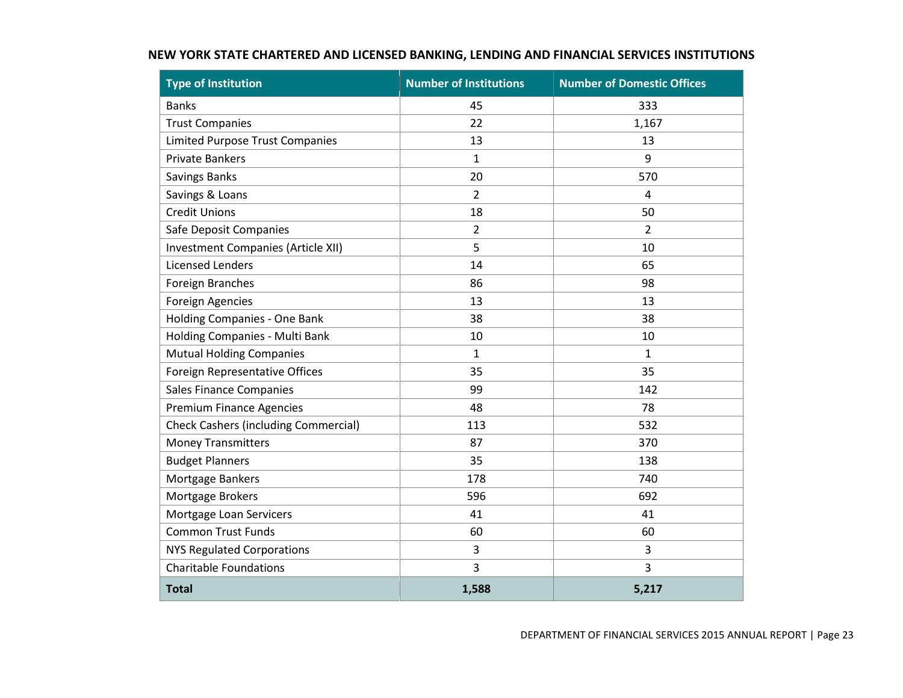<span id="page-24-0"></span>

| <b>Type of Institution</b>                  | <b>Number of Institutions</b> | <b>Number of Domestic Offices</b> |
|---------------------------------------------|-------------------------------|-----------------------------------|
| <b>Banks</b>                                | 45                            | 333                               |
| <b>Trust Companies</b>                      | 22                            | 1,167                             |
| <b>Limited Purpose Trust Companies</b>      | 13                            | 13                                |
| <b>Private Bankers</b>                      | $\mathbf{1}$                  | 9                                 |
| Savings Banks                               | 20                            | 570                               |
| Savings & Loans                             | $\overline{2}$                | $\overline{4}$                    |
| <b>Credit Unions</b>                        | 18                            | 50                                |
| Safe Deposit Companies                      | $\overline{2}$                | $\overline{2}$                    |
| Investment Companies (Article XII)          | 5                             | 10                                |
| <b>Licensed Lenders</b>                     | 14                            | 65                                |
| Foreign Branches                            | 86                            | 98                                |
| <b>Foreign Agencies</b>                     | 13                            | 13                                |
| Holding Companies - One Bank                | 38                            | 38                                |
| Holding Companies - Multi Bank              | 10                            | 10                                |
| <b>Mutual Holding Companies</b>             | $1\,$                         | $\mathbf{1}$                      |
| Foreign Representative Offices              | 35                            | 35                                |
| <b>Sales Finance Companies</b>              | 99                            | 142                               |
| <b>Premium Finance Agencies</b>             | 48                            | 78                                |
| <b>Check Cashers (including Commercial)</b> | 113                           | 532                               |
| <b>Money Transmitters</b>                   | 87                            | 370                               |
| <b>Budget Planners</b>                      | 35                            | 138                               |
| Mortgage Bankers                            | 178                           | 740                               |
| Mortgage Brokers                            | 596                           | 692                               |
| Mortgage Loan Servicers                     | 41                            | 41                                |
| <b>Common Trust Funds</b>                   | 60                            | 60                                |
| NYS Regulated Corporations                  | $\mathsf 3$                   | $\mathsf 3$                       |
| <b>Charitable Foundations</b>               | 3                             | 3                                 |
| <b>Total</b>                                | 1,588                         | 5,217                             |

## **NEW YORK STATE CHARTERED AND LICENSED BANKING, LENDING AND FINANCIAL SERVICES INSTITUTIONS**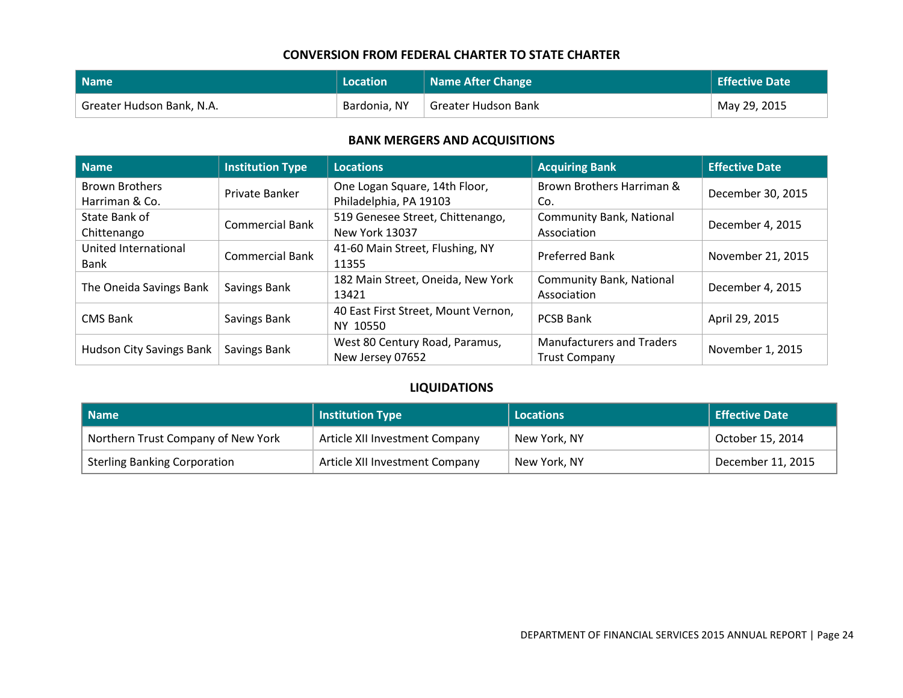#### **CONVERSION FROM FEDERAL CHARTER TO STATE CHARTER**

| Name                      | Location     | Name After Change   | <b>Effective Date</b> |
|---------------------------|--------------|---------------------|-----------------------|
| Greater Hudson Bank, N.A. | Bardonia, NY | Greater Hudson Bank | May 29, 2015          |

#### **BANK MERGERS AND ACQUISITIONS**

<span id="page-25-0"></span>

| Name                     | <b>Institution Type</b> | <b>Locations</b>                    | <b>Acquiring Bank</b>            | <b>Effective Date</b> |  |
|--------------------------|-------------------------|-------------------------------------|----------------------------------|-----------------------|--|
| <b>Brown Brothers</b>    | Private Banker          | One Logan Square, 14th Floor,       | Brown Brothers Harriman &        | December 30, 2015     |  |
| Harriman & Co.           |                         | Philadelphia, PA 19103              | Co.                              |                       |  |
| State Bank of            | <b>Commercial Bank</b>  | 519 Genesee Street, Chittenango,    | <b>Community Bank, National</b>  | December 4, 2015      |  |
| Chittenango              |                         | <b>New York 13037</b>               | Association                      |                       |  |
| United International     | <b>Commercial Bank</b>  | 41-60 Main Street, Flushing, NY     | <b>Preferred Bank</b>            | November 21, 2015     |  |
| Bank                     |                         | 11355                               |                                  |                       |  |
|                          | Savings Bank            | 182 Main Street, Oneida, New York   | <b>Community Bank, National</b>  | December 4, 2015      |  |
| The Oneida Savings Bank  |                         | 13421                               | Association                      |                       |  |
| <b>CMS Bank</b>          | Savings Bank            | 40 East First Street, Mount Vernon, | <b>PCSB Bank</b>                 | April 29, 2015        |  |
|                          |                         | NY 10550                            |                                  |                       |  |
|                          | Savings Bank            | West 80 Century Road, Paramus,      | <b>Manufacturers and Traders</b> |                       |  |
| Hudson City Savings Bank |                         | New Jersey 07652                    | <b>Trust Company</b>             | November 1, 2015      |  |

#### **LIQUIDATIONS**

<span id="page-25-2"></span><span id="page-25-1"></span>

| l Name                              | <b>Institution Type</b>        | <b>Locations</b> | <b>Effective Date</b> |
|-------------------------------------|--------------------------------|------------------|-----------------------|
| Northern Trust Company of New York  | Article XII Investment Company | New York, NY     | October 15, 2014      |
| <b>Sterling Banking Corporation</b> | Article XII Investment Company | New York, NY     | December 11, 2015     |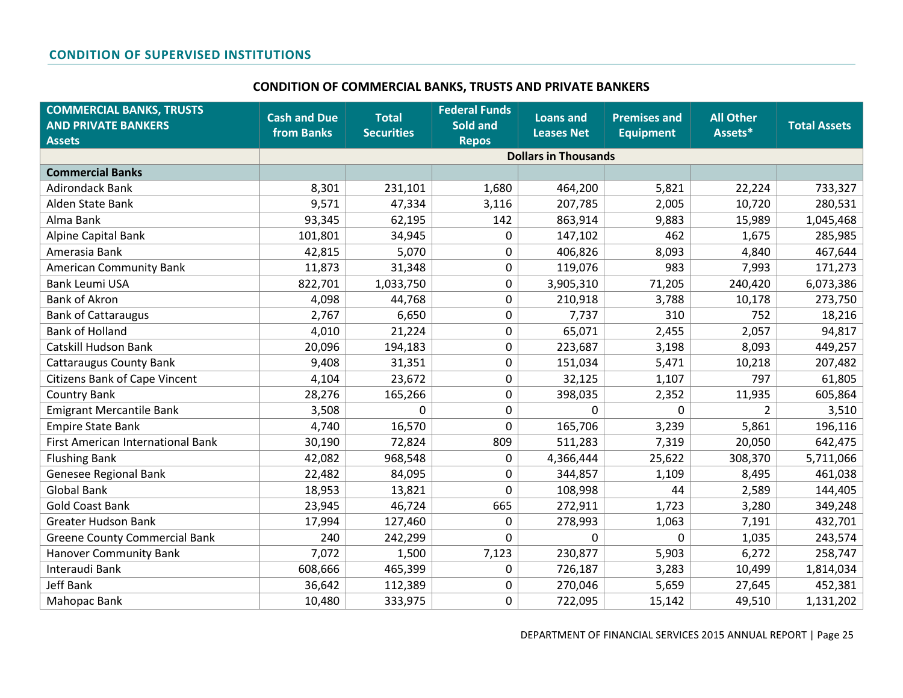#### **CONDITION OF COMMERCIAL BANKS, TRUSTS AND PRIVATE BANKERS**

<span id="page-26-1"></span><span id="page-26-0"></span>

| <b>COMMERCIAL BANKS, TRUSTS</b><br><b>AND PRIVATE BANKERS</b> | <b>Cash and Due</b><br>from Banks | <b>Total</b><br><b>Securities</b> | <b>Federal Funds</b><br>Sold and | <b>Loans and</b><br><b>Leases Net</b> | <b>Premises and</b><br><b>Equipment</b> | <b>All Other</b><br>Assets* | <b>Total Assets</b> |
|---------------------------------------------------------------|-----------------------------------|-----------------------------------|----------------------------------|---------------------------------------|-----------------------------------------|-----------------------------|---------------------|
| <b>Assets</b>                                                 |                                   |                                   | <b>Repos</b>                     | <b>Dollars in Thousands</b>           |                                         |                             |                     |
| <b>Commercial Banks</b>                                       |                                   |                                   |                                  |                                       |                                         |                             |                     |
| <b>Adirondack Bank</b>                                        | 8,301                             | 231,101                           | 1,680                            | 464,200                               | 5,821                                   | 22,224                      | 733,327             |
| Alden State Bank                                              | 9,571                             | 47,334                            | 3,116                            | 207,785                               | 2,005                                   | 10,720                      | 280,531             |
| Alma Bank                                                     | 93,345                            | 62,195                            | 142                              | 863,914                               | 9,883                                   | 15,989                      | 1,045,468           |
| Alpine Capital Bank                                           | 101,801                           | 34,945                            | 0                                | 147,102                               | 462                                     | 1,675                       | 285,985             |
| Amerasia Bank                                                 | 42,815                            | 5,070                             | $\mathbf 0$                      | 406,826                               | 8,093                                   | 4,840                       | 467,644             |
| <b>American Community Bank</b>                                | 11,873                            | 31,348                            | 0                                | 119,076                               | 983                                     | 7,993                       | 171,273             |
| <b>Bank Leumi USA</b>                                         | 822,701                           | 1,033,750                         | 0                                | 3,905,310                             | 71,205                                  | 240,420                     | 6,073,386           |
| <b>Bank of Akron</b>                                          | 4,098                             | 44,768                            | $\mathbf 0$                      | 210,918                               | 3,788                                   | 10,178                      | 273,750             |
| <b>Bank of Cattaraugus</b>                                    | 2,767                             | 6,650                             | 0                                | 7,737                                 | 310                                     | 752                         | 18,216              |
| <b>Bank of Holland</b>                                        | 4,010                             | 21,224                            | 0                                | 65,071                                | 2,455                                   | 2,057                       | 94,817              |
| Catskill Hudson Bank                                          | 20,096                            | 194,183                           | $\mathbf 0$                      | 223,687                               | 3,198                                   | 8,093                       | 449,257             |
| <b>Cattaraugus County Bank</b>                                | 9,408                             | 31,351                            | 0                                | 151,034                               | 5,471                                   | 10,218                      | 207,482             |
| <b>Citizens Bank of Cape Vincent</b>                          | 4,104                             | 23,672                            | 0                                | 32,125                                | 1,107                                   | 797                         | 61,805              |
| <b>Country Bank</b>                                           | 28,276                            | 165,266                           | 0                                | 398,035                               | 2,352                                   | 11,935                      | 605,864             |
| <b>Emigrant Mercantile Bank</b>                               | 3,508                             | 0                                 | 0                                | 0                                     | 0                                       | 2                           | 3,510               |
| <b>Empire State Bank</b>                                      | 4,740                             | 16,570                            | 0                                | 165,706                               | 3,239                                   | 5,861                       | 196,116             |
| First American International Bank                             | 30,190                            | 72,824                            | 809                              | 511,283                               | 7,319                                   | 20,050                      | 642,475             |
| <b>Flushing Bank</b>                                          | 42,082                            | 968,548                           | 0                                | 4,366,444                             | 25,622                                  | 308,370                     | 5,711,066           |
| Genesee Regional Bank                                         | 22,482                            | 84,095                            | 0                                | 344,857                               | 1,109                                   | 8,495                       | 461,038             |
| <b>Global Bank</b>                                            | 18,953                            | 13,821                            | 0                                | 108,998                               | 44                                      | 2,589                       | 144,405             |
| <b>Gold Coast Bank</b>                                        | 23,945                            | 46,724                            | 665                              | 272,911                               | 1,723                                   | 3,280                       | 349,248             |
| <b>Greater Hudson Bank</b>                                    | 17,994                            | 127,460                           | 0                                | 278,993                               | 1,063                                   | 7,191                       | 432,701             |
| <b>Greene County Commercial Bank</b>                          | 240                               | 242,299                           | 0                                | $\Omega$                              | $\Omega$                                | 1,035                       | 243,574             |
| <b>Hanover Community Bank</b>                                 | 7,072                             | 1,500                             | 7,123                            | 230,877                               | 5,903                                   | 6,272                       | 258,747             |
| Interaudi Bank                                                | 608,666                           | 465,399                           | 0                                | 726,187                               | 3,283                                   | 10,499                      | 1,814,034           |
| <b>Jeff Bank</b>                                              | 36,642                            | 112,389                           | 0                                | 270,046                               | 5,659                                   | 27,645                      | 452,381             |
| Mahopac Bank                                                  | 10,480                            | 333,975                           | 0                                | 722,095                               | 15,142                                  | 49,510                      | 1,131,202           |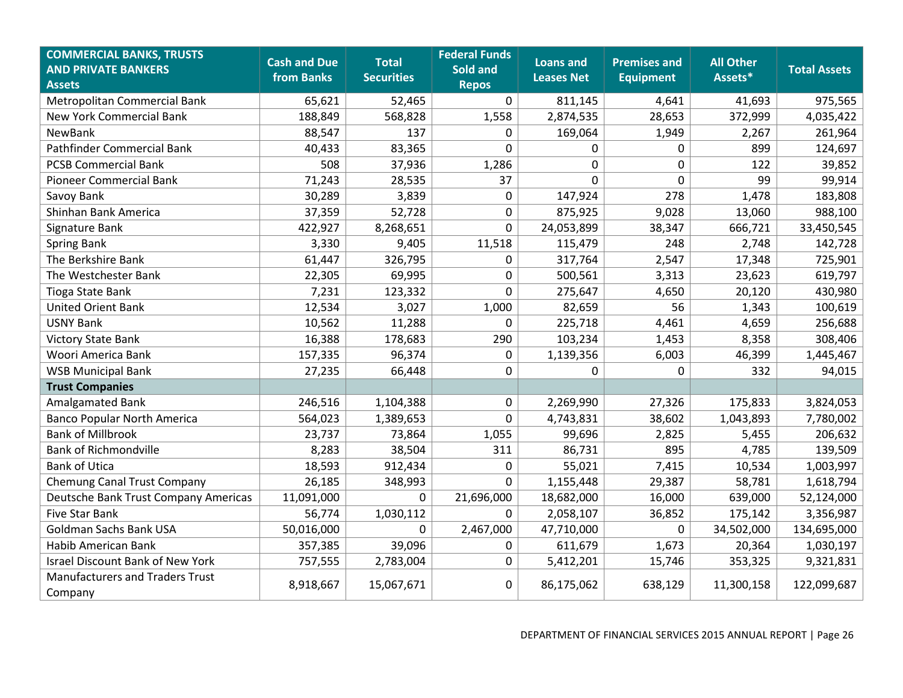| <b>COMMERCIAL BANKS, TRUSTS</b><br><b>AND PRIVATE BANKERS</b><br><b>Assets</b> | <b>Cash and Due</b><br>from Banks | <b>Total</b><br><b>Securities</b> | <b>Federal Funds</b><br>Sold and<br><b>Repos</b> | Loans and<br><b>Leases Net</b> | <b>Premises and</b><br><b>Equipment</b> | <b>All Other</b><br>Assets* | <b>Total Assets</b> |
|--------------------------------------------------------------------------------|-----------------------------------|-----------------------------------|--------------------------------------------------|--------------------------------|-----------------------------------------|-----------------------------|---------------------|
| Metropolitan Commercial Bank                                                   | 65,621                            | 52,465                            | $\mathbf 0$                                      | 811,145                        | 4,641                                   | 41,693                      | 975,565             |
| <b>New York Commercial Bank</b>                                                | 188,849                           | 568,828                           | 1,558                                            | 2,874,535                      | 28,653                                  | 372,999                     | 4,035,422           |
| <b>NewBank</b>                                                                 | 88,547                            | 137                               | 0                                                | 169,064                        | 1,949                                   | 2,267                       | 261,964             |
| Pathfinder Commercial Bank                                                     | 40,433                            | 83,365                            | $\mathbf 0$                                      | 0                              | $\boldsymbol{0}$                        | 899                         | 124,697             |
| <b>PCSB Commercial Bank</b>                                                    | 508                               | 37,936                            | 1,286                                            | $\pmb{0}$                      | $\pmb{0}$                               | 122                         | 39,852              |
| <b>Pioneer Commercial Bank</b>                                                 | 71,243                            | 28,535                            | 37                                               | $\mathbf 0$                    | $\mathbf 0$                             | 99                          | 99,914              |
| Savoy Bank                                                                     | 30,289                            | 3,839                             | 0                                                | 147,924                        | 278                                     | 1,478                       | 183,808             |
| Shinhan Bank America                                                           | 37,359                            | 52,728                            | 0                                                | 875,925                        | 9,028                                   | 13,060                      | 988,100             |
| Signature Bank                                                                 | 422,927                           | 8,268,651                         | $\overline{0}$                                   | 24,053,899                     | 38,347                                  | 666,721                     | 33,450,545          |
| <b>Spring Bank</b>                                                             | 3,330                             | 9,405                             | 11,518                                           | 115,479                        | 248                                     | 2,748                       | 142,728             |
| The Berkshire Bank                                                             | 61,447                            | 326,795                           | 0                                                | 317,764                        | 2,547                                   | 17,348                      | 725,901             |
| The Westchester Bank                                                           | 22,305                            | 69,995                            | $\mathbf 0$                                      | 500,561                        | 3,313                                   | 23,623                      | 619,797             |
| Tioga State Bank                                                               | 7,231                             | 123,332                           | $\overline{0}$                                   | 275,647                        | 4,650                                   | 20,120                      | 430,980             |
| <b>United Orient Bank</b>                                                      | 12,534                            | 3,027                             | 1,000                                            | 82,659                         | 56                                      | 1,343                       | 100,619             |
| <b>USNY Bank</b>                                                               | 10,562                            | 11,288                            | $\Omega$                                         | 225,718                        | 4,461                                   | 4,659                       | 256,688             |
| <b>Victory State Bank</b>                                                      | 16,388                            | 178,683                           | 290                                              | 103,234                        | 1,453                                   | 8,358                       | 308,406             |
| Woori America Bank                                                             | 157,335                           | 96,374                            | $\mathbf 0$                                      | 1,139,356                      | 6,003                                   | 46,399                      | 1,445,467           |
| <b>WSB Municipal Bank</b>                                                      | 27,235                            | 66,448                            | $\mathbf 0$                                      | 0                              | 0                                       | 332                         | 94,015              |
| <b>Trust Companies</b>                                                         |                                   |                                   |                                                  |                                |                                         |                             |                     |
| Amalgamated Bank                                                               | 246,516                           | 1,104,388                         | $\mathbf 0$                                      | 2,269,990                      | 27,326                                  | 175,833                     | 3,824,053           |
| <b>Banco Popular North America</b>                                             | 564,023                           | 1,389,653                         | 0                                                | 4,743,831                      | 38,602                                  | 1,043,893                   | 7,780,002           |
| <b>Bank of Millbrook</b>                                                       | 23,737                            | 73,864                            | 1,055                                            | 99,696                         | 2,825                                   | 5,455                       | 206,632             |
| <b>Bank of Richmondville</b>                                                   | 8,283                             | 38,504                            | 311                                              | 86,731                         | 895                                     | 4,785                       | 139,509             |
| <b>Bank of Utica</b>                                                           | 18,593                            | 912,434                           | 0                                                | 55,021                         | 7,415                                   | 10,534                      | 1,003,997           |
| <b>Chemung Canal Trust Company</b>                                             | 26,185                            | 348,993                           | 0                                                | 1,155,448                      | 29,387                                  | 58,781                      | 1,618,794           |
| Deutsche Bank Trust Company Americas                                           | 11,091,000                        | $\Omega$                          | 21,696,000                                       | 18,682,000                     | 16,000                                  | 639,000                     | 52,124,000          |
| Five Star Bank                                                                 | 56,774                            | 1,030,112                         | $\mathbf{0}$                                     | 2,058,107                      | 36,852                                  | 175,142                     | 3,356,987           |
| Goldman Sachs Bank USA                                                         | 50,016,000                        | $\Omega$                          | 2,467,000                                        | 47,710,000                     | $\mathbf 0$                             | 34,502,000                  | 134,695,000         |
| Habib American Bank                                                            | 357,385                           | 39,096                            | $\mathbf 0$                                      | 611,679                        | 1,673                                   | 20,364                      | 1,030,197           |
| <b>Israel Discount Bank of New York</b>                                        | 757,555                           | 2,783,004                         | $\mathbf 0$                                      | 5,412,201                      | 15,746                                  | 353,325                     | 9,321,831           |
| <b>Manufacturers and Traders Trust</b><br>Company                              | 8,918,667                         | 15,067,671                        | 0                                                | 86,175,062                     | 638,129                                 | 11,300,158                  | 122,099,687         |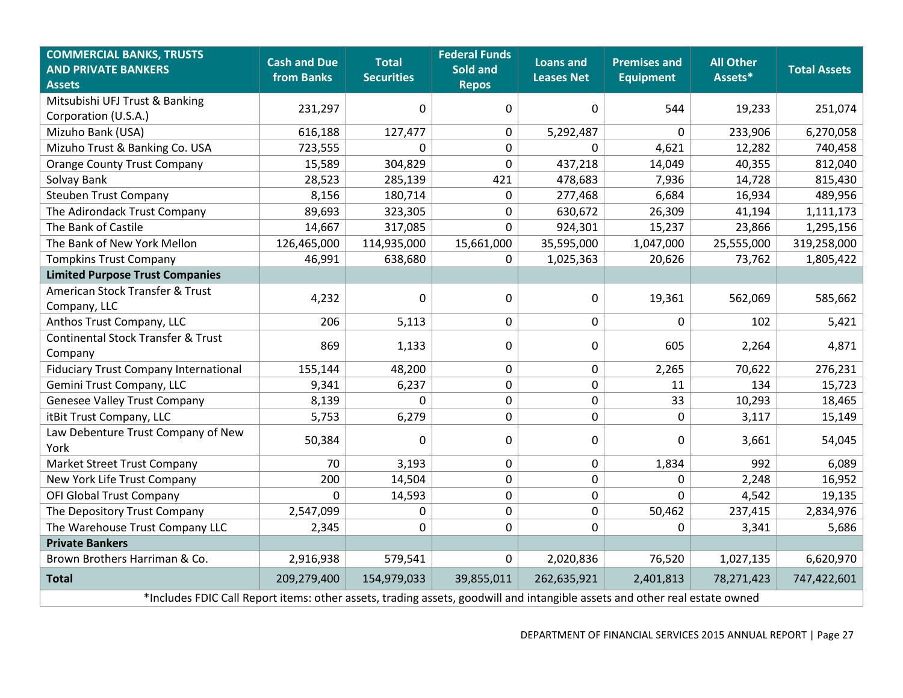| <b>COMMERCIAL BANKS, TRUSTS</b><br><b>AND PRIVATE BANKERS</b><br><b>Assets</b>                                             | <b>Cash and Due</b><br>from Banks | <b>Total</b><br><b>Securities</b> | <b>Federal Funds</b><br>Sold and<br><b>Repos</b> | <b>Loans and</b><br><b>Leases Net</b> | <b>Premises and</b><br><b>Equipment</b> | <b>All Other</b><br>Assets* | <b>Total Assets</b> |  |  |
|----------------------------------------------------------------------------------------------------------------------------|-----------------------------------|-----------------------------------|--------------------------------------------------|---------------------------------------|-----------------------------------------|-----------------------------|---------------------|--|--|
| Mitsubishi UFJ Trust & Banking<br>Corporation (U.S.A.)                                                                     | 231,297                           | $\Omega$                          | $\mathbf 0$                                      | 0                                     | 544                                     | 19,233                      | 251,074             |  |  |
| Mizuho Bank (USA)                                                                                                          | 616,188                           | 127,477                           | $\mathbf 0$                                      | 5,292,487                             | $\mathbf{0}$                            | 233,906                     | 6,270,058           |  |  |
| Mizuho Trust & Banking Co. USA                                                                                             | 723,555                           | $\Omega$                          | $\mathbf 0$                                      | $\Omega$                              | 4,621                                   | 12,282                      | 740,458             |  |  |
| <b>Orange County Trust Company</b>                                                                                         | 15,589                            | 304,829                           | $\mathbf 0$                                      | 437,218                               | 14,049                                  | 40,355                      | 812,040             |  |  |
| Solvay Bank                                                                                                                | 28,523                            | 285,139                           | 421                                              | 478,683                               | 7,936                                   | 14,728                      | 815,430             |  |  |
| <b>Steuben Trust Company</b>                                                                                               | 8,156                             | 180,714                           | $\pmb{0}$                                        | 277,468                               | 6,684                                   | 16,934                      | 489,956             |  |  |
| The Adirondack Trust Company                                                                                               | 89,693                            | 323,305                           | 0                                                | 630,672                               | 26,309                                  | 41,194                      | 1,111,173           |  |  |
| The Bank of Castile                                                                                                        | 14,667                            | 317,085                           | $\Omega$                                         | 924,301                               | 15,237                                  | 23,866                      | 1,295,156           |  |  |
| The Bank of New York Mellon                                                                                                | 126,465,000                       | 114,935,000                       | 15,661,000                                       | 35,595,000                            | 1,047,000                               | 25,555,000                  | 319,258,000         |  |  |
| <b>Tompkins Trust Company</b>                                                                                              | 46,991                            | 638,680                           | $\Omega$                                         | 1,025,363                             | 20,626                                  | 73,762                      | 1,805,422           |  |  |
| <b>Limited Purpose Trust Companies</b>                                                                                     |                                   |                                   |                                                  |                                       |                                         |                             |                     |  |  |
| American Stock Transfer & Trust<br>Company, LLC                                                                            | 4,232                             | 0                                 | $\mathbf 0$                                      | 0                                     | 19,361                                  | 562,069                     | 585,662             |  |  |
| Anthos Trust Company, LLC                                                                                                  | 206                               | 5,113                             | $\pmb{0}$                                        | $\mathbf 0$                           | $\mathbf 0$                             | 102                         | 5,421               |  |  |
| <b>Continental Stock Transfer &amp; Trust</b><br>Company                                                                   | 869                               | 1,133                             | $\mathbf 0$                                      | 0                                     | 605                                     | 2,264                       | 4,871               |  |  |
| <b>Fiduciary Trust Company International</b>                                                                               | 155,144                           | 48,200                            | $\boldsymbol{0}$                                 | $\mathbf 0$                           | 2,265                                   | 70,622                      | 276,231             |  |  |
| Gemini Trust Company, LLC                                                                                                  | 9,341                             | 6,237                             | $\mathbf 0$                                      | $\mathbf 0$                           | 11                                      | 134                         | 15,723              |  |  |
| <b>Genesee Valley Trust Company</b>                                                                                        | 8,139                             | $\mathbf{0}$                      | $\mathbf 0$                                      | $\mathbf 0$                           | 33                                      | 10,293                      | 18,465              |  |  |
| itBit Trust Company, LLC                                                                                                   | 5,753                             | 6,279                             | $\mathbf 0$                                      | 0                                     | $\mathbf 0$                             | 3,117                       | 15,149              |  |  |
| Law Debenture Trust Company of New<br>York                                                                                 | 50,384                            | 0                                 | $\mathbf 0$                                      | 0                                     | 0                                       | 3,661                       | 54,045              |  |  |
| <b>Market Street Trust Company</b>                                                                                         | 70                                | 3,193                             | $\pmb{0}$                                        | $\mathbf 0$                           | 1,834                                   | 992                         | 6,089               |  |  |
| New York Life Trust Company                                                                                                | 200                               | 14,504                            | $\pmb{0}$                                        | $\mathbf 0$                           | $\boldsymbol{0}$                        | 2,248                       | 16,952              |  |  |
| OFI Global Trust Company                                                                                                   | 0                                 | 14,593                            | $\pmb{0}$                                        | $\mathbf 0$                           | $\mathbf{0}$                            | 4,542                       | 19,135              |  |  |
| The Depository Trust Company                                                                                               | 2,547,099                         | 0                                 | $\mathbf 0$                                      | $\mathbf 0$                           | 50,462                                  | 237,415                     | 2,834,976           |  |  |
| The Warehouse Trust Company LLC                                                                                            | 2,345                             | $\Omega$                          | $\mathbf 0$                                      | $\Omega$                              | $\Omega$                                | 3,341                       | 5,686               |  |  |
| <b>Private Bankers</b>                                                                                                     |                                   |                                   |                                                  |                                       |                                         |                             |                     |  |  |
| Brown Brothers Harriman & Co.                                                                                              | 2,916,938                         | 579,541                           | $\mathbf 0$                                      | 2,020,836                             | 76,520                                  | 1,027,135                   | 6,620,970           |  |  |
| <b>Total</b>                                                                                                               | 209,279,400                       | 154,979,033                       | 39,855,011                                       | 262,635,921                           | 2,401,813                               | 78,271,423                  | 747,422,601         |  |  |
| *Includes FDIC Call Report items: other assets, trading assets, goodwill and intangible assets and other real estate owned |                                   |                                   |                                                  |                                       |                                         |                             |                     |  |  |

DEPARTMENT OF FINANCIAL SERVICES 2015 ANNUAL REPORT | Page 27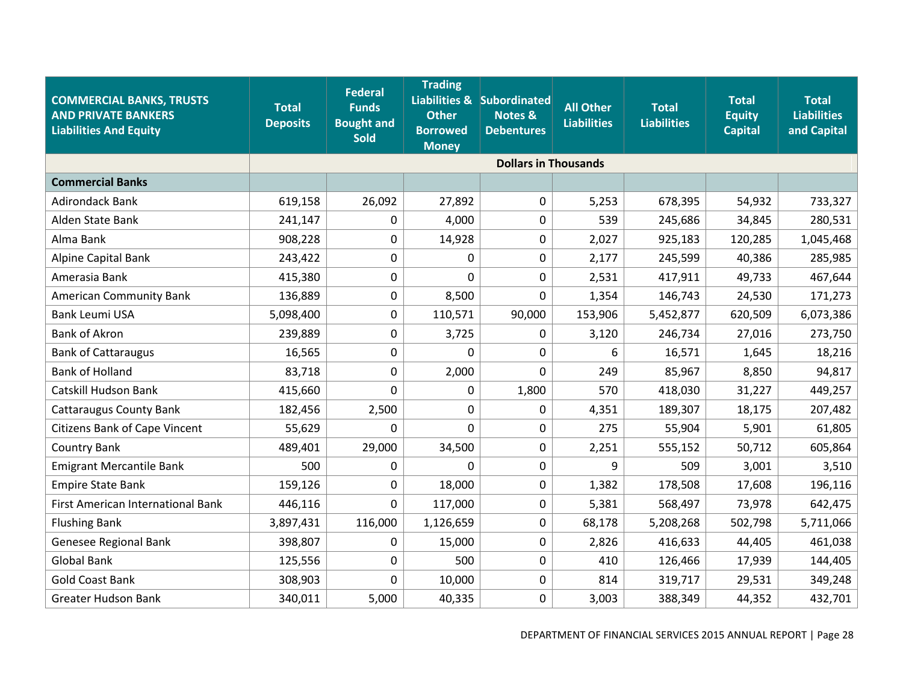| <b>COMMERCIAL BANKS, TRUSTS</b><br><b>AND PRIVATE BANKERS</b><br><b>Liabilities And Equity</b> | <b>Total</b><br><b>Deposits</b> | <b>Federal</b><br><b>Funds</b><br><b>Bought and</b><br>Sold | <b>Trading</b><br><b>Other</b><br><b>Borrowed</b><br><b>Money</b> | Liabilities & Subordinated<br><b>Notes &amp;</b><br><b>Debentures</b> | <b>All Other</b><br><b>Liabilities</b> | <b>Total</b><br><b>Liabilities</b> | <b>Total</b><br><b>Equity</b><br><b>Capital</b> | <b>Total</b><br><b>Liabilities</b><br>and Capital |
|------------------------------------------------------------------------------------------------|---------------------------------|-------------------------------------------------------------|-------------------------------------------------------------------|-----------------------------------------------------------------------|----------------------------------------|------------------------------------|-------------------------------------------------|---------------------------------------------------|
|                                                                                                |                                 |                                                             |                                                                   | <b>Dollars in Thousands</b>                                           |                                        |                                    |                                                 |                                                   |
| <b>Commercial Banks</b>                                                                        |                                 |                                                             |                                                                   |                                                                       |                                        |                                    |                                                 |                                                   |
| <b>Adirondack Bank</b>                                                                         | 619,158                         | 26,092                                                      | 27,892                                                            | $\mathbf 0$                                                           | 5,253                                  | 678,395                            | 54,932                                          | 733,327                                           |
| Alden State Bank                                                                               | 241,147                         | 0                                                           | 4,000                                                             | 0                                                                     | 539                                    | 245,686                            | 34,845                                          | 280,531                                           |
| Alma Bank                                                                                      | 908,228                         | 0                                                           | 14,928                                                            | 0                                                                     | 2,027                                  | 925,183                            | 120,285                                         | 1,045,468                                         |
| Alpine Capital Bank                                                                            | 243,422                         | 0                                                           | 0                                                                 | 0                                                                     | 2,177                                  | 245,599                            | 40,386                                          | 285,985                                           |
| Amerasia Bank                                                                                  | 415,380                         | 0                                                           | 0                                                                 | 0                                                                     | 2,531                                  | 417,911                            | 49,733                                          | 467,644                                           |
| <b>American Community Bank</b>                                                                 | 136,889                         | 0                                                           | 8,500                                                             | 0                                                                     | 1,354                                  | 146,743                            | 24,530                                          | 171,273                                           |
| <b>Bank Leumi USA</b>                                                                          | 5,098,400                       | 0                                                           | 110,571                                                           | 90,000                                                                | 153,906                                | 5,452,877                          | 620,509                                         | 6,073,386                                         |
| <b>Bank of Akron</b>                                                                           | 239,889                         | 0                                                           | 3,725                                                             | 0                                                                     | 3,120                                  | 246,734                            | 27,016                                          | 273,750                                           |
| <b>Bank of Cattaraugus</b>                                                                     | 16,565                          | 0                                                           | $\mathbf 0$                                                       | 0                                                                     | 6                                      | 16,571                             | 1,645                                           | 18,216                                            |
| <b>Bank of Holland</b>                                                                         | 83,718                          | 0                                                           | 2,000                                                             | 0                                                                     | 249                                    | 85,967                             | 8,850                                           | 94,817                                            |
| Catskill Hudson Bank                                                                           | 415,660                         | 0                                                           | 0                                                                 | 1,800                                                                 | 570                                    | 418,030                            | 31,227                                          | 449,257                                           |
| <b>Cattaraugus County Bank</b>                                                                 | 182,456                         | 2,500                                                       | $\mathbf 0$                                                       | 0                                                                     | 4,351                                  | 189,307                            | 18,175                                          | 207,482                                           |
| <b>Citizens Bank of Cape Vincent</b>                                                           | 55,629                          | 0                                                           | $\mathbf 0$                                                       | $\mathbf 0$                                                           | 275                                    | 55,904                             | 5,901                                           | 61,805                                            |
| <b>Country Bank</b>                                                                            | 489,401                         | 29,000                                                      | 34,500                                                            | 0                                                                     | 2,251                                  | 555,152                            | 50,712                                          | 605,864                                           |
| <b>Emigrant Mercantile Bank</b>                                                                | 500                             | 0                                                           | 0                                                                 | 0                                                                     | 9                                      | 509                                | 3,001                                           | 3,510                                             |
| <b>Empire State Bank</b>                                                                       | 159,126                         | 0                                                           | 18,000                                                            | 0                                                                     | 1,382                                  | 178,508                            | 17,608                                          | 196,116                                           |
| First American International Bank                                                              | 446,116                         | 0                                                           | 117,000                                                           | $\boldsymbol{0}$                                                      | 5,381                                  | 568,497                            | 73,978                                          | 642,475                                           |
| <b>Flushing Bank</b>                                                                           | 3,897,431                       | 116,000                                                     | 1,126,659                                                         | $\mathbf 0$                                                           | 68,178                                 | 5,208,268                          | 502,798                                         | 5,711,066                                         |
| Genesee Regional Bank                                                                          | 398,807                         | 0                                                           | 15,000                                                            | $\boldsymbol{0}$                                                      | 2,826                                  | 416,633                            | 44,405                                          | 461,038                                           |
| <b>Global Bank</b>                                                                             | 125,556                         | 0                                                           | 500                                                               | $\mathbf 0$                                                           | 410                                    | 126,466                            | 17,939                                          | 144,405                                           |
| <b>Gold Coast Bank</b>                                                                         | 308,903                         | 0                                                           | 10,000                                                            | 0                                                                     | 814                                    | 319,717                            | 29,531                                          | 349,248                                           |
| <b>Greater Hudson Bank</b>                                                                     | 340,011                         | 5,000                                                       | 40,335                                                            | 0                                                                     | 3,003                                  | 388,349                            | 44,352                                          | 432,701                                           |

DEPARTMENT OF FINANCIAL SERVICES 2015 ANNUAL REPORT | Page 28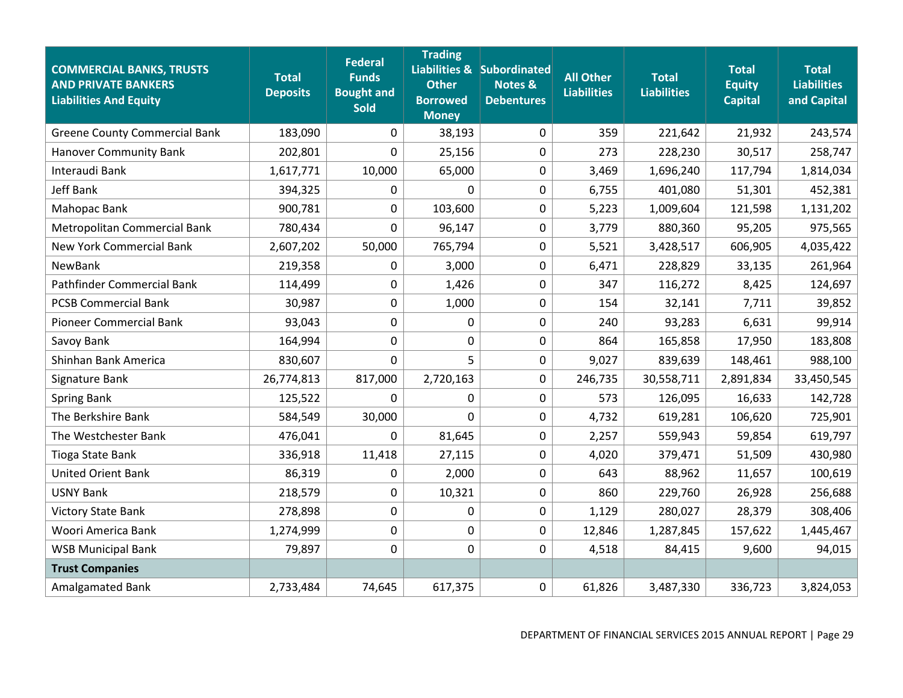| <b>COMMERCIAL BANKS, TRUSTS</b><br><b>AND PRIVATE BANKERS</b><br><b>Liabilities And Equity</b> | <b>Total</b><br><b>Deposits</b> | <b>Federal</b><br><b>Funds</b><br><b>Bought and</b><br><b>Sold</b> | <b>Trading</b><br><b>Other</b><br><b>Borrowed</b><br><b>Money</b> | Liabilities & Subordinated<br><b>Notes &amp;</b><br><b>Debentures</b> | <b>All Other</b><br><b>Liabilities</b> | <b>Total</b><br><b>Liabilities</b> | <b>Total</b><br><b>Equity</b><br><b>Capital</b> | <b>Total</b><br><b>Liabilities</b><br>and Capital |
|------------------------------------------------------------------------------------------------|---------------------------------|--------------------------------------------------------------------|-------------------------------------------------------------------|-----------------------------------------------------------------------|----------------------------------------|------------------------------------|-------------------------------------------------|---------------------------------------------------|
| <b>Greene County Commercial Bank</b>                                                           | 183,090                         | 0                                                                  | 38,193                                                            | $\mathbf 0$                                                           | 359                                    | 221,642                            | 21,932                                          | 243,574                                           |
| <b>Hanover Community Bank</b>                                                                  | 202,801                         | 0                                                                  | 25,156                                                            | $\mathbf 0$                                                           | 273                                    | 228,230                            | 30,517                                          | 258,747                                           |
| Interaudi Bank                                                                                 | 1,617,771                       | 10,000                                                             | 65,000                                                            | $\mathbf 0$                                                           | 3,469                                  | 1,696,240                          | 117,794                                         | 1,814,034                                         |
| <b>Jeff Bank</b>                                                                               | 394,325                         | 0                                                                  | $\mathbf 0$                                                       | $\mathbf 0$                                                           | 6,755                                  | 401,080                            | 51,301                                          | 452,381                                           |
| Mahopac Bank                                                                                   | 900,781                         | 0                                                                  | 103,600                                                           | $\mathbf 0$                                                           | 5,223                                  | 1,009,604                          | 121,598                                         | 1,131,202                                         |
| Metropolitan Commercial Bank                                                                   | 780,434                         | 0                                                                  | 96,147                                                            | $\mathbf 0$                                                           | 3,779                                  | 880,360                            | 95,205                                          | 975,565                                           |
| <b>New York Commercial Bank</b>                                                                | 2,607,202                       | 50,000                                                             | 765,794                                                           | $\mathbf 0$                                                           | 5,521                                  | 3,428,517                          | 606,905                                         | 4,035,422                                         |
| NewBank                                                                                        | 219,358                         | 0                                                                  | 3,000                                                             | $\mathbf 0$                                                           | 6,471                                  | 228,829                            | 33,135                                          | 261,964                                           |
| Pathfinder Commercial Bank                                                                     | 114,499                         | 0                                                                  | 1,426                                                             | $\mathbf 0$                                                           | 347                                    | 116,272                            | 8,425                                           | 124,697                                           |
| <b>PCSB Commercial Bank</b>                                                                    | 30,987                          | 0                                                                  | 1,000                                                             | $\mathbf 0$                                                           | 154                                    | 32,141                             | 7,711                                           | 39,852                                            |
| <b>Pioneer Commercial Bank</b>                                                                 | 93,043                          | 0                                                                  | 0                                                                 | $\mathbf 0$                                                           | 240                                    | 93,283                             | 6,631                                           | 99,914                                            |
| Savoy Bank                                                                                     | 164,994                         | 0                                                                  | $\boldsymbol{0}$                                                  | $\pmb{0}$                                                             | 864                                    | 165,858                            | 17,950                                          | 183,808                                           |
| Shinhan Bank America                                                                           | 830,607                         | 0                                                                  | 5                                                                 | $\mathbf 0$                                                           | 9,027                                  | 839,639                            | 148,461                                         | 988,100                                           |
| Signature Bank                                                                                 | 26,774,813                      | 817,000                                                            | 2,720,163                                                         | $\mathbf 0$                                                           | 246,735                                | 30,558,711                         | 2,891,834                                       | 33,450,545                                        |
| <b>Spring Bank</b>                                                                             | 125,522                         | 0                                                                  | 0                                                                 | $\mathbf 0$                                                           | 573                                    | 126,095                            | 16,633                                          | 142,728                                           |
| The Berkshire Bank                                                                             | 584,549                         | 30,000                                                             | $\mathbf 0$                                                       | $\mathbf 0$                                                           | 4,732                                  | 619,281                            | 106,620                                         | 725,901                                           |
| The Westchester Bank                                                                           | 476,041                         | 0                                                                  | 81,645                                                            | $\mathbf 0$                                                           | 2,257                                  | 559,943                            | 59,854                                          | 619,797                                           |
| Tioga State Bank                                                                               | 336,918                         | 11,418                                                             | 27,115                                                            | $\mathbf 0$                                                           | 4,020                                  | 379,471                            | 51,509                                          | 430,980                                           |
| <b>United Orient Bank</b>                                                                      | 86,319                          | 0                                                                  | 2,000                                                             | $\pmb{0}$                                                             | 643                                    | 88,962                             | 11,657                                          | 100,619                                           |
| <b>USNY Bank</b>                                                                               | 218,579                         | 0                                                                  | 10,321                                                            | $\mathbf 0$                                                           | 860                                    | 229,760                            | 26,928                                          | 256,688                                           |
| <b>Victory State Bank</b>                                                                      | 278,898                         | 0                                                                  | 0                                                                 | $\mathbf 0$                                                           | 1,129                                  | 280,027                            | 28,379                                          | 308,406                                           |
| Woori America Bank                                                                             | 1,274,999                       | 0                                                                  | $\mathbf 0$                                                       | $\mathbf 0$                                                           | 12,846                                 | 1,287,845                          | 157,622                                         | 1,445,467                                         |
| <b>WSB Municipal Bank</b>                                                                      | 79,897                          | 0                                                                  | 0                                                                 | $\mathbf 0$                                                           | 4,518                                  | 84,415                             | 9,600                                           | 94,015                                            |
| <b>Trust Companies</b>                                                                         |                                 |                                                                    |                                                                   |                                                                       |                                        |                                    |                                                 |                                                   |
| Amalgamated Bank                                                                               | 2,733,484                       | 74,645                                                             | 617,375                                                           | 0                                                                     | 61,826                                 | 3,487,330                          | 336,723                                         | 3,824,053                                         |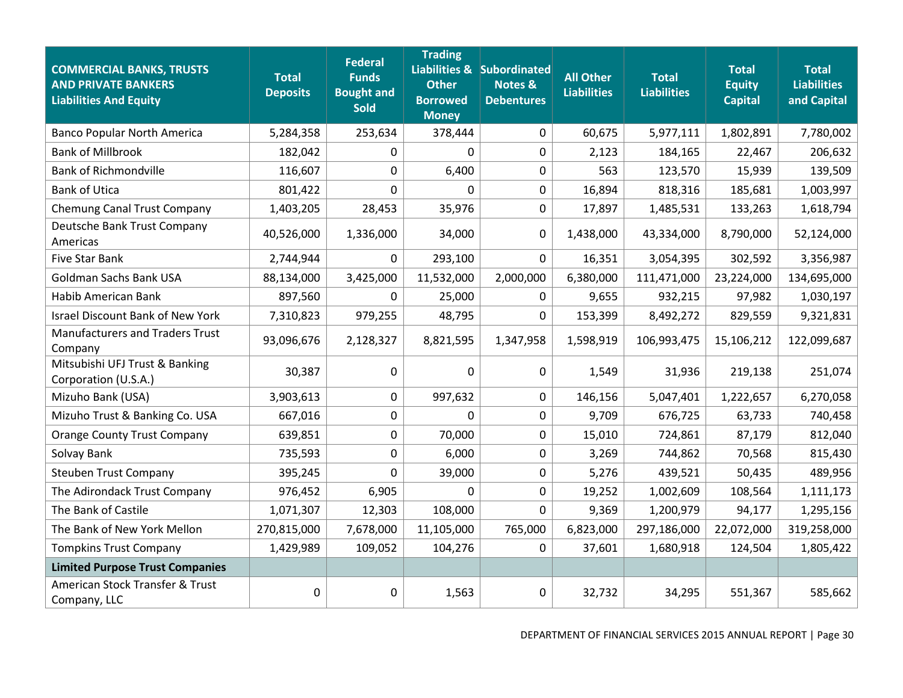| <b>COMMERCIAL BANKS, TRUSTS</b><br><b>AND PRIVATE BANKERS</b><br><b>Liabilities And Equity</b> | <b>Total</b><br><b>Deposits</b> | <b>Federal</b><br><b>Funds</b><br><b>Bought and</b><br><b>Sold</b> | <b>Trading</b><br><b>Other</b><br><b>Borrowed</b><br><b>Money</b> | Liabilities & Subordinated<br><b>Notes &amp;</b><br><b>Debentures</b> | <b>All Other</b><br><b>Liabilities</b> | <b>Total</b><br><b>Liabilities</b> | <b>Total</b><br><b>Equity</b><br><b>Capital</b> | <b>Total</b><br><b>Liabilities</b><br>and Capital |
|------------------------------------------------------------------------------------------------|---------------------------------|--------------------------------------------------------------------|-------------------------------------------------------------------|-----------------------------------------------------------------------|----------------------------------------|------------------------------------|-------------------------------------------------|---------------------------------------------------|
| <b>Banco Popular North America</b>                                                             | 5,284,358                       | 253,634                                                            | 378,444                                                           | $\mathbf 0$                                                           | 60,675                                 | 5,977,111                          | 1,802,891                                       | 7,780,002                                         |
| <b>Bank of Millbrook</b>                                                                       | 182,042                         | 0                                                                  | 0                                                                 | 0                                                                     | 2,123                                  | 184,165                            | 22,467                                          | 206,632                                           |
| <b>Bank of Richmondville</b>                                                                   | 116,607                         | 0                                                                  | 6,400                                                             | 0                                                                     | 563                                    | 123,570                            | 15,939                                          | 139,509                                           |
| <b>Bank of Utica</b>                                                                           | 801,422                         | 0                                                                  | 0                                                                 | $\mathbf 0$                                                           | 16,894                                 | 818,316                            | 185,681                                         | 1,003,997                                         |
| Chemung Canal Trust Company                                                                    | 1,403,205                       | 28,453                                                             | 35,976                                                            | $\mathbf 0$                                                           | 17,897                                 | 1,485,531                          | 133,263                                         | 1,618,794                                         |
| Deutsche Bank Trust Company<br>Americas                                                        | 40,526,000                      | 1,336,000                                                          | 34,000                                                            | $\mathbf 0$                                                           | 1,438,000                              | 43,334,000                         | 8,790,000                                       | 52,124,000                                        |
| Five Star Bank                                                                                 | 2,744,944                       | 0                                                                  | 293,100                                                           | $\Omega$                                                              | 16,351                                 | 3,054,395                          | 302,592                                         | 3,356,987                                         |
| <b>Goldman Sachs Bank USA</b>                                                                  | 88,134,000                      | 3,425,000                                                          | 11,532,000                                                        | 2,000,000                                                             | 6,380,000                              | 111,471,000                        | 23,224,000                                      | 134,695,000                                       |
| Habib American Bank                                                                            | 897,560                         | 0                                                                  | 25,000                                                            | 0                                                                     | 9,655                                  | 932,215                            | 97,982                                          | 1,030,197                                         |
| <b>Israel Discount Bank of New York</b>                                                        | 7,310,823                       | 979,255                                                            | 48,795                                                            | $\mathbf{0}$                                                          | 153,399                                | 8,492,272                          | 829,559                                         | 9,321,831                                         |
| <b>Manufacturers and Traders Trust</b><br>Company                                              | 93,096,676                      | 2,128,327                                                          | 8,821,595                                                         | 1,347,958                                                             | 1,598,919                              | 106,993,475                        | 15,106,212                                      | 122,099,687                                       |
| Mitsubishi UFJ Trust & Banking<br>Corporation (U.S.A.)                                         | 30,387                          | 0                                                                  | 0                                                                 | $\mathbf 0$                                                           | 1,549                                  | 31,936                             | 219,138                                         | 251,074                                           |
| Mizuho Bank (USA)                                                                              | 3,903,613                       | 0                                                                  | 997,632                                                           | 0                                                                     | 146,156                                | 5,047,401                          | 1,222,657                                       | 6,270,058                                         |
| Mizuho Trust & Banking Co. USA                                                                 | 667,016                         | 0                                                                  | 0                                                                 | $\mathbf 0$                                                           | 9,709                                  | 676,725                            | 63,733                                          | 740,458                                           |
| <b>Orange County Trust Company</b>                                                             | 639,851                         | 0                                                                  | 70,000                                                            | $\mathbf 0$                                                           | 15,010                                 | 724,861                            | 87,179                                          | 812,040                                           |
| Solvay Bank                                                                                    | 735,593                         | 0                                                                  | 6,000                                                             | 0                                                                     | 3,269                                  | 744,862                            | 70,568                                          | 815,430                                           |
| <b>Steuben Trust Company</b>                                                                   | 395,245                         | 0                                                                  | 39,000                                                            | $\mathbf 0$                                                           | 5,276                                  | 439,521                            | 50,435                                          | 489,956                                           |
| The Adirondack Trust Company                                                                   | 976,452                         | 6,905                                                              | 0                                                                 | 0                                                                     | 19,252                                 | 1,002,609                          | 108,564                                         | 1,111,173                                         |
| The Bank of Castile                                                                            | 1,071,307                       | 12,303                                                             | 108,000                                                           | $\Omega$                                                              | 9,369                                  | 1,200,979                          | 94,177                                          | 1,295,156                                         |
| The Bank of New York Mellon                                                                    | 270,815,000                     | 7,678,000                                                          | 11,105,000                                                        | 765,000                                                               | 6,823,000                              | 297,186,000                        | 22,072,000                                      | 319,258,000                                       |
| <b>Tompkins Trust Company</b>                                                                  | 1,429,989                       | 109,052                                                            | 104,276                                                           | $\Omega$                                                              | 37,601                                 | 1,680,918                          | 124,504                                         | 1,805,422                                         |
| <b>Limited Purpose Trust Companies</b>                                                         |                                 |                                                                    |                                                                   |                                                                       |                                        |                                    |                                                 |                                                   |
| American Stock Transfer & Trust<br>Company, LLC                                                | $\Omega$                        | 0                                                                  | 1,563                                                             | 0                                                                     | 32,732                                 | 34,295                             | 551,367                                         | 585,662                                           |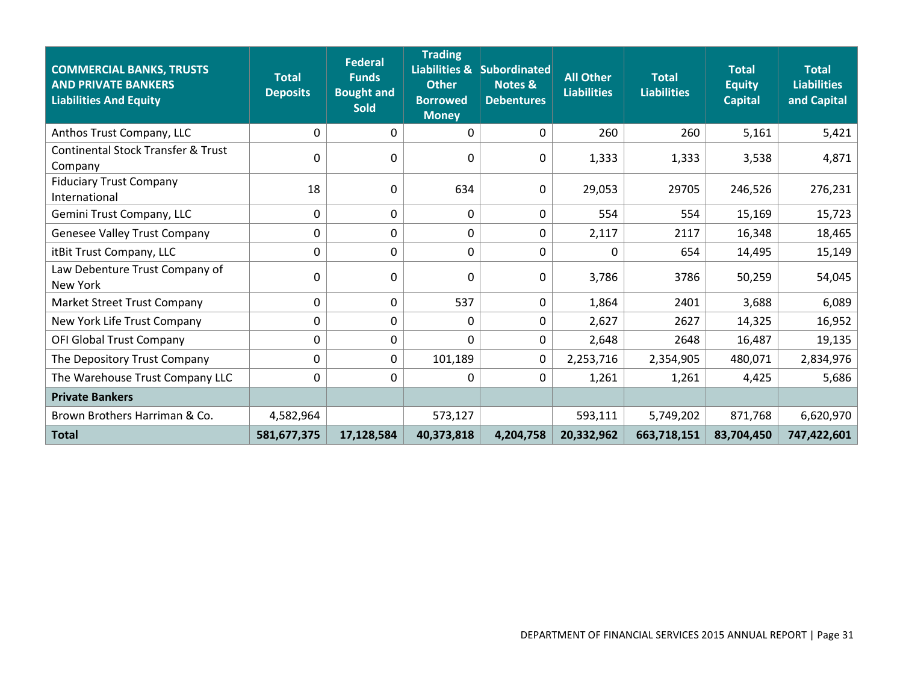| <b>COMMERCIAL BANKS, TRUSTS</b><br><b>AND PRIVATE BANKERS</b><br><b>Liabilities And Equity</b> | <b>Total</b><br><b>Deposits</b> | <b>Federal</b><br><b>Funds</b><br><b>Bought and</b><br><b>Sold</b> | <b>Trading</b><br><b>Other</b><br><b>Borrowed</b><br><b>Money</b> | Liabilities & Subordinated<br><b>Notes &amp;</b><br><b>Debentures</b> | <b>All Other</b><br><b>Liabilities</b> | <b>Total</b><br><b>Liabilities</b> | <b>Total</b><br><b>Equity</b><br><b>Capital</b> | <b>Total</b><br><b>Liabilities</b><br>and Capital |
|------------------------------------------------------------------------------------------------|---------------------------------|--------------------------------------------------------------------|-------------------------------------------------------------------|-----------------------------------------------------------------------|----------------------------------------|------------------------------------|-------------------------------------------------|---------------------------------------------------|
| Anthos Trust Company, LLC                                                                      | 0                               | 0                                                                  | 0                                                                 | $\Omega$                                                              | 260                                    | 260                                | 5,161                                           | 5,421                                             |
| <b>Continental Stock Transfer &amp; Trust</b><br>Company                                       | 0                               | 0                                                                  | 0                                                                 | 0                                                                     | 1,333                                  | 1,333                              | 3,538                                           | 4,871                                             |
| <b>Fiduciary Trust Company</b><br>International                                                | 18                              | 0                                                                  | 634                                                               | 0                                                                     | 29,053                                 | 29705                              | 246,526                                         | 276,231                                           |
| Gemini Trust Company, LLC                                                                      | 0                               | 0                                                                  | 0                                                                 | 0                                                                     | 554                                    | 554                                | 15,169                                          | 15,723                                            |
| Genesee Valley Trust Company                                                                   | 0                               | 0                                                                  | 0                                                                 | 0                                                                     | 2,117                                  | 2117                               | 16,348                                          | 18,465                                            |
| itBit Trust Company, LLC                                                                       | $\Omega$                        | 0                                                                  | 0                                                                 | $\Omega$                                                              | $\Omega$                               | 654                                | 14,495                                          | 15,149                                            |
| Law Debenture Trust Company of<br>New York                                                     | $\Omega$                        | 0                                                                  | 0                                                                 | 0                                                                     | 3,786                                  | 3786                               | 50,259                                          | 54,045                                            |
| Market Street Trust Company                                                                    | 0                               | 0                                                                  | 537                                                               | $\Omega$                                                              | 1,864                                  | 2401                               | 3,688                                           | 6,089                                             |
| New York Life Trust Company                                                                    | 0                               | 0                                                                  | 0                                                                 | $\Omega$                                                              | 2,627                                  | 2627                               | 14,325                                          | 16,952                                            |
| OFI Global Trust Company                                                                       | 0                               | 0                                                                  | 0                                                                 | $\Omega$                                                              | 2,648                                  | 2648                               | 16,487                                          | 19,135                                            |
| The Depository Trust Company                                                                   | $\Omega$                        | 0                                                                  | 101,189                                                           | 0                                                                     | 2,253,716                              | 2,354,905                          | 480,071                                         | 2,834,976                                         |
| The Warehouse Trust Company LLC                                                                | $\Omega$                        | 0                                                                  | 0                                                                 | $\Omega$                                                              | 1,261                                  | 1,261                              | 4,425                                           | 5,686                                             |
| <b>Private Bankers</b>                                                                         |                                 |                                                                    |                                                                   |                                                                       |                                        |                                    |                                                 |                                                   |
| Brown Brothers Harriman & Co.                                                                  | 4,582,964                       |                                                                    | 573,127                                                           |                                                                       | 593,111                                | 5,749,202                          | 871,768                                         | 6,620,970                                         |
| <b>Total</b>                                                                                   | 581,677,375                     | 17,128,584                                                         | 40,373,818                                                        | 4,204,758                                                             | 20,332,962                             | 663,718,151                        | 83,704,450                                      | 747,422,601                                       |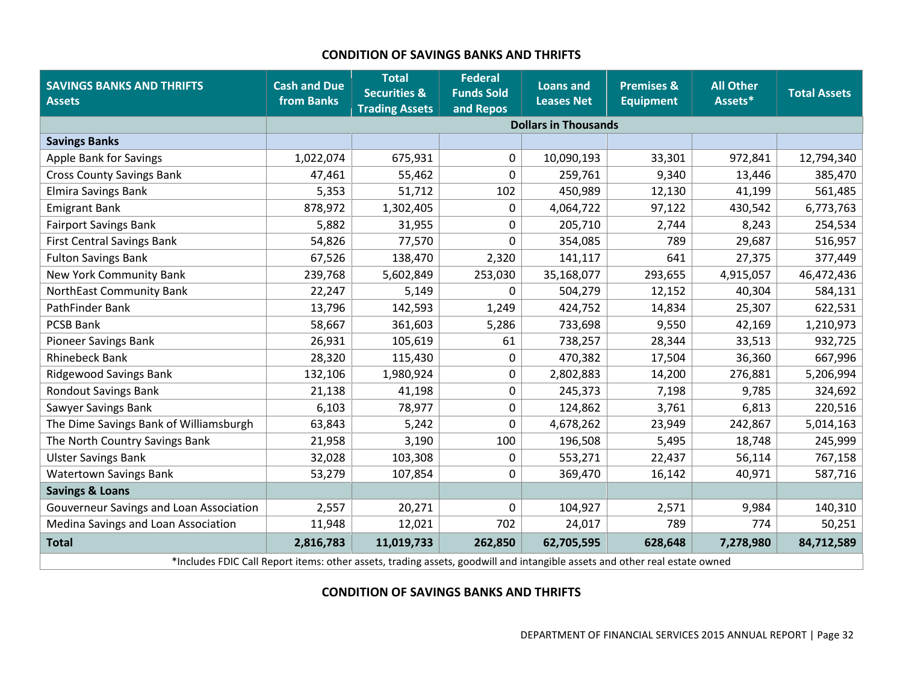#### **CONDITION OF SAVINGS BANKS AND THRIFTS**

<span id="page-33-0"></span>

| <b>SAVINGS BANKS AND THRIFTS</b><br><b>Assets</b> | <b>Cash and Due</b><br>from Banks                                                                                          | <b>Total</b><br><b>Securities &amp;</b><br><b>Trading Assets</b> | <b>Federal</b><br><b>Funds Sold</b><br>and Repos | <b>Loans and</b><br><b>Leases Net</b> | <b>Premises &amp;</b><br><b>Equipment</b> | <b>All Other</b><br>Assets* | <b>Total Assets</b> |  |  |  |
|---------------------------------------------------|----------------------------------------------------------------------------------------------------------------------------|------------------------------------------------------------------|--------------------------------------------------|---------------------------------------|-------------------------------------------|-----------------------------|---------------------|--|--|--|
|                                                   |                                                                                                                            |                                                                  |                                                  | <b>Dollars in Thousands</b>           |                                           |                             |                     |  |  |  |
| <b>Savings Banks</b>                              |                                                                                                                            |                                                                  |                                                  |                                       |                                           |                             |                     |  |  |  |
| <b>Apple Bank for Savings</b>                     | 1,022,074                                                                                                                  | 675,931                                                          | 0                                                | 10,090,193                            | 33,301                                    | 972,841                     | 12,794,340          |  |  |  |
| <b>Cross County Savings Bank</b>                  | 47,461                                                                                                                     | 55,462                                                           | 0                                                | 259,761                               | 9,340                                     | 13,446                      | 385,470             |  |  |  |
| <b>Elmira Savings Bank</b>                        | 5,353                                                                                                                      | 51,712                                                           | 102                                              | 450,989                               | 12,130                                    | 41,199                      | 561,485             |  |  |  |
| <b>Emigrant Bank</b>                              | 878,972                                                                                                                    | 1,302,405                                                        | 0                                                | 4,064,722                             | 97,122                                    | 430,542                     | 6,773,763           |  |  |  |
| <b>Fairport Savings Bank</b>                      | 5,882                                                                                                                      | 31,955                                                           | 0                                                | 205,710                               | 2,744                                     | 8,243                       | 254,534             |  |  |  |
| <b>First Central Savings Bank</b>                 | 54,826                                                                                                                     | 77,570                                                           | 0                                                | 354,085                               | 789                                       | 29,687                      | 516,957             |  |  |  |
| <b>Fulton Savings Bank</b>                        | 67,526                                                                                                                     | 138,470                                                          | 2,320                                            | 141,117                               | 641                                       | 27,375                      | 377,449             |  |  |  |
| New York Community Bank                           | 239,768                                                                                                                    | 5,602,849                                                        | 253,030                                          | 35,168,077                            | 293,655                                   | 4,915,057                   | 46,472,436          |  |  |  |
| NorthEast Community Bank                          | 22,247                                                                                                                     | 5,149                                                            | 0                                                | 504,279                               | 12,152                                    | 40,304                      | 584,131             |  |  |  |
| PathFinder Bank                                   | 13,796                                                                                                                     | 142,593                                                          | 1,249                                            | 424,752                               | 14,834                                    | 25,307                      | 622,531             |  |  |  |
| <b>PCSB Bank</b>                                  | 58,667                                                                                                                     | 361,603                                                          | 5,286                                            | 733,698                               | 9,550                                     | 42,169                      | 1,210,973           |  |  |  |
| <b>Pioneer Savings Bank</b>                       | 26,931                                                                                                                     | 105,619                                                          | 61                                               | 738,257                               | 28,344                                    | 33,513                      | 932,725             |  |  |  |
| <b>Rhinebeck Bank</b>                             | 28,320                                                                                                                     | 115,430                                                          | 0                                                | 470,382                               | 17,504                                    | 36,360                      | 667,996             |  |  |  |
| <b>Ridgewood Savings Bank</b>                     | 132,106                                                                                                                    | 1,980,924                                                        | 0                                                | 2,802,883                             | 14,200                                    | 276,881                     | 5,206,994           |  |  |  |
| <b>Rondout Savings Bank</b>                       | 21,138                                                                                                                     | 41,198                                                           | 0                                                | 245,373                               | 7,198                                     | 9,785                       | 324,692             |  |  |  |
| Sawyer Savings Bank                               | 6,103                                                                                                                      | 78,977                                                           | 0                                                | 124,862                               | 3,761                                     | 6,813                       | 220,516             |  |  |  |
| The Dime Savings Bank of Williamsburgh            | 63,843                                                                                                                     | 5,242                                                            | 0                                                | 4,678,262                             | 23,949                                    | 242,867                     | 5,014,163           |  |  |  |
| The North Country Savings Bank                    | 21,958                                                                                                                     | 3,190                                                            | 100                                              | 196,508                               | 5,495                                     | 18,748                      | 245,999             |  |  |  |
| <b>Ulster Savings Bank</b>                        | 32,028                                                                                                                     | 103,308                                                          | 0                                                | 553,271                               | 22,437                                    | 56,114                      | 767,158             |  |  |  |
| <b>Watertown Savings Bank</b>                     | 53,279                                                                                                                     | 107,854                                                          | 0                                                | 369,470                               | 16,142                                    | 40,971                      | 587,716             |  |  |  |
| <b>Savings &amp; Loans</b>                        |                                                                                                                            |                                                                  |                                                  |                                       |                                           |                             |                     |  |  |  |
| Gouverneur Savings and Loan Association           | 2,557                                                                                                                      | 20,271                                                           | 0                                                | 104,927                               | 2,571                                     | 9,984                       | 140,310             |  |  |  |
| Medina Savings and Loan Association               | 11,948                                                                                                                     | 12,021                                                           | 702                                              | 24,017                                | 789                                       | 774                         | 50,251              |  |  |  |
| <b>Total</b>                                      | 2,816,783                                                                                                                  | 11,019,733                                                       | 262,850                                          | 62,705,595                            | 628,648                                   | 7,278,980                   | 84,712,589          |  |  |  |
|                                                   | *Includes FDIC Call Report items: other assets, trading assets, goodwill and intangible assets and other real estate owned |                                                                  |                                                  |                                       |                                           |                             |                     |  |  |  |

#### <span id="page-33-1"></span>**CONDITION OF SAVINGS BANKS AND THRIFTS**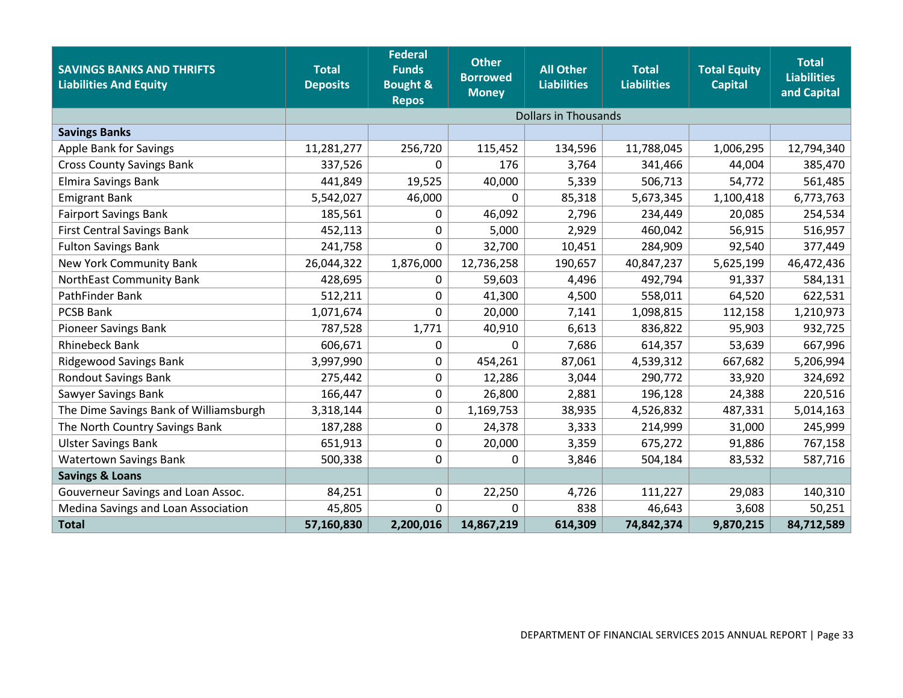| <b>SAVINGS BANKS AND THRIFTS</b><br><b>Liabilities And Equity</b> | <b>Total</b><br><b>Deposits</b> | <b>Federal</b><br><b>Funds</b><br><b>Bought &amp;</b><br><b>Repos</b> | <b>Other</b><br><b>Borrowed</b><br><b>Money</b> | <b>All Other</b><br><b>Liabilities</b> | <b>Total</b><br><b>Liabilities</b> | <b>Total Equity</b><br><b>Capital</b> | <b>Total</b><br><b>Liabilities</b><br>and Capital |
|-------------------------------------------------------------------|---------------------------------|-----------------------------------------------------------------------|-------------------------------------------------|----------------------------------------|------------------------------------|---------------------------------------|---------------------------------------------------|
|                                                                   |                                 |                                                                       |                                                 | <b>Dollars in Thousands</b>            |                                    |                                       |                                                   |
| <b>Savings Banks</b>                                              |                                 |                                                                       |                                                 |                                        |                                    |                                       |                                                   |
| Apple Bank for Savings                                            | 11,281,277                      | 256,720                                                               | 115,452                                         | 134,596                                | 11,788,045                         | 1,006,295                             | 12,794,340                                        |
| <b>Cross County Savings Bank</b>                                  | 337,526                         | 0                                                                     | 176                                             | 3,764                                  | 341,466                            | 44,004                                | 385,470                                           |
| <b>Elmira Savings Bank</b>                                        | 441,849                         | 19,525                                                                | 40,000                                          | 5,339                                  | 506,713                            | 54,772                                | 561,485                                           |
| <b>Emigrant Bank</b>                                              | 5,542,027                       | 46,000                                                                | 0                                               | 85,318                                 | 5,673,345                          | 1,100,418                             | 6,773,763                                         |
| <b>Fairport Savings Bank</b>                                      | 185,561                         | 0                                                                     | 46,092                                          | 2,796                                  | 234,449                            | 20,085                                | 254,534                                           |
| <b>First Central Savings Bank</b>                                 | 452,113                         | 0                                                                     | 5,000                                           | 2,929                                  | 460,042                            | 56,915                                | 516,957                                           |
| <b>Fulton Savings Bank</b>                                        | 241,758                         | 0                                                                     | 32,700                                          | 10,451                                 | 284,909                            | 92,540                                | 377,449                                           |
| New York Community Bank                                           | 26,044,322                      | 1,876,000                                                             | 12,736,258                                      | 190,657                                | 40,847,237                         | 5,625,199                             | 46,472,436                                        |
| NorthEast Community Bank                                          | 428,695                         | 0                                                                     | 59,603                                          | 4,496                                  | 492,794                            | 91,337                                | 584,131                                           |
| PathFinder Bank                                                   | 512,211                         | 0                                                                     | 41,300                                          | 4,500                                  | 558,011                            | 64,520                                | 622,531                                           |
| PCSB Bank                                                         | 1,071,674                       | 0                                                                     | 20,000                                          | 7,141                                  | 1,098,815                          | 112,158                               | 1,210,973                                         |
| <b>Pioneer Savings Bank</b>                                       | 787,528                         | 1,771                                                                 | 40,910                                          | 6,613                                  | 836,822                            | 95,903                                | 932,725                                           |
| <b>Rhinebeck Bank</b>                                             | 606,671                         | 0                                                                     | 0                                               | 7,686                                  | 614,357                            | 53,639                                | 667,996                                           |
| <b>Ridgewood Savings Bank</b>                                     | 3,997,990                       | 0                                                                     | 454,261                                         | 87,061                                 | 4,539,312                          | 667,682                               | 5,206,994                                         |
| <b>Rondout Savings Bank</b>                                       | 275,442                         | 0                                                                     | 12,286                                          | 3,044                                  | 290,772                            | 33,920                                | 324,692                                           |
| Sawyer Savings Bank                                               | 166,447                         | 0                                                                     | 26,800                                          | 2,881                                  | 196,128                            | 24,388                                | 220,516                                           |
| The Dime Savings Bank of Williamsburgh                            | 3,318,144                       | 0                                                                     | 1,169,753                                       | 38,935                                 | 4,526,832                          | 487,331                               | 5,014,163                                         |
| The North Country Savings Bank                                    | 187,288                         | 0                                                                     | 24,378                                          | 3,333                                  | 214,999                            | 31,000                                | 245,999                                           |
| <b>Ulster Savings Bank</b>                                        | 651,913                         | 0                                                                     | 20,000                                          | 3,359                                  | 675,272                            | 91,886                                | 767,158                                           |
| <b>Watertown Savings Bank</b>                                     | 500,338                         | 0                                                                     | 0                                               | 3,846                                  | 504,184                            | 83,532                                | 587,716                                           |
| <b>Savings &amp; Loans</b>                                        |                                 |                                                                       |                                                 |                                        |                                    |                                       |                                                   |
| Gouverneur Savings and Loan Assoc.                                | 84,251                          | 0                                                                     | 22,250                                          | 4,726                                  | 111,227                            | 29,083                                | 140,310                                           |
| Medina Savings and Loan Association                               | 45,805                          | 0                                                                     | $\Omega$                                        | 838                                    | 46,643                             | 3,608                                 | 50,251                                            |
| <b>Total</b>                                                      | 57,160,830                      | 2,200,016                                                             | 14,867,219                                      | 614,309                                | 74,842,374                         | 9,870,215                             | 84,712,589                                        |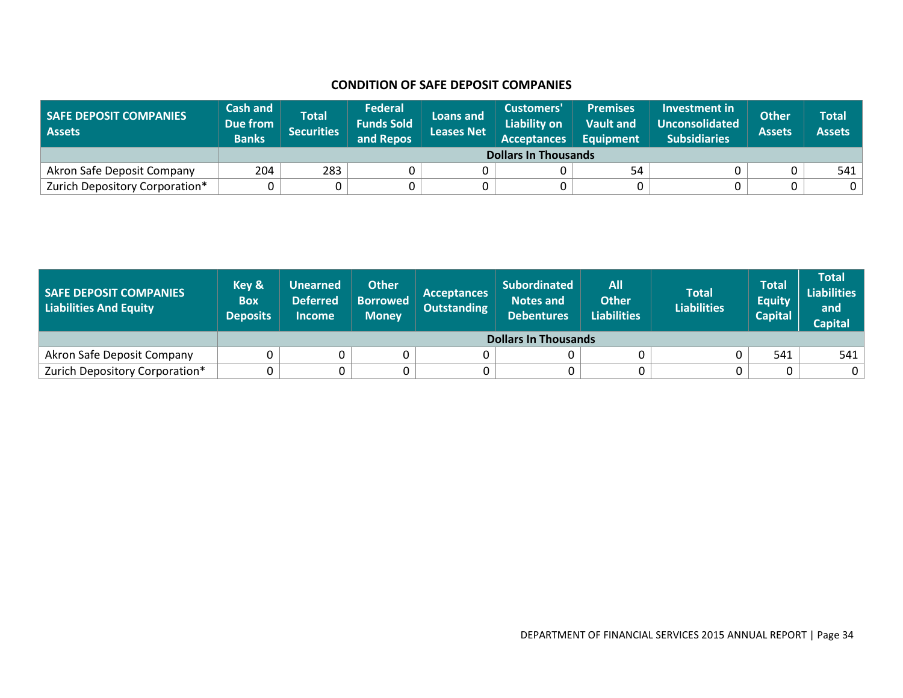#### **CONDITION OF SAFE DEPOSIT COMPANIES**

| <b>SAFE DEPOSIT COMPANIES</b><br><b>Assets</b> | <b>Cash and</b><br>Due from<br><b>Banks</b> | <b>Total</b><br><b>Securities</b> | <b>Federal</b><br><b>Funds Sold</b><br>and Repos | Loans and<br><b>Leases Net</b> | Customers'<br><b>Liability on</b><br><b>Acceptances</b> | <b>Premises</b><br><b>Vault and</b><br><b>Equipment</b> | Investment in<br>Unconsolidated<br><b>Subsidiaries</b> | <b>Other</b><br><b>Assets</b> | Total<br><b>Assets</b> |  |
|------------------------------------------------|---------------------------------------------|-----------------------------------|--------------------------------------------------|--------------------------------|---------------------------------------------------------|---------------------------------------------------------|--------------------------------------------------------|-------------------------------|------------------------|--|
|                                                |                                             | <b>Dollars In Thousands</b>       |                                                  |                                |                                                         |                                                         |                                                        |                               |                        |  |
| Akron Safe Deposit Company                     | 204                                         | 283                               |                                                  |                                |                                                         | 54                                                      |                                                        |                               | 541                    |  |
| Zurich Depository Corporation*                 |                                             |                                   |                                                  |                                |                                                         |                                                         |                                                        |                               |                        |  |

<span id="page-35-0"></span>

| <b>SAFE DEPOSIT COMPANIES</b><br>Liabilities And Equity | Key &<br><b>Box</b><br><b>Deposits</b> | <b>Unearned</b><br><b>Deferred</b><br><b>Income</b> | <b>Other</b><br><b>Borrowed</b><br><b>Money</b> | <b>Acceptances</b><br><b>Outstanding</b> | <b>Subordinated</b><br><b>Notes and</b><br><b>Debentures</b> | <b>All</b><br><b>Other</b><br><b>Liabilities</b> | <b>Total</b><br><b>Liabilities</b> | <b>Total</b><br><b>Equity</b><br><b>Capital</b> | <b>Total</b><br><b>Liabilities</b><br>and<br><b>Capital</b> |  |
|---------------------------------------------------------|----------------------------------------|-----------------------------------------------------|-------------------------------------------------|------------------------------------------|--------------------------------------------------------------|--------------------------------------------------|------------------------------------|-------------------------------------------------|-------------------------------------------------------------|--|
|                                                         | <b>Dollars In Thousands</b>            |                                                     |                                                 |                                          |                                                              |                                                  |                                    |                                                 |                                                             |  |
| Akron Safe Deposit Company                              |                                        |                                                     |                                                 |                                          |                                                              |                                                  |                                    | 541                                             | 541                                                         |  |
| Zurich Depository Corporation*                          |                                        |                                                     |                                                 |                                          | 0                                                            |                                                  |                                    |                                                 | 0                                                           |  |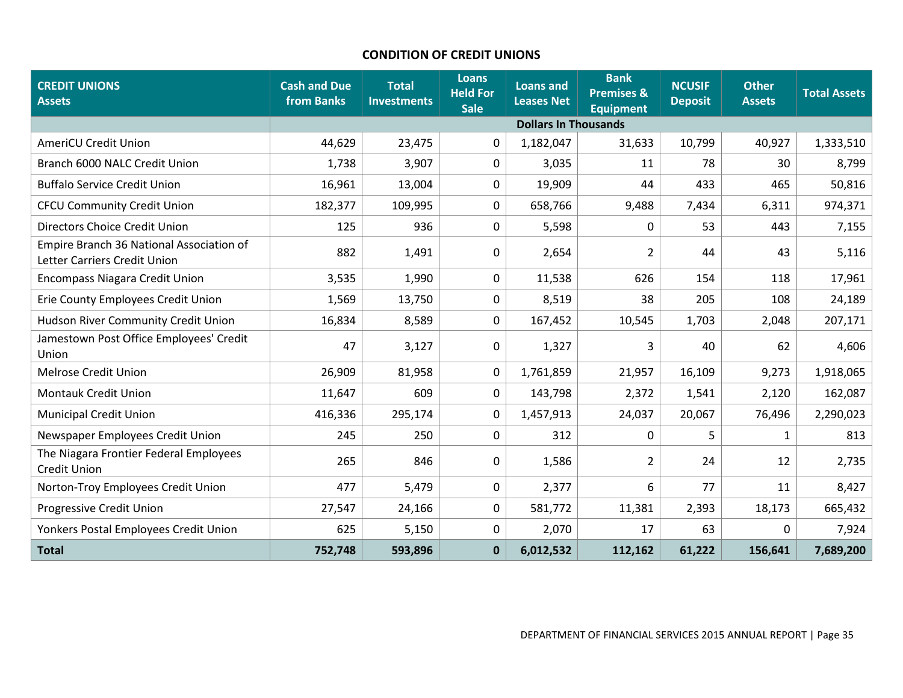## **CONDITION OF CREDIT UNIONS**

| <b>CREDIT UNIONS</b><br><b>Assets</b>                                    | <b>Cash and Due</b><br>from Banks | <b>Total</b><br><b>Investments</b> | <b>Loans</b><br><b>Held For</b><br><b>Sale</b> | <b>Loans and</b><br><b>Leases Net</b> | <b>Bank</b><br><b>Premises &amp;</b><br><b>Equipment</b> | <b>NCUSIF</b><br><b>Deposit</b> | <b>Other</b><br><b>Assets</b> | <b>Total Assets</b> |
|--------------------------------------------------------------------------|-----------------------------------|------------------------------------|------------------------------------------------|---------------------------------------|----------------------------------------------------------|---------------------------------|-------------------------------|---------------------|
|                                                                          |                                   |                                    |                                                | <b>Dollars In Thousands</b>           |                                                          |                                 |                               |                     |
| AmeriCU Credit Union                                                     | 44,629                            | 23,475                             | $\Omega$                                       | 1,182,047                             | 31,633                                                   | 10,799                          | 40,927                        | 1,333,510           |
| Branch 6000 NALC Credit Union                                            | 1,738                             | 3,907                              | $\mathbf{0}$                                   | 3,035                                 | 11                                                       | 78                              | 30                            | 8,799               |
| <b>Buffalo Service Credit Union</b>                                      | 16,961                            | 13,004                             | $\mathbf 0$                                    | 19,909                                | 44                                                       | 433                             | 465                           | 50,816              |
| <b>CFCU Community Credit Union</b>                                       | 182,377                           | 109,995                            | $\mathbf 0$                                    | 658,766                               | 9,488                                                    | 7,434                           | 6,311                         | 974,371             |
| Directors Choice Credit Union                                            | 125                               | 936                                | 0                                              | 5,598                                 | 0                                                        | 53                              | 443                           | 7,155               |
| Empire Branch 36 National Association of<br>Letter Carriers Credit Union | 882                               | 1,491                              | 0                                              | 2,654                                 | 2                                                        | 44                              | 43                            | 5,116               |
| <b>Encompass Niagara Credit Union</b>                                    | 3,535                             | 1,990                              | $\mathbf 0$                                    | 11,538                                | 626                                                      | 154                             | 118                           | 17,961              |
| Erie County Employees Credit Union                                       | 1,569                             | 13,750                             | 0                                              | 8,519                                 | 38                                                       | 205                             | 108                           | 24,189              |
| Hudson River Community Credit Union                                      | 16,834                            | 8,589                              | 0                                              | 167,452                               | 10,545                                                   | 1,703                           | 2,048                         | 207,171             |
| Jamestown Post Office Employees' Credit<br>Union                         | 47                                | 3,127                              | 0                                              | 1,327                                 | 3                                                        | 40                              | 62                            | 4,606               |
| <b>Melrose Credit Union</b>                                              | 26,909                            | 81,958                             | $\mathbf 0$                                    | 1,761,859                             | 21,957                                                   | 16,109                          | 9,273                         | 1,918,065           |
| <b>Montauk Credit Union</b>                                              | 11,647                            | 609                                | $\mathbf{0}$                                   | 143,798                               | 2,372                                                    | 1,541                           | 2,120                         | 162,087             |
| <b>Municipal Credit Union</b>                                            | 416,336                           | 295,174                            | $\mathbf{0}$                                   | 1,457,913                             | 24,037                                                   | 20,067                          | 76,496                        | 2,290,023           |
| Newspaper Employees Credit Union                                         | 245                               | 250                                | $\mathbf 0$                                    | 312                                   | 0                                                        | 5                               | $\mathbf{1}$                  | 813                 |
| The Niagara Frontier Federal Employees<br><b>Credit Union</b>            | 265                               | 846                                | $\mathbf 0$                                    | 1,586                                 | $\overline{2}$                                           | 24                              | 12                            | 2,735               |
| Norton-Troy Employees Credit Union                                       | 477                               | 5,479                              | 0                                              | 2,377                                 | 6                                                        | 77                              | 11                            | 8,427               |
| Progressive Credit Union                                                 | 27,547                            | 24,166                             | $\mathbf 0$                                    | 581,772                               | 11,381                                                   | 2,393                           | 18,173                        | 665,432             |
| Yonkers Postal Employees Credit Union                                    | 625                               | 5,150                              | 0                                              | 2,070                                 | 17                                                       | 63                              | 0                             | 7,924               |
| <b>Total</b>                                                             | 752,748                           | 593,896                            | $\mathbf 0$                                    | 6,012,532                             | 112,162                                                  | 61,222                          | 156,641                       | 7,689,200           |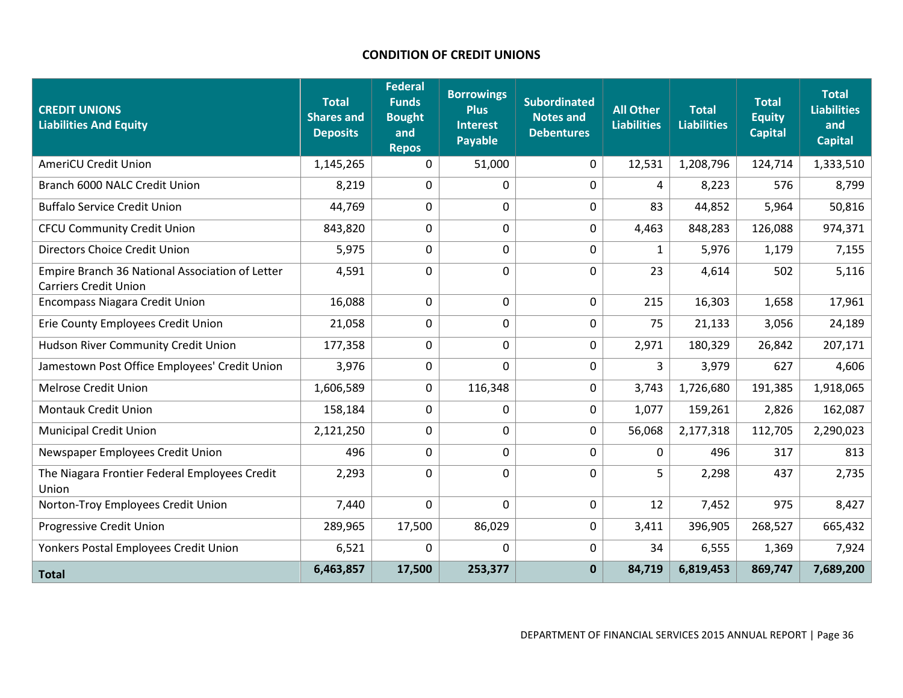## **CONDITION OF CREDIT UNIONS**

| <b>CREDIT UNIONS</b><br><b>Liabilities And Equity</b>                           | <b>Total</b><br><b>Shares and</b><br><b>Deposits</b> | <b>Federal</b><br><b>Funds</b><br><b>Bought</b><br>and<br><b>Repos</b> | <b>Borrowings</b><br><b>Plus</b><br><b>Interest</b><br>Payable | <b>Subordinated</b><br><b>Notes and</b><br><b>Debentures</b> | <b>All Other</b><br><b>Liabilities</b> | <b>Total</b><br><b>Liabilities</b> | <b>Total</b><br><b>Equity</b><br><b>Capital</b> | <b>Total</b><br><b>Liabilities</b><br>and<br><b>Capital</b> |
|---------------------------------------------------------------------------------|------------------------------------------------------|------------------------------------------------------------------------|----------------------------------------------------------------|--------------------------------------------------------------|----------------------------------------|------------------------------------|-------------------------------------------------|-------------------------------------------------------------|
| <b>AmeriCU Credit Union</b>                                                     | 1,145,265                                            | $\mathbf{0}$                                                           | 51,000                                                         | 0                                                            | 12,531                                 | 1,208,796                          | 124,714                                         | 1,333,510                                                   |
| Branch 6000 NALC Credit Union                                                   | 8,219                                                | 0                                                                      | $\mathbf 0$                                                    | 0                                                            | 4                                      | 8,223                              | 576                                             | 8,799                                                       |
| <b>Buffalo Service Credit Union</b>                                             | 44,769                                               | 0                                                                      | $\mathbf 0$                                                    | 0                                                            | 83                                     | 44,852                             | 5,964                                           | 50,816                                                      |
| <b>CFCU Community Credit Union</b>                                              | 843,820                                              | 0                                                                      | $\mathbf 0$                                                    | 0                                                            | 4,463                                  | 848,283                            | 126,088                                         | 974,371                                                     |
| Directors Choice Credit Union                                                   | 5,975                                                | $\mathbf 0$                                                            | $\mathbf 0$                                                    | 0                                                            | $\mathbf{1}$                           | 5,976                              | 1,179                                           | 7,155                                                       |
| Empire Branch 36 National Association of Letter<br><b>Carriers Credit Union</b> | 4,591                                                | 0                                                                      | $\mathbf 0$                                                    | 0                                                            | 23                                     | 4,614                              | 502                                             | 5,116                                                       |
| <b>Encompass Niagara Credit Union</b>                                           | 16,088                                               | 0                                                                      | $\mathbf 0$                                                    | 0                                                            | 215                                    | 16,303                             | 1,658                                           | 17,961                                                      |
| Erie County Employees Credit Union                                              | 21,058                                               | 0                                                                      | $\mathbf 0$                                                    | 0                                                            | 75                                     | 21,133                             | 3,056                                           | 24,189                                                      |
| Hudson River Community Credit Union                                             | 177,358                                              | 0                                                                      | $\mathbf 0$                                                    | 0                                                            | 2,971                                  | 180,329                            | 26,842                                          | 207,171                                                     |
| Jamestown Post Office Employees' Credit Union                                   | 3,976                                                | 0                                                                      | $\mathbf 0$                                                    | 0                                                            | 3                                      | 3,979                              | 627                                             | 4,606                                                       |
| <b>Melrose Credit Union</b>                                                     | 1,606,589                                            | $\mathbf 0$                                                            | 116,348                                                        | 0                                                            | 3,743                                  | 1,726,680                          | 191,385                                         | 1,918,065                                                   |
| <b>Montauk Credit Union</b>                                                     | 158,184                                              | 0                                                                      | 0                                                              | 0                                                            | 1,077                                  | 159,261                            | 2,826                                           | 162,087                                                     |
| <b>Municipal Credit Union</b>                                                   | 2,121,250                                            | 0                                                                      | $\mathbf 0$                                                    | 0                                                            | 56,068                                 | 2,177,318                          | 112,705                                         | 2,290,023                                                   |
| Newspaper Employees Credit Union                                                | 496                                                  | 0                                                                      | $\mathbf 0$                                                    | 0                                                            | 0                                      | 496                                | 317                                             | 813                                                         |
| The Niagara Frontier Federal Employees Credit<br>Union                          | 2,293                                                | 0                                                                      | $\mathbf 0$                                                    | 0                                                            | 5                                      | 2,298                              | 437                                             | 2,735                                                       |
| Norton-Troy Employees Credit Union                                              | 7,440                                                | 0                                                                      | $\mathbf{0}$                                                   | 0                                                            | 12                                     | 7,452                              | 975                                             | 8,427                                                       |
| <b>Progressive Credit Union</b>                                                 | 289,965                                              | 17,500                                                                 | 86,029                                                         | 0                                                            | 3,411                                  | 396,905                            | 268,527                                         | 665,432                                                     |
| Yonkers Postal Employees Credit Union                                           | 6,521                                                | 0                                                                      | 0                                                              | 0                                                            | 34                                     | 6,555                              | 1,369                                           | 7,924                                                       |
| <b>Total</b>                                                                    | 6,463,857                                            | 17,500                                                                 | 253,377                                                        | $\mathbf{0}$                                                 | 84,719                                 | 6,819,453                          | 869,747                                         | 7,689,200                                                   |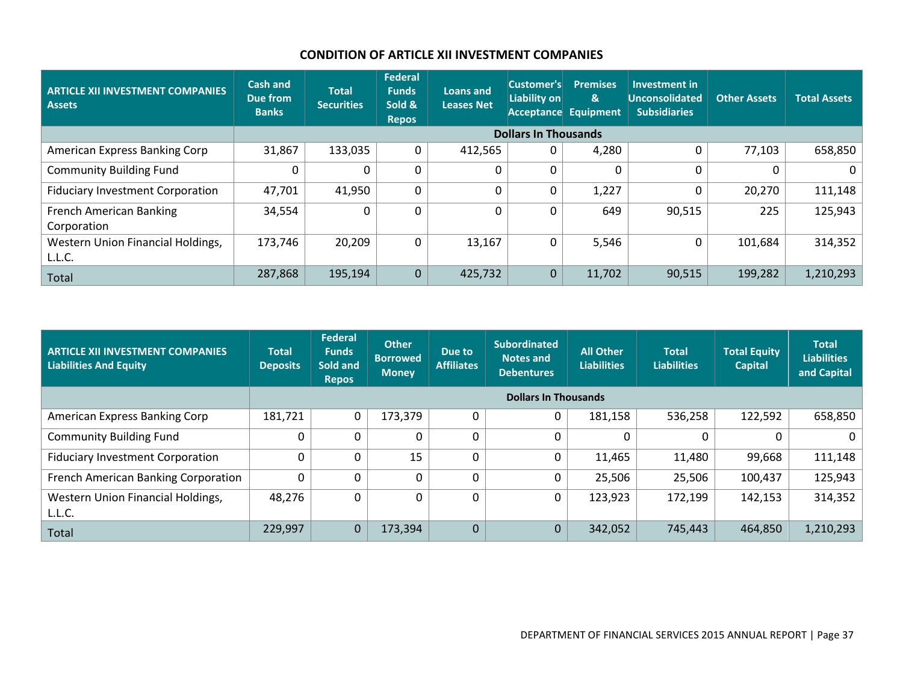## **CONDITION OF ARTICLE XII INVESTMENT COMPANIES**

| <b>ARTICLE XII INVESTMENT COMPANIES</b><br><b>Assets</b> | <b>Cash and</b><br>Due from<br><b>Banks</b> | <b>Total</b><br><b>Securities</b> | <b>Federal</b><br><b>Funds</b><br>Sold &<br><b>Repos</b> | Loans and<br><b>Leases Net</b> | Customer's<br>Liability on | <b>Premises</b><br>&<br>Acceptance Equipment | <b>Investment in</b><br><b>Unconsolidated</b><br><b>Subsidiaries</b> | <b>Other Assets</b> | <b>Total Assets</b> |
|----------------------------------------------------------|---------------------------------------------|-----------------------------------|----------------------------------------------------------|--------------------------------|----------------------------|----------------------------------------------|----------------------------------------------------------------------|---------------------|---------------------|
|                                                          | <b>Dollars In Thousands</b>                 |                                   |                                                          |                                |                            |                                              |                                                                      |                     |                     |
| American Express Banking Corp                            | 31,867                                      | 133,035                           | $\mathbf 0$                                              | 412,565                        | 0                          | 4,280                                        |                                                                      | 77,103              | 658,850             |
| <b>Community Building Fund</b>                           |                                             |                                   | 0                                                        |                                | 0                          | 0                                            |                                                                      |                     | 0                   |
| <b>Fiduciary Investment Corporation</b>                  | 47,701                                      | 41,950                            | $\mathbf 0$                                              | 0                              | 0                          | 1,227                                        |                                                                      | 20,270              | 111,148             |
| <b>French American Banking</b>                           | 34,554                                      |                                   | $\mathbf 0$                                              |                                | 0                          | 649                                          | 90,515                                                               | 225                 | 125,943             |
| Corporation                                              |                                             |                                   |                                                          |                                |                            |                                              |                                                                      |                     |                     |
| Western Union Financial Holdings,                        | 173,746                                     | 20,209                            | 0                                                        | 13,167                         | 0                          | 5,546                                        |                                                                      | 101,684             | 314,352             |
| L.L.C.                                                   |                                             |                                   |                                                          |                                |                            |                                              |                                                                      |                     |                     |
| Total                                                    | 287,868                                     | 195,194                           | $\overline{0}$                                           | 425,732                        | $\mathbf{0}$               | 11,702                                       | 90,515                                                               | 199,282             | 1,210,293           |

| <b>ARTICLE XII INVESTMENT COMPANIES</b><br><b>Liabilities And Equity</b> | Total<br><b>Deposits</b>    | <b>Federal</b><br><b>Funds</b><br>Sold and<br><b>Repos</b> | <b>Other</b><br><b>Borrowed</b><br><b>Money</b> | Due to<br><b>Affiliates</b> | <b>Subordinated</b><br><b>Notes and</b><br><b>Debentures</b> | <b>All Other</b><br><b>Liabilities</b> | <b>Total</b><br><b>Liabilities</b> | <b>Total Equity</b><br><b>Capital</b> | <b>Total</b><br><b>Liabilities</b><br>and Capital |
|--------------------------------------------------------------------------|-----------------------------|------------------------------------------------------------|-------------------------------------------------|-----------------------------|--------------------------------------------------------------|----------------------------------------|------------------------------------|---------------------------------------|---------------------------------------------------|
|                                                                          | <b>Dollars In Thousands</b> |                                                            |                                                 |                             |                                                              |                                        |                                    |                                       |                                                   |
| American Express Banking Corp                                            | 181,721                     | 0                                                          | 173,379                                         | 0                           | 0                                                            | 181,158                                | 536,258                            | 122,592                               | 658,850                                           |
| <b>Community Building Fund</b>                                           |                             | $\mathbf{0}$                                               | 0                                               | 0                           | 0                                                            |                                        | $\mathbf{0}$                       | 0                                     | 0                                                 |
| <b>Fiduciary Investment Corporation</b>                                  |                             | $\Omega$                                                   | 15                                              | 0                           | 0                                                            | 11,465                                 | 11,480                             | 99,668                                | 111,148                                           |
| French American Banking Corporation                                      | $\Omega$                    | $\Omega$                                                   | $\overline{0}$                                  | $\Omega$                    | 0                                                            | 25,506                                 | 25,506                             | 100,437                               | 125,943                                           |
| Western Union Financial Holdings,                                        | 48,276                      | $\Omega$                                                   | 0                                               | 0                           | 0                                                            | 123,923                                | 172,199                            | 142,153                               | 314,352                                           |
| L.L.C.                                                                   |                             |                                                            |                                                 |                             |                                                              |                                        |                                    |                                       |                                                   |
| Total                                                                    | 229,997                     | $\mathbf{0}$                                               | 173,394                                         | $\overline{0}$              | $\Omega$                                                     | 342,052                                | 745,443                            | 464,850                               | 1,210,293                                         |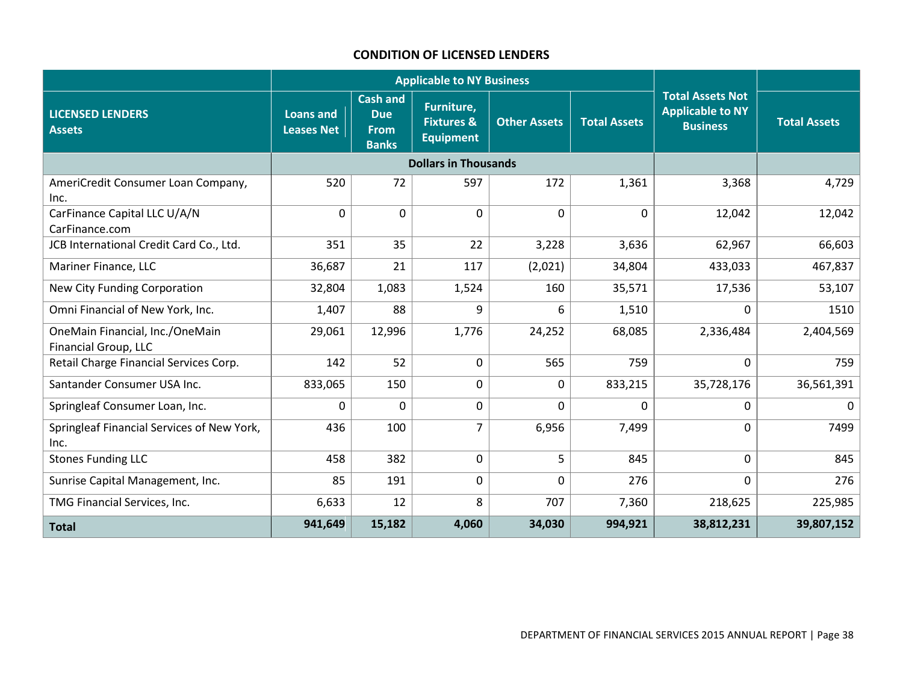## **CONDITION OF LICENSED LENDERS**

|                                                                | <b>Applicable to NY Business</b>      |                                                              |                                                         |                     |                     |                                                                       |                     |
|----------------------------------------------------------------|---------------------------------------|--------------------------------------------------------------|---------------------------------------------------------|---------------------|---------------------|-----------------------------------------------------------------------|---------------------|
| <b>LICENSED LENDERS</b><br><b>Assets</b>                       | <b>Loans and</b><br><b>Leases Net</b> | <b>Cash and</b><br><b>Due</b><br><b>From</b><br><b>Banks</b> | Furniture,<br><b>Fixtures &amp;</b><br><b>Equipment</b> | <b>Other Assets</b> | <b>Total Assets</b> | <b>Total Assets Not</b><br><b>Applicable to NY</b><br><b>Business</b> | <b>Total Assets</b> |
|                                                                |                                       |                                                              | <b>Dollars in Thousands</b>                             |                     |                     |                                                                       |                     |
| AmeriCredit Consumer Loan Company,<br>Inc.                     | 520                                   | 72                                                           | 597                                                     | 172                 | 1,361               | 3,368                                                                 | 4,729               |
| CarFinance Capital LLC U/A/N<br>CarFinance.com                 | $\mathbf 0$                           | $\mathbf 0$                                                  | $\Omega$                                                | $\Omega$            | $\mathbf{0}$        | 12,042                                                                | 12,042              |
| JCB International Credit Card Co., Ltd.                        | 351                                   | 35                                                           | 22                                                      | 3,228               | 3,636               | 62,967                                                                | 66,603              |
| Mariner Finance, LLC                                           | 36,687                                | 21                                                           | 117                                                     | (2,021)             | 34,804              | 433,033                                                               | 467,837             |
| New City Funding Corporation                                   | 32,804                                | 1,083                                                        | 1,524                                                   | 160                 | 35,571              | 17,536                                                                | 53,107              |
| Omni Financial of New York, Inc.                               | 1,407                                 | 88                                                           | 9                                                       | 6                   | 1,510               | $\Omega$                                                              | 1510                |
| OneMain Financial, Inc./OneMain<br><b>Financial Group, LLC</b> | 29,061                                | 12,996                                                       | 1,776                                                   | 24,252              | 68,085              | 2,336,484                                                             | 2,404,569           |
| Retail Charge Financial Services Corp.                         | 142                                   | 52                                                           | 0                                                       | 565                 | 759                 | $\mathbf 0$                                                           | 759                 |
| Santander Consumer USA Inc.                                    | 833,065                               | 150                                                          | $\Omega$                                                | 0                   | 833,215             | 35,728,176                                                            | 36,561,391          |
| Springleaf Consumer Loan, Inc.                                 | 0                                     | $\mathbf 0$                                                  | 0                                                       | 0                   | 0                   | 0                                                                     | $\mathbf{0}$        |
| Springleaf Financial Services of New York,<br>Inc.             | 436                                   | 100                                                          | $\overline{7}$                                          | 6,956               | 7,499               | $\mathbf 0$                                                           | 7499                |
| <b>Stones Funding LLC</b>                                      | 458                                   | 382                                                          | $\Omega$                                                | 5                   | 845                 | $\mathbf 0$                                                           | 845                 |
| Sunrise Capital Management, Inc.                               | 85                                    | 191                                                          | 0                                                       | 0                   | 276                 | $\mathbf 0$                                                           | 276                 |
| TMG Financial Services, Inc.                                   | 6,633                                 | 12                                                           | 8                                                       | 707                 | 7,360               | 218,625                                                               | 225,985             |
| <b>Total</b>                                                   | 941,649                               | 15,182                                                       | 4,060                                                   | 34,030              | 994,921             | 38,812,231                                                            | 39,807,152          |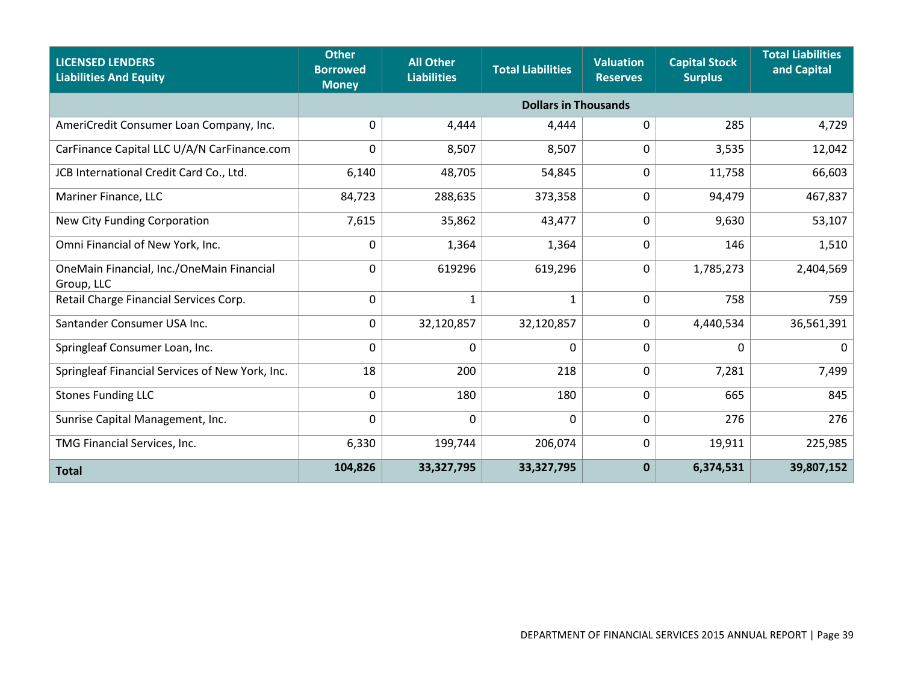| <b>LICENSED LENDERS</b><br><b>Liabilities And Equity</b> | <b>Other</b><br><b>Borrowed</b><br><b>Money</b> | <b>All Other</b><br><b>Liabilities</b> | <b>Total Liabilities</b>    | <b>Valuation</b><br><b>Reserves</b> | <b>Capital Stock</b><br><b>Surplus</b> | <b>Total Liabilities</b><br>and Capital |
|----------------------------------------------------------|-------------------------------------------------|----------------------------------------|-----------------------------|-------------------------------------|----------------------------------------|-----------------------------------------|
|                                                          |                                                 |                                        | <b>Dollars in Thousands</b> |                                     |                                        |                                         |
| AmeriCredit Consumer Loan Company, Inc.                  | 0                                               | 4,444                                  | 4,444                       | 0                                   | 285                                    | 4,729                                   |
| CarFinance Capital LLC U/A/N CarFinance.com              | $\Omega$                                        | 8,507                                  | 8,507                       | $\Omega$                            | 3,535                                  | 12,042                                  |
| JCB International Credit Card Co., Ltd.                  | 6,140                                           | 48,705                                 | 54,845                      | 0                                   | 11,758                                 | 66,603                                  |
| Mariner Finance, LLC                                     | 84,723                                          | 288,635                                | 373,358                     | 0                                   | 94,479                                 | 467,837                                 |
| New City Funding Corporation                             | 7,615                                           | 35,862                                 | 43,477                      | 0                                   | 9,630                                  | 53,107                                  |
| Omni Financial of New York, Inc.                         | 0                                               | 1,364                                  | 1,364                       | 0                                   | 146                                    | 1,510                                   |
| OneMain Financial, Inc./OneMain Financial<br>Group, LLC  | 0                                               | 619296                                 | 619,296                     | 0                                   | 1,785,273                              | 2,404,569                               |
| Retail Charge Financial Services Corp.                   | 0                                               | $\mathbf 1$                            | 1                           | 0                                   | 758                                    | 759                                     |
| Santander Consumer USA Inc.                              | 0                                               | 32,120,857                             | 32,120,857                  | 0                                   | 4,440,534                              | 36,561,391                              |
| Springleaf Consumer Loan, Inc.                           | 0                                               | $\mathbf 0$                            | $\mathbf 0$                 | 0                                   | 0                                      | 0                                       |
| Springleaf Financial Services of New York, Inc.          | 18                                              | 200                                    | 218                         | 0                                   | 7,281                                  | 7,499                                   |
| <b>Stones Funding LLC</b>                                | 0                                               | 180                                    | 180                         | 0                                   | 665                                    | 845                                     |
| Sunrise Capital Management, Inc.                         | $\mathbf 0$                                     | $\mathbf 0$                            | $\mathbf 0$                 | 0                                   | 276                                    | 276                                     |
| TMG Financial Services, Inc.                             | 6,330                                           | 199,744                                | 206,074                     | 0                                   | 19,911                                 | 225,985                                 |
| <b>Total</b>                                             | 104,826                                         | 33,327,795                             | 33,327,795                  | $\mathbf 0$                         | 6,374,531                              | 39,807,152                              |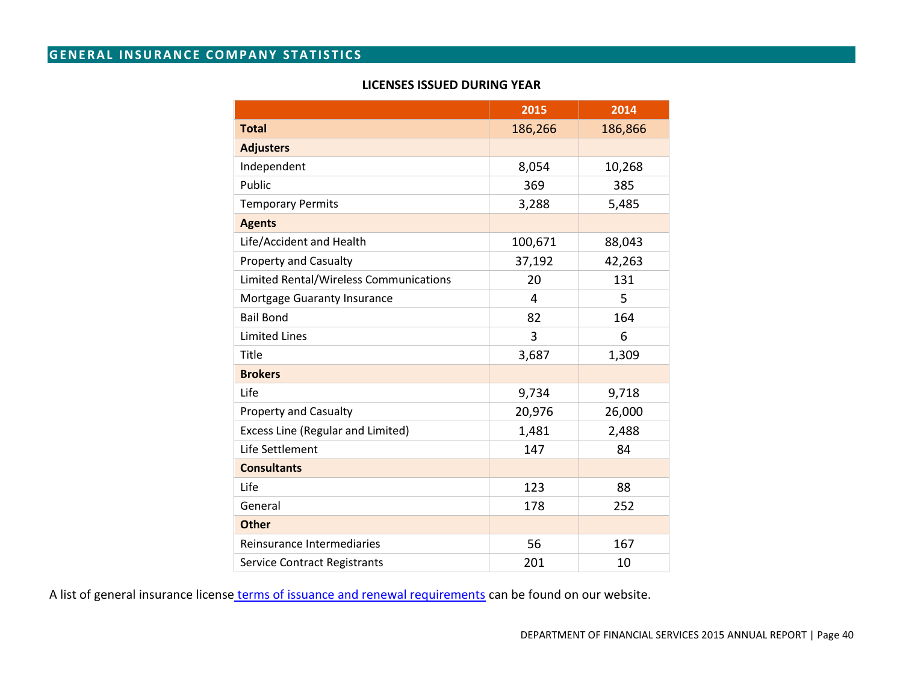## **GENERAL INSURANCE COMPANY STATISTICS**

## **LICENSES ISSUED DURING YEAR**

|                                          | 2015    | 2014    |
|------------------------------------------|---------|---------|
| <b>Total</b>                             | 186,266 | 186,866 |
| <b>Adjusters</b>                         |         |         |
| Independent                              | 8,054   | 10,268  |
| Public                                   | 369     | 385     |
| <b>Temporary Permits</b>                 | 3,288   | 5,485   |
| <b>Agents</b>                            |         |         |
| Life/Accident and Health                 | 100,671 | 88,043  |
| <b>Property and Casualty</b>             | 37,192  | 42,263  |
| Limited Rental/Wireless Communications   | 20      | 131     |
| Mortgage Guaranty Insurance              | 4       | 5       |
| <b>Bail Bond</b>                         | 82      | 164     |
| <b>Limited Lines</b>                     | 3       | 6       |
| Title                                    | 3,687   | 1,309   |
| <b>Brokers</b>                           |         |         |
| Life                                     | 9,734   | 9,718   |
| <b>Property and Casualty</b>             | 20,976  | 26,000  |
| <b>Excess Line (Regular and Limited)</b> | 1,481   | 2,488   |
| Life Settlement                          | 147     | 84      |
| <b>Consultants</b>                       |         |         |
| Life                                     | 123     | 88      |
| General                                  | 178     | 252     |
| <b>Other</b>                             |         |         |
| Reinsurance Intermediaries               | 56      | 167     |
| <b>Service Contract Registrants</b>      | 201     | 10      |

A list of general insurance license [terms of issuance and renewal requirements](http://www.dfs.ny.gov/reportpub/annualrep_license_renewal.htm) can be found on our website.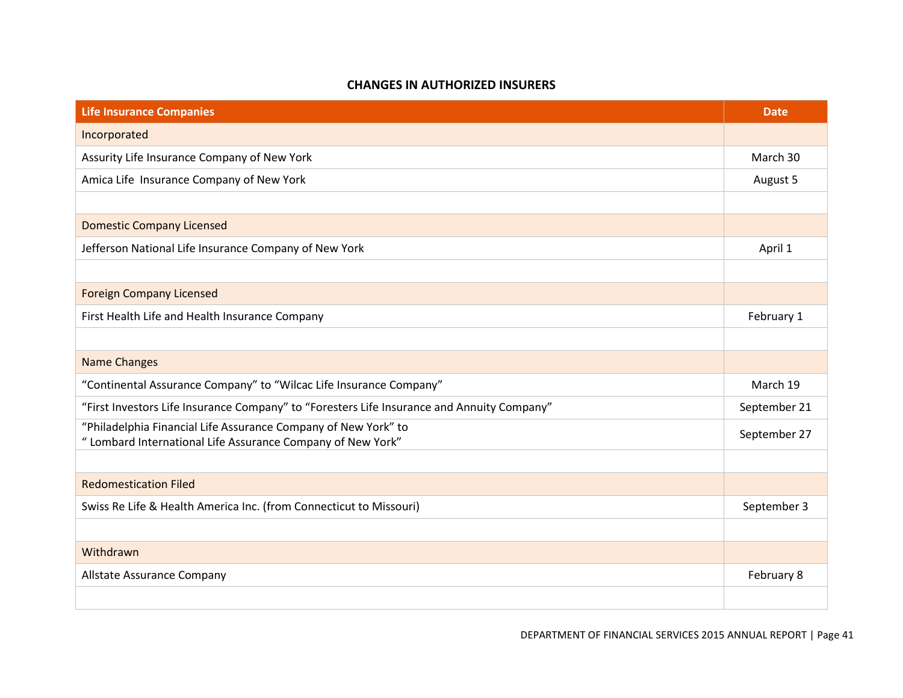#### **CHANGES IN AUTHORIZED INSURERS**

| <b>Life Insurance Companies</b>                                                                                               | <b>Date</b>  |
|-------------------------------------------------------------------------------------------------------------------------------|--------------|
| Incorporated                                                                                                                  |              |
| Assurity Life Insurance Company of New York                                                                                   | March 30     |
| Amica Life Insurance Company of New York                                                                                      | August 5     |
|                                                                                                                               |              |
| <b>Domestic Company Licensed</b>                                                                                              |              |
| Jefferson National Life Insurance Company of New York                                                                         | April 1      |
|                                                                                                                               |              |
| <b>Foreign Company Licensed</b>                                                                                               |              |
| First Health Life and Health Insurance Company                                                                                | February 1   |
|                                                                                                                               |              |
| <b>Name Changes</b>                                                                                                           |              |
| "Continental Assurance Company" to "Wilcac Life Insurance Company"                                                            | March 19     |
| "First Investors Life Insurance Company" to "Foresters Life Insurance and Annuity Company"                                    | September 21 |
| "Philadelphia Financial Life Assurance Company of New York" to<br>" Lombard International Life Assurance Company of New York" | September 27 |
|                                                                                                                               |              |
| <b>Redomestication Filed</b>                                                                                                  |              |
| Swiss Re Life & Health America Inc. (from Connecticut to Missouri)                                                            | September 3  |
|                                                                                                                               |              |
| Withdrawn                                                                                                                     |              |
| Allstate Assurance Company                                                                                                    | February 8   |
|                                                                                                                               |              |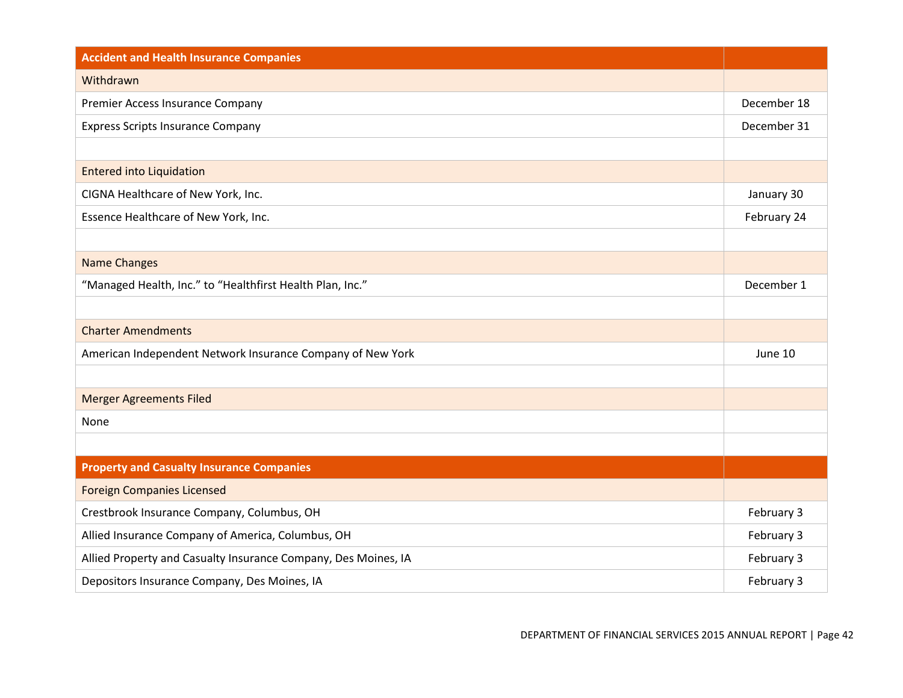| <b>Accident and Health Insurance Companies</b>                 |             |
|----------------------------------------------------------------|-------------|
| Withdrawn                                                      |             |
| Premier Access Insurance Company                               | December 18 |
| <b>Express Scripts Insurance Company</b>                       | December 31 |
|                                                                |             |
| <b>Entered into Liquidation</b>                                |             |
| CIGNA Healthcare of New York, Inc.                             | January 30  |
| Essence Healthcare of New York, Inc.                           | February 24 |
|                                                                |             |
| <b>Name Changes</b>                                            |             |
| "Managed Health, Inc." to "Healthfirst Health Plan, Inc."      | December 1  |
|                                                                |             |
| <b>Charter Amendments</b>                                      |             |
| American Independent Network Insurance Company of New York     | June 10     |
|                                                                |             |
| <b>Merger Agreements Filed</b>                                 |             |
| None                                                           |             |
|                                                                |             |
| <b>Property and Casualty Insurance Companies</b>               |             |
| <b>Foreign Companies Licensed</b>                              |             |
| Crestbrook Insurance Company, Columbus, OH                     | February 3  |
| Allied Insurance Company of America, Columbus, OH              | February 3  |
| Allied Property and Casualty Insurance Company, Des Moines, IA | February 3  |
| Depositors Insurance Company, Des Moines, IA                   | February 3  |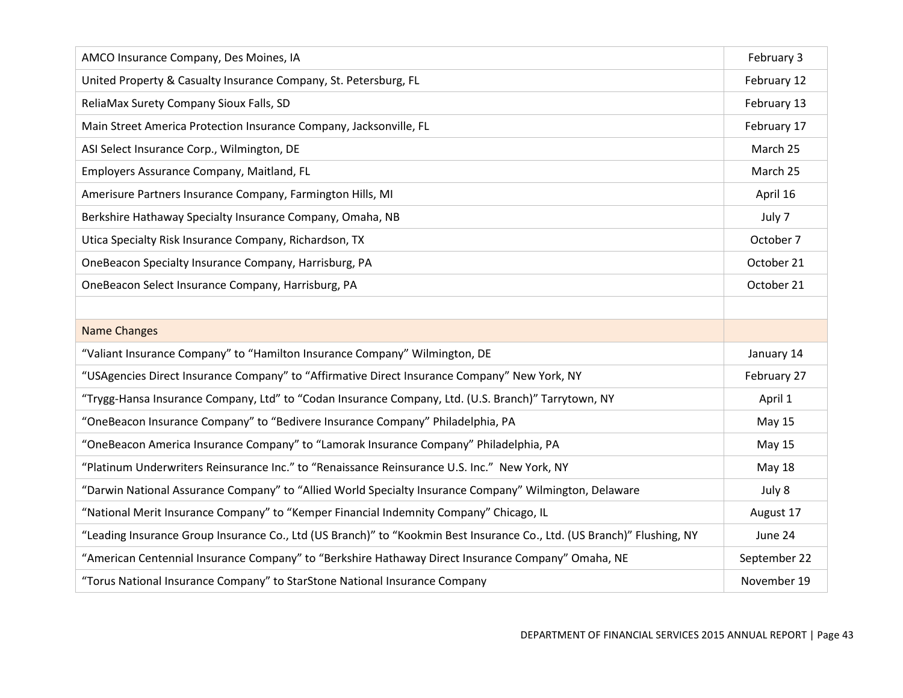| AMCO Insurance Company, Des Moines, IA                                                                                  | February 3    |
|-------------------------------------------------------------------------------------------------------------------------|---------------|
| United Property & Casualty Insurance Company, St. Petersburg, FL                                                        | February 12   |
| ReliaMax Surety Company Sioux Falls, SD                                                                                 | February 13   |
| Main Street America Protection Insurance Company, Jacksonville, FL                                                      | February 17   |
| ASI Select Insurance Corp., Wilmington, DE                                                                              | March 25      |
| Employers Assurance Company, Maitland, FL                                                                               | March 25      |
| Amerisure Partners Insurance Company, Farmington Hills, MI                                                              | April 16      |
| Berkshire Hathaway Specialty Insurance Company, Omaha, NB                                                               | July 7        |
| Utica Specialty Risk Insurance Company, Richardson, TX                                                                  | October 7     |
| OneBeacon Specialty Insurance Company, Harrisburg, PA                                                                   | October 21    |
| OneBeacon Select Insurance Company, Harrisburg, PA                                                                      | October 21    |
|                                                                                                                         |               |
| <b>Name Changes</b>                                                                                                     |               |
| "Valiant Insurance Company" to "Hamilton Insurance Company" Wilmington, DE                                              | January 14    |
| "USAgencies Direct Insurance Company" to "Affirmative Direct Insurance Company" New York, NY                            | February 27   |
| "Trygg-Hansa Insurance Company, Ltd" to "Codan Insurance Company, Ltd. (U.S. Branch)" Tarrytown, NY                     | April 1       |
| "OneBeacon Insurance Company" to "Bedivere Insurance Company" Philadelphia, PA                                          | <b>May 15</b> |
| "OneBeacon America Insurance Company" to "Lamorak Insurance Company" Philadelphia, PA                                   | <b>May 15</b> |
| "Platinum Underwriters Reinsurance Inc." to "Renaissance Reinsurance U.S. Inc." New York, NY                            | <b>May 18</b> |
| "Darwin National Assurance Company" to "Allied World Specialty Insurance Company" Wilmington, Delaware                  | July 8        |
| "National Merit Insurance Company" to "Kemper Financial Indemnity Company" Chicago, IL                                  | August 17     |
| "Leading Insurance Group Insurance Co., Ltd (US Branch)" to "Kookmin Best Insurance Co., Ltd. (US Branch)" Flushing, NY | June 24       |
| "American Centennial Insurance Company" to "Berkshire Hathaway Direct Insurance Company" Omaha, NE                      | September 22  |
| "Torus National Insurance Company" to StarStone National Insurance Company                                              | November 19   |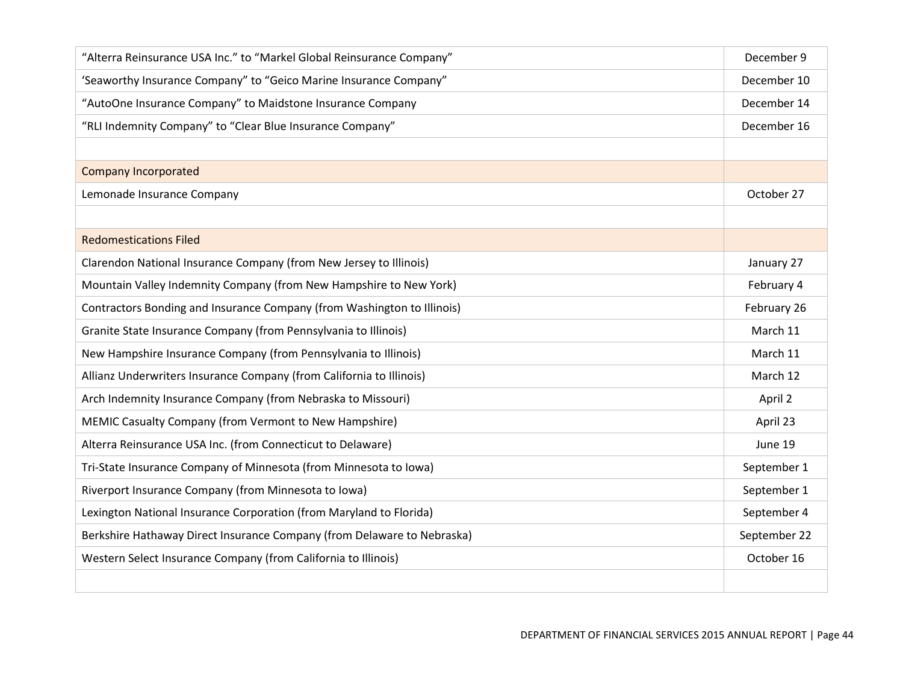| "Alterra Reinsurance USA Inc." to "Markel Global Reinsurance Company"   | December 9   |
|-------------------------------------------------------------------------|--------------|
| 'Seaworthy Insurance Company" to "Geico Marine Insurance Company"       | December 10  |
| "AutoOne Insurance Company" to Maidstone Insurance Company              | December 14  |
| "RLI Indemnity Company" to "Clear Blue Insurance Company"               | December 16  |
|                                                                         |              |
| <b>Company Incorporated</b>                                             |              |
| Lemonade Insurance Company                                              | October 27   |
|                                                                         |              |
| <b>Redomestications Filed</b>                                           |              |
| Clarendon National Insurance Company (from New Jersey to Illinois)      | January 27   |
| Mountain Valley Indemnity Company (from New Hampshire to New York)      | February 4   |
| Contractors Bonding and Insurance Company (from Washington to Illinois) | February 26  |
| Granite State Insurance Company (from Pennsylvania to Illinois)         | March 11     |
| New Hampshire Insurance Company (from Pennsylvania to Illinois)         | March 11     |
| Allianz Underwriters Insurance Company (from California to Illinois)    | March 12     |
| Arch Indemnity Insurance Company (from Nebraska to Missouri)            | April 2      |
| MEMIC Casualty Company (from Vermont to New Hampshire)                  | April 23     |
| Alterra Reinsurance USA Inc. (from Connecticut to Delaware)             | June 19      |
| Tri-State Insurance Company of Minnesota (from Minnesota to Iowa)       | September 1  |
| Riverport Insurance Company (from Minnesota to Iowa)                    | September 1  |
| Lexington National Insurance Corporation (from Maryland to Florida)     | September 4  |
| Berkshire Hathaway Direct Insurance Company (from Delaware to Nebraska) | September 22 |
| Western Select Insurance Company (from California to Illinois)          | October 16   |
|                                                                         |              |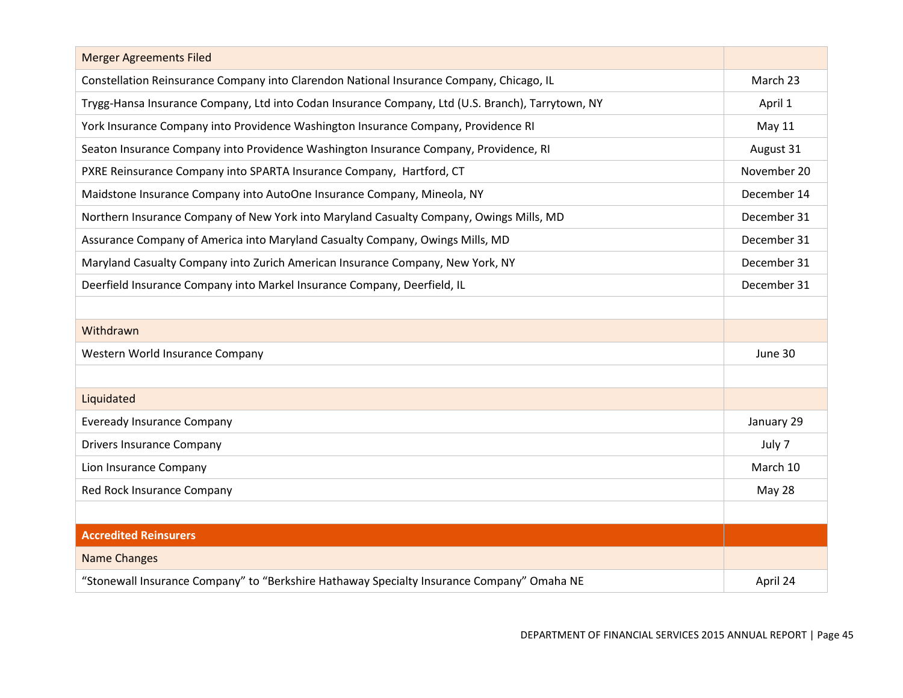| <b>Merger Agreements Filed</b>                                                                    |             |
|---------------------------------------------------------------------------------------------------|-------------|
| Constellation Reinsurance Company into Clarendon National Insurance Company, Chicago, IL          | March 23    |
| Trygg-Hansa Insurance Company, Ltd into Codan Insurance Company, Ltd (U.S. Branch), Tarrytown, NY | April 1     |
| York Insurance Company into Providence Washington Insurance Company, Providence RI                | May 11      |
| Seaton Insurance Company into Providence Washington Insurance Company, Providence, RI             | August 31   |
| PXRE Reinsurance Company into SPARTA Insurance Company, Hartford, CT                              | November 20 |
| Maidstone Insurance Company into AutoOne Insurance Company, Mineola, NY                           | December 14 |
| Northern Insurance Company of New York into Maryland Casualty Company, Owings Mills, MD           | December 31 |
| Assurance Company of America into Maryland Casualty Company, Owings Mills, MD                     | December 31 |
| Maryland Casualty Company into Zurich American Insurance Company, New York, NY                    | December 31 |
| Deerfield Insurance Company into Markel Insurance Company, Deerfield, IL                          | December 31 |
|                                                                                                   |             |
| Withdrawn                                                                                         |             |
| Western World Insurance Company                                                                   | June 30     |
|                                                                                                   |             |
| Liquidated                                                                                        |             |
| <b>Eveready Insurance Company</b>                                                                 | January 29  |
| <b>Drivers Insurance Company</b>                                                                  | July 7      |
| Lion Insurance Company                                                                            | March 10    |
| Red Rock Insurance Company                                                                        | May 28      |
|                                                                                                   |             |
| <b>Accredited Reinsurers</b>                                                                      |             |
| <b>Name Changes</b>                                                                               |             |
| "Stonewall Insurance Company" to "Berkshire Hathaway Specialty Insurance Company" Omaha NE        | April 24    |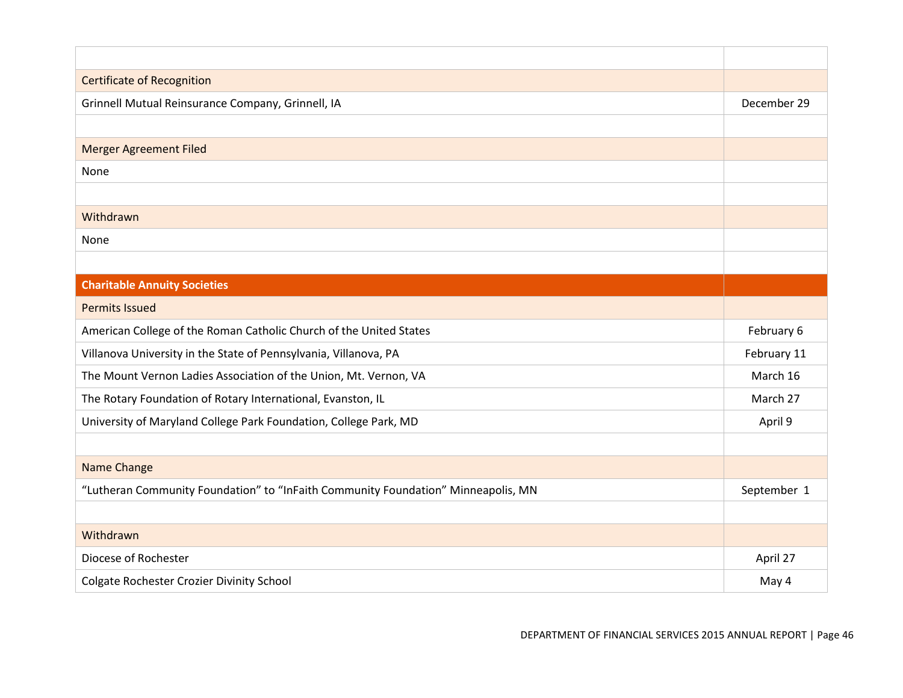| <b>Certificate of Recognition</b>                                                 |             |
|-----------------------------------------------------------------------------------|-------------|
| Grinnell Mutual Reinsurance Company, Grinnell, IA                                 | December 29 |
|                                                                                   |             |
| <b>Merger Agreement Filed</b>                                                     |             |
| None                                                                              |             |
|                                                                                   |             |
| Withdrawn                                                                         |             |
| None                                                                              |             |
|                                                                                   |             |
| <b>Charitable Annuity Societies</b>                                               |             |
| <b>Permits Issued</b>                                                             |             |
| American College of the Roman Catholic Church of the United States                | February 6  |
| Villanova University in the State of Pennsylvania, Villanova, PA                  | February 11 |
| The Mount Vernon Ladies Association of the Union, Mt. Vernon, VA                  | March 16    |
| The Rotary Foundation of Rotary International, Evanston, IL                       | March 27    |
| University of Maryland College Park Foundation, College Park, MD                  | April 9     |
|                                                                                   |             |
| Name Change                                                                       |             |
| "Lutheran Community Foundation" to "InFaith Community Foundation" Minneapolis, MN | September 1 |
|                                                                                   |             |
| Withdrawn                                                                         |             |
| Diocese of Rochester                                                              | April 27    |
| Colgate Rochester Crozier Divinity School                                         | May 4       |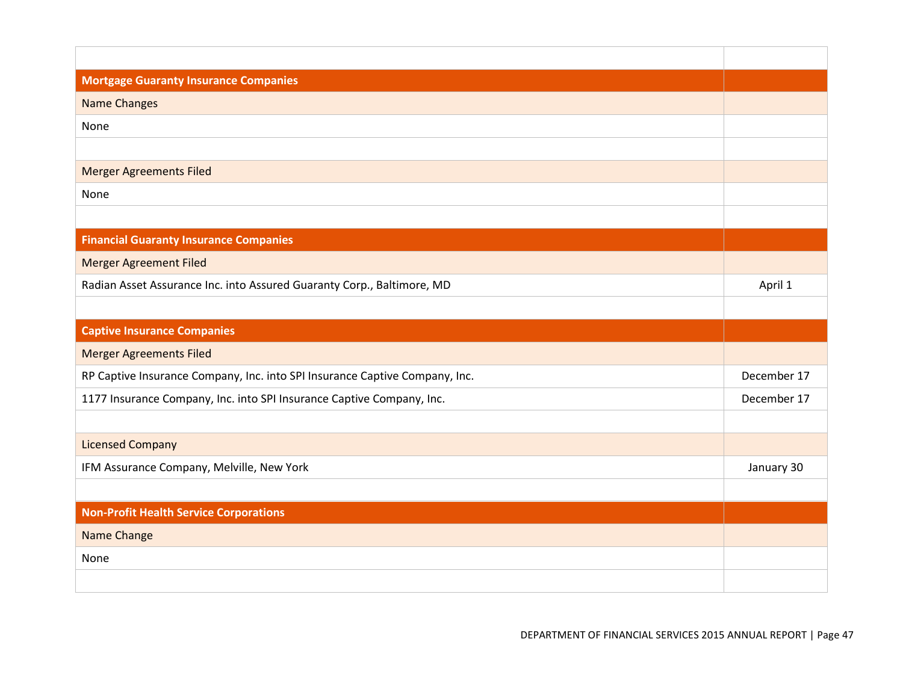| <b>Mortgage Guaranty Insurance Companies</b>                                |             |
|-----------------------------------------------------------------------------|-------------|
| <b>Name Changes</b>                                                         |             |
| None                                                                        |             |
|                                                                             |             |
| <b>Merger Agreements Filed</b>                                              |             |
| None                                                                        |             |
|                                                                             |             |
| <b>Financial Guaranty Insurance Companies</b>                               |             |
| <b>Merger Agreement Filed</b>                                               |             |
| Radian Asset Assurance Inc. into Assured Guaranty Corp., Baltimore, MD      | April 1     |
|                                                                             |             |
|                                                                             |             |
| <b>Captive Insurance Companies</b>                                          |             |
| <b>Merger Agreements Filed</b>                                              |             |
| RP Captive Insurance Company, Inc. into SPI Insurance Captive Company, Inc. | December 17 |
| 1177 Insurance Company, Inc. into SPI Insurance Captive Company, Inc.       | December 17 |
|                                                                             |             |
| <b>Licensed Company</b>                                                     |             |
| IFM Assurance Company, Melville, New York                                   | January 30  |
|                                                                             |             |
| <b>Non-Profit Health Service Corporations</b>                               |             |
| Name Change                                                                 |             |
| None                                                                        |             |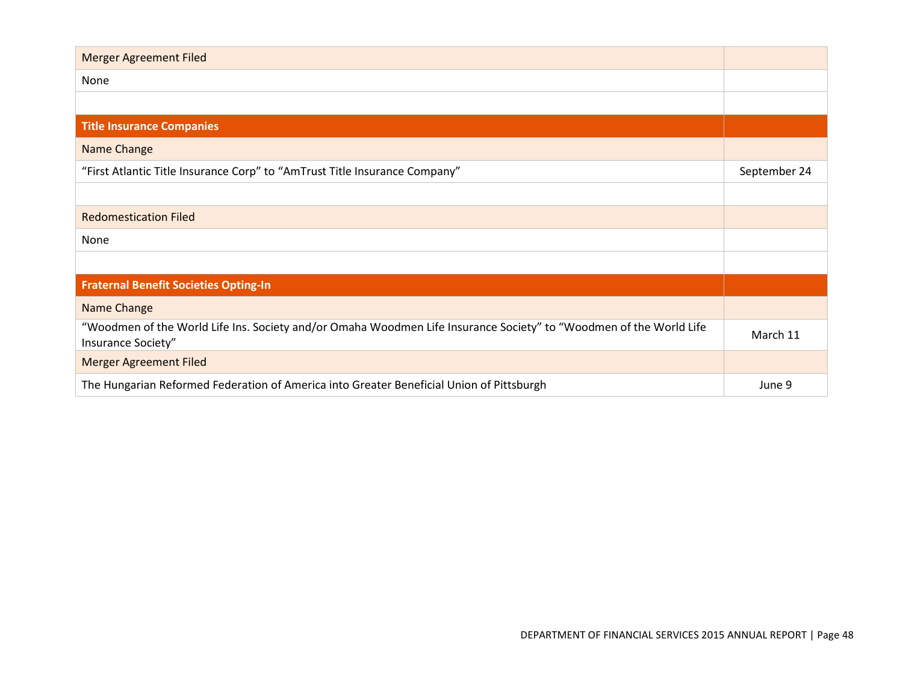| <b>Merger Agreement Filed</b>                                                                                                            |              |
|------------------------------------------------------------------------------------------------------------------------------------------|--------------|
| None                                                                                                                                     |              |
|                                                                                                                                          |              |
| <b>Title Insurance Companies</b>                                                                                                         |              |
| Name Change                                                                                                                              |              |
| "First Atlantic Title Insurance Corp" to "AmTrust Title Insurance Company"                                                               | September 24 |
|                                                                                                                                          |              |
| <b>Redomestication Filed</b>                                                                                                             |              |
| None                                                                                                                                     |              |
|                                                                                                                                          |              |
| <b>Fraternal Benefit Societies Opting-In</b>                                                                                             |              |
| Name Change                                                                                                                              |              |
| "Woodmen of the World Life Ins. Society and/or Omaha Woodmen Life Insurance Society" to "Woodmen of the World Life<br>Insurance Society" | March 11     |
| <b>Merger Agreement Filed</b>                                                                                                            |              |
| The Hungarian Reformed Federation of America into Greater Beneficial Union of Pittsburgh                                                 | June 9       |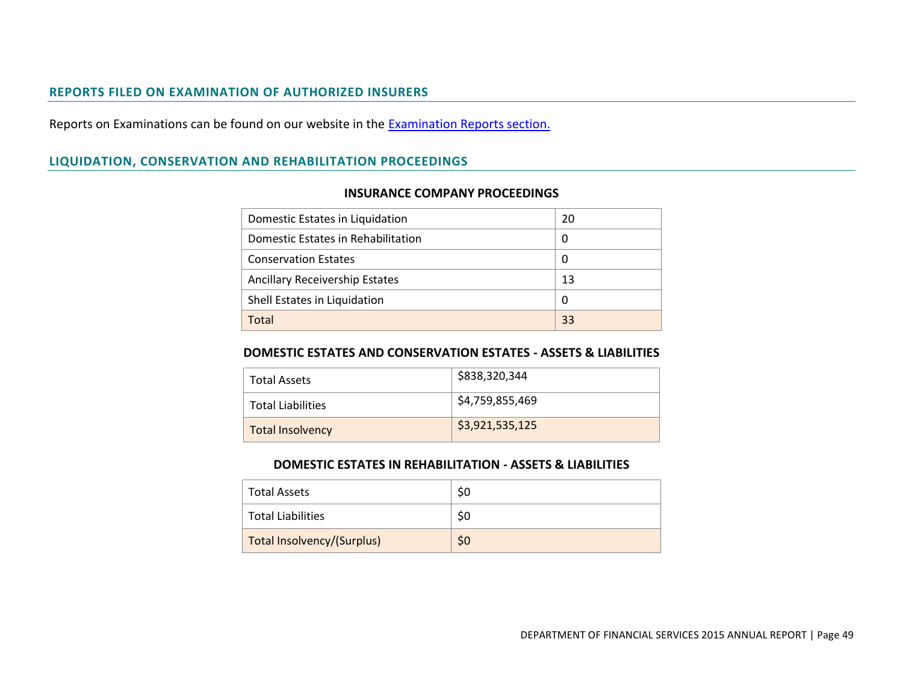### **REPORTS FILED ON EXAMINATION OF AUTHORIZED INSURERS**

Reports on Examinations can be found on our website in the **Examination Reports section**.

## **LIQUIDATION, CONSERVATION AND REHABILITATION PROCEEDINGS**

| Domestic Estates in Liquidation       | 20 |
|---------------------------------------|----|
| Domestic Estates in Rehabilitation    | 0  |
| <b>Conservation Estates</b>           | 0  |
| <b>Ancillary Receivership Estates</b> | 13 |
| Shell Estates in Liquidation          | 0  |
| Total                                 | 33 |

### **INSURANCE COMPANY PROCEEDINGS**

### **DOMESTIC ESTATES AND CONSERVATION ESTATES - ASSETS & LIABILITIES**

| <b>Total Assets</b>      | \$838,320,344   |
|--------------------------|-----------------|
| <b>Total Liabilities</b> | \$4,759,855,469 |
| <b>Total Insolvency</b>  | \$3,921,535,125 |

#### **DOMESTIC ESTATES IN REHABILITATION - ASSETS & LIABILITIES**

| <b>Total Assets</b>        |    |
|----------------------------|----|
| <b>Total Liabilities</b>   | S0 |
| Total Insolvency/(Surplus) | S0 |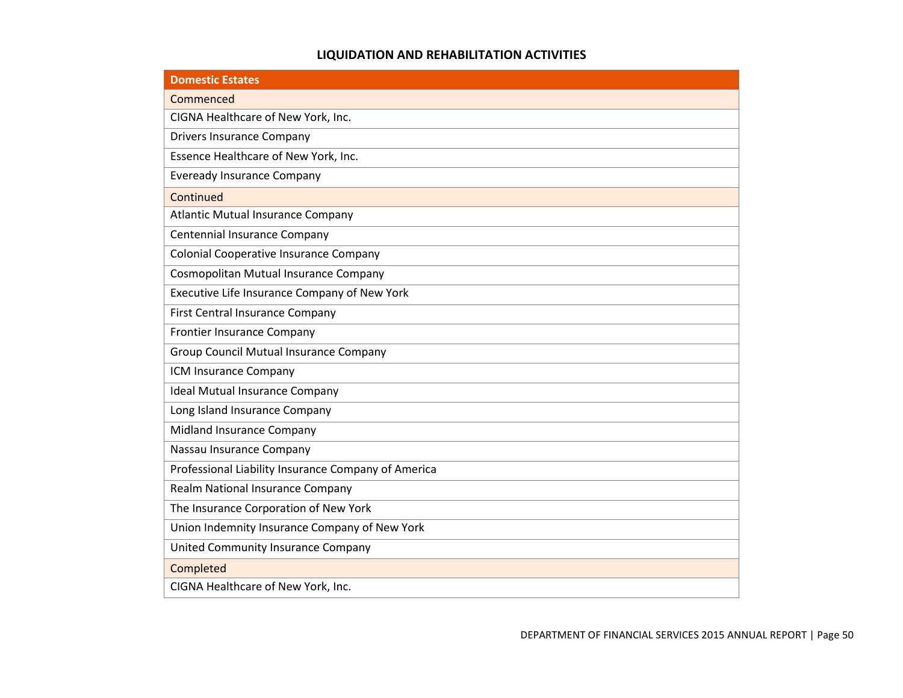## **LIQUIDATION AND REHABILITATION ACTIVITIES**

| <b>Domestic Estates</b>                             |
|-----------------------------------------------------|
| Commenced                                           |
| CIGNA Healthcare of New York, Inc.                  |
| <b>Drivers Insurance Company</b>                    |
| Essence Healthcare of New York, Inc.                |
| <b>Eveready Insurance Company</b>                   |
| Continued                                           |
| <b>Atlantic Mutual Insurance Company</b>            |
| Centennial Insurance Company                        |
| Colonial Cooperative Insurance Company              |
| Cosmopolitan Mutual Insurance Company               |
| Executive Life Insurance Company of New York        |
| <b>First Central Insurance Company</b>              |
| Frontier Insurance Company                          |
| <b>Group Council Mutual Insurance Company</b>       |
| ICM Insurance Company                               |
| <b>Ideal Mutual Insurance Company</b>               |
| Long Island Insurance Company                       |
| Midland Insurance Company                           |
| Nassau Insurance Company                            |
| Professional Liability Insurance Company of America |
| Realm National Insurance Company                    |
| The Insurance Corporation of New York               |
| Union Indemnity Insurance Company of New York       |
| <b>United Community Insurance Company</b>           |
| Completed                                           |
| CIGNA Healthcare of New York, Inc.                  |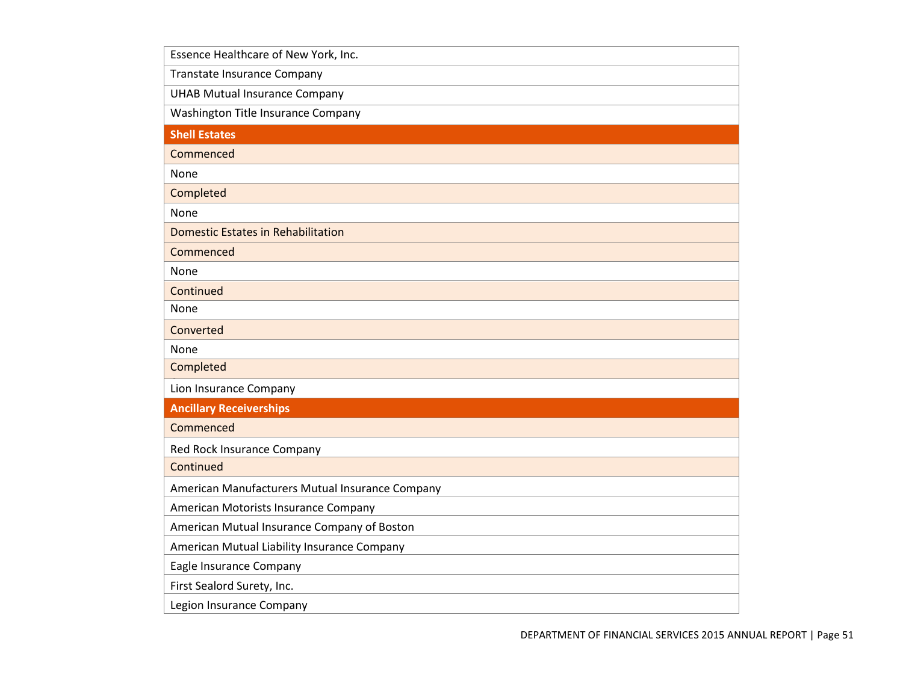| Essence Healthcare of New York, Inc.            |
|-------------------------------------------------|
| <b>Transtate Insurance Company</b>              |
| <b>UHAB Mutual Insurance Company</b>            |
| Washington Title Insurance Company              |
| <b>Shell Estates</b>                            |
| Commenced                                       |
| None                                            |
| Completed                                       |
| None                                            |
| <b>Domestic Estates in Rehabilitation</b>       |
| Commenced                                       |
| None                                            |
| Continued                                       |
| None                                            |
| Converted                                       |
| None                                            |
| Completed                                       |
| Lion Insurance Company                          |
| <b>Ancillary Receiverships</b>                  |
| Commenced                                       |
| Red Rock Insurance Company                      |
| Continued                                       |
| American Manufacturers Mutual Insurance Company |
| American Motorists Insurance Company            |
| American Mutual Insurance Company of Boston     |
| American Mutual Liability Insurance Company     |
| Eagle Insurance Company                         |
| First Sealord Surety, Inc.                      |
| Legion Insurance Company                        |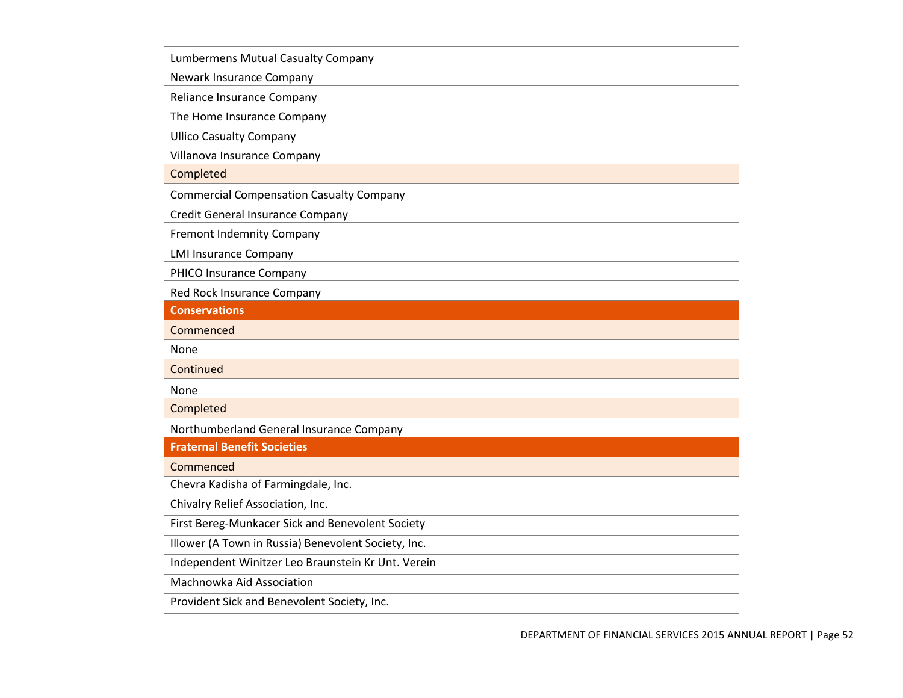| Lumbermens Mutual Casualty Company                  |
|-----------------------------------------------------|
| Newark Insurance Company                            |
| Reliance Insurance Company                          |
| The Home Insurance Company                          |
| <b>Ullico Casualty Company</b>                      |
| Villanova Insurance Company                         |
| Completed                                           |
| <b>Commercial Compensation Casualty Company</b>     |
| <b>Credit General Insurance Company</b>             |
| Fremont Indemnity Company                           |
| <b>LMI Insurance Company</b>                        |
| PHICO Insurance Company                             |
| Red Rock Insurance Company                          |
| <b>Conservations</b>                                |
| Commenced                                           |
| None                                                |
| Continued                                           |
| None                                                |
| Completed                                           |
| Northumberland General Insurance Company            |
| <b>Fraternal Benefit Societies</b>                  |
| Commenced                                           |
| Chevra Kadisha of Farmingdale, Inc.                 |
| Chivalry Relief Association, Inc.                   |
| First Bereg-Munkacer Sick and Benevolent Society    |
| Illower (A Town in Russia) Benevolent Society, Inc. |
| Independent Winitzer Leo Braunstein Kr Unt. Verein  |
| Machnowka Aid Association                           |
|                                                     |
| Provident Sick and Benevolent Society, Inc.         |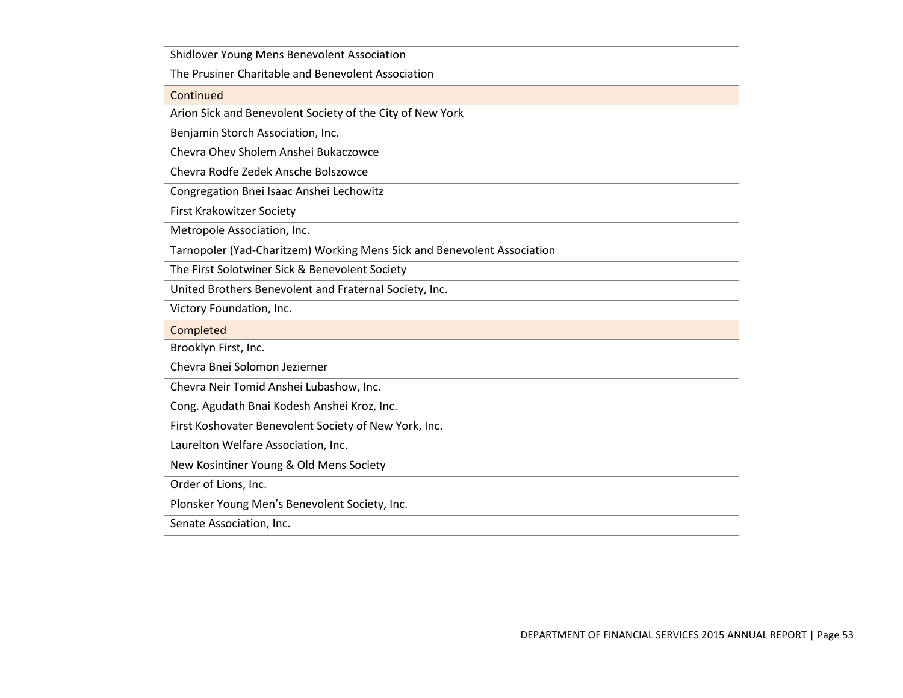| Shidlover Young Mens Benevolent Association                             |
|-------------------------------------------------------------------------|
| The Prusiner Charitable and Benevolent Association                      |
| Continued                                                               |
| Arion Sick and Benevolent Society of the City of New York               |
| Benjamin Storch Association, Inc.                                       |
| Chevra Ohev Sholem Anshei Bukaczowce                                    |
| Chevra Rodfe Zedek Ansche Bolszowce                                     |
| Congregation Bnei Isaac Anshei Lechowitz                                |
| <b>First Krakowitzer Society</b>                                        |
| Metropole Association, Inc.                                             |
| Tarnopoler (Yad-Charitzem) Working Mens Sick and Benevolent Association |
| The First Solotwiner Sick & Benevolent Society                          |
| United Brothers Benevolent and Fraternal Society, Inc.                  |
| Victory Foundation, Inc.                                                |
| Completed                                                               |
| Brooklyn First, Inc.                                                    |
| Chevra Bnei Solomon Jezierner                                           |
| Chevra Neir Tomid Anshei Lubashow, Inc.                                 |
| Cong. Agudath Bnai Kodesh Anshei Kroz, Inc.                             |
| First Koshovater Benevolent Society of New York, Inc.                   |
| Laurelton Welfare Association, Inc.                                     |
| New Kosintiner Young & Old Mens Society                                 |
| Order of Lions, Inc.                                                    |
| Plonsker Young Men's Benevolent Society, Inc.                           |
| Senate Association, Inc.                                                |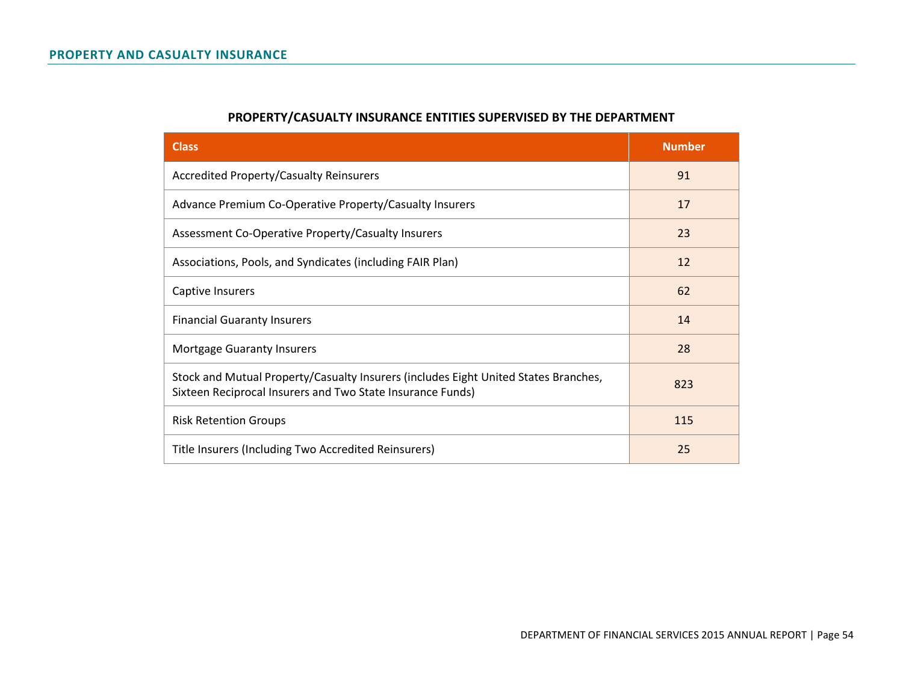| <b>Class</b>                                                                                                                                      | <b>Number</b> |
|---------------------------------------------------------------------------------------------------------------------------------------------------|---------------|
| <b>Accredited Property/Casualty Reinsurers</b>                                                                                                    | 91            |
| Advance Premium Co-Operative Property/Casualty Insurers                                                                                           | 17            |
| Assessment Co-Operative Property/Casualty Insurers                                                                                                | 23            |
| Associations, Pools, and Syndicates (including FAIR Plan)                                                                                         | 12            |
| <b>Captive Insurers</b>                                                                                                                           | 62            |
| <b>Financial Guaranty Insurers</b>                                                                                                                | 14            |
| <b>Mortgage Guaranty Insurers</b>                                                                                                                 | 28            |
| Stock and Mutual Property/Casualty Insurers (includes Eight United States Branches,<br>Sixteen Reciprocal Insurers and Two State Insurance Funds) | 823           |
| <b>Risk Retention Groups</b>                                                                                                                      | 115           |
| Title Insurers (Including Two Accredited Reinsurers)                                                                                              | 25            |

# **PROPERTY/CASUALTY INSURANCE ENTITIES SUPERVISED BY THE DEPARTMENT**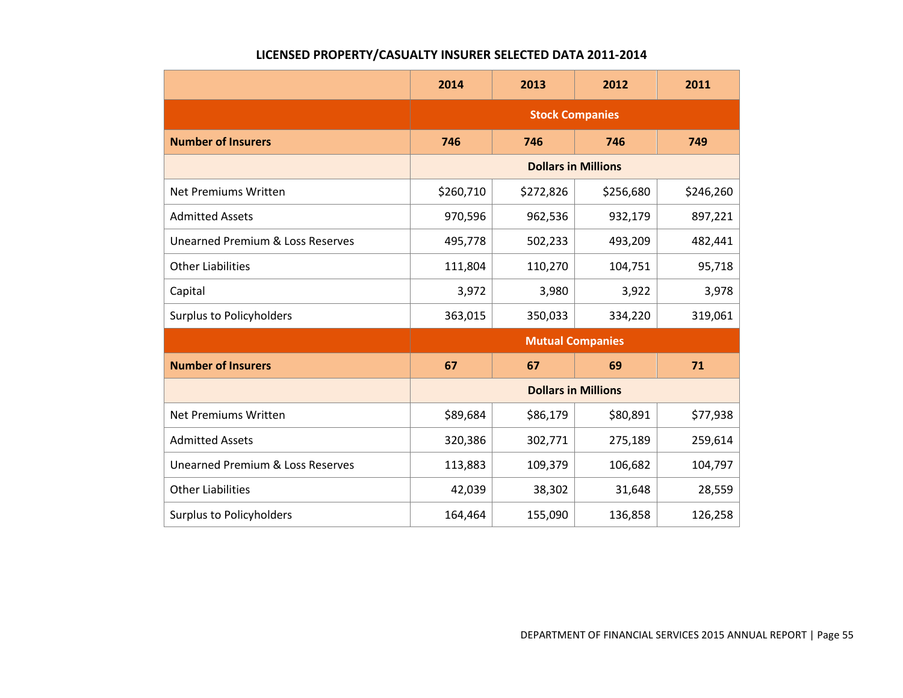## **LICENSED PROPERTY/CASUALTY INSURER SELECTED DATA 2011-2014**

|                                             | 2014                       | 2013      | 2012      | 2011      |
|---------------------------------------------|----------------------------|-----------|-----------|-----------|
|                                             | <b>Stock Companies</b>     |           |           |           |
| <b>Number of Insurers</b>                   | 746                        | 746       | 746       | 749       |
|                                             | <b>Dollars in Millions</b> |           |           |           |
| Net Premiums Written                        | \$260,710                  | \$272,826 | \$256,680 | \$246,260 |
| <b>Admitted Assets</b>                      | 970,596                    | 962,536   | 932,179   | 897,221   |
| Unearned Premium & Loss Reserves            | 495,778                    | 502,233   | 493,209   | 482,441   |
| <b>Other Liabilities</b>                    | 111,804                    | 110,270   | 104,751   | 95,718    |
| Capital                                     | 3,972                      | 3,980     | 3,922     | 3,978     |
| <b>Surplus to Policyholders</b>             | 363,015                    | 350,033   | 334,220   | 319,061   |
|                                             | <b>Mutual Companies</b>    |           |           |           |
| <b>Number of Insurers</b>                   | 67                         | 67        | 69        | 71        |
|                                             | <b>Dollars in Millions</b> |           |           |           |
| <b>Net Premiums Written</b>                 | \$89,684                   | \$86,179  | \$80,891  | \$77,938  |
| <b>Admitted Assets</b>                      | 320,386                    | 302,771   | 275,189   | 259,614   |
| <b>Unearned Premium &amp; Loss Reserves</b> | 113,883                    | 109,379   | 106,682   | 104,797   |
| <b>Other Liabilities</b>                    | 42,039                     | 38,302    | 31,648    | 28,559    |
| <b>Surplus to Policyholders</b>             | 164,464                    | 155,090   | 136,858   | 126,258   |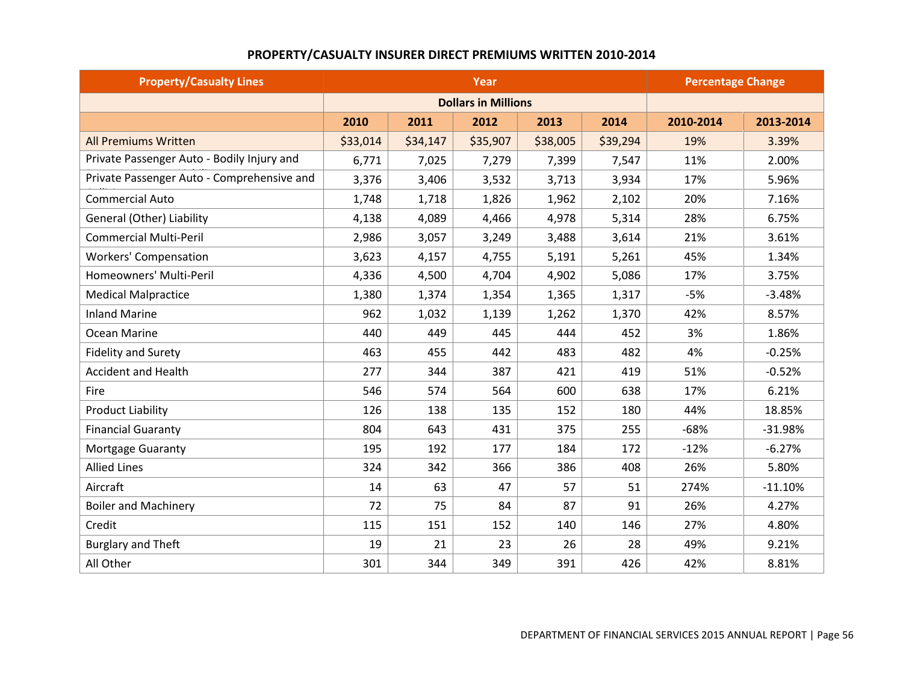# **PROPERTY/CASUALTY INSURER DIRECT PREMIUMS WRITTEN 2010-2014**

| <b>Property/Casualty Lines</b>             | Year     |          |                            |          | <b>Percentage Change</b> |           |           |
|--------------------------------------------|----------|----------|----------------------------|----------|--------------------------|-----------|-----------|
|                                            |          |          | <b>Dollars in Millions</b> |          |                          |           |           |
|                                            | 2010     | 2011     | 2012                       | 2013     | 2014                     | 2010-2014 | 2013-2014 |
| <b>All Premiums Written</b>                | \$33,014 | \$34,147 | \$35,907                   | \$38,005 | \$39,294                 | 19%       | 3.39%     |
| Private Passenger Auto - Bodily Injury and | 6,771    | 7,025    | 7,279                      | 7,399    | 7,547                    | 11%       | 2.00%     |
| Private Passenger Auto - Comprehensive and | 3,376    | 3,406    | 3,532                      | 3,713    | 3,934                    | 17%       | 5.96%     |
| <b>Commercial Auto</b>                     | 1,748    | 1,718    | 1,826                      | 1,962    | 2,102                    | 20%       | 7.16%     |
| General (Other) Liability                  | 4,138    | 4,089    | 4,466                      | 4,978    | 5,314                    | 28%       | 6.75%     |
| <b>Commercial Multi-Peril</b>              | 2,986    | 3,057    | 3,249                      | 3,488    | 3,614                    | 21%       | 3.61%     |
| <b>Workers' Compensation</b>               | 3,623    | 4,157    | 4,755                      | 5,191    | 5,261                    | 45%       | 1.34%     |
| Homeowners' Multi-Peril                    | 4,336    | 4,500    | 4,704                      | 4,902    | 5,086                    | 17%       | 3.75%     |
| <b>Medical Malpractice</b>                 | 1,380    | 1,374    | 1,354                      | 1,365    | 1,317                    | $-5%$     | $-3.48%$  |
| <b>Inland Marine</b>                       | 962      | 1,032    | 1,139                      | 1,262    | 1,370                    | 42%       | 8.57%     |
| Ocean Marine                               | 440      | 449      | 445                        | 444      | 452                      | 3%        | 1.86%     |
| <b>Fidelity and Surety</b>                 | 463      | 455      | 442                        | 483      | 482                      | 4%        | $-0.25%$  |
| <b>Accident and Health</b>                 | 277      | 344      | 387                        | 421      | 419                      | 51%       | $-0.52%$  |
| Fire                                       | 546      | 574      | 564                        | 600      | 638                      | 17%       | 6.21%     |
| <b>Product Liability</b>                   | 126      | 138      | 135                        | 152      | 180                      | 44%       | 18.85%    |
| <b>Financial Guaranty</b>                  | 804      | 643      | 431                        | 375      | 255                      | $-68%$    | $-31.98%$ |
| <b>Mortgage Guaranty</b>                   | 195      | 192      | 177                        | 184      | 172                      | $-12%$    | $-6.27%$  |
| <b>Allied Lines</b>                        | 324      | 342      | 366                        | 386      | 408                      | 26%       | 5.80%     |
| Aircraft                                   | 14       | 63       | 47                         | 57       | 51                       | 274%      | $-11.10%$ |
| <b>Boiler and Machinery</b>                | 72       | 75       | 84                         | 87       | 91                       | 26%       | 4.27%     |
| Credit                                     | 115      | 151      | 152                        | 140      | 146                      | 27%       | 4.80%     |
| <b>Burglary and Theft</b>                  | 19       | 21       | 23                         | 26       | 28                       | 49%       | 9.21%     |
| All Other                                  | 301      | 344      | 349                        | 391      | 426                      | 42%       | 8.81%     |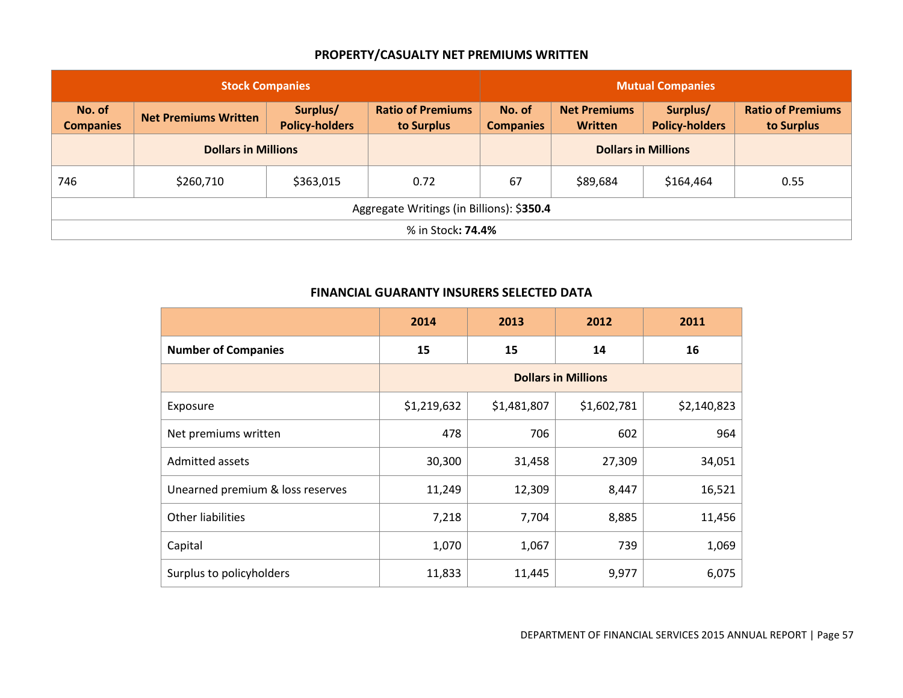## **PROPERTY/CASUALTY NET PREMIUMS WRITTEN**

| <b>Stock Companies</b>                    |                             |                                   | <b>Mutual Companies</b>                |                            |                                       |                                   |                                        |
|-------------------------------------------|-----------------------------|-----------------------------------|----------------------------------------|----------------------------|---------------------------------------|-----------------------------------|----------------------------------------|
| No. of<br><b>Companies</b>                | <b>Net Premiums Written</b> | Surplus/<br><b>Policy-holders</b> | <b>Ratio of Premiums</b><br>to Surplus | No. of<br><b>Companies</b> | <b>Net Premiums</b><br><b>Written</b> | Surplus/<br><b>Policy-holders</b> | <b>Ratio of Premiums</b><br>to Surplus |
|                                           | <b>Dollars in Millions</b>  |                                   |                                        |                            | <b>Dollars in Millions</b>            |                                   |                                        |
| 746                                       | \$260,710                   | \$363,015                         | 0.72                                   | 67                         | \$89,684                              | \$164,464                         | 0.55                                   |
| Aggregate Writings (in Billions): \$350.4 |                             |                                   |                                        |                            |                                       |                                   |                                        |
|                                           |                             |                                   | % in Stock <b>: 74.4%</b>              |                            |                                       |                                   |                                        |

|                                  | 2014                       | 2013        | 2012        | 2011        |  |
|----------------------------------|----------------------------|-------------|-------------|-------------|--|
| <b>Number of Companies</b>       | 15                         | 15          | 14          | 16          |  |
|                                  | <b>Dollars in Millions</b> |             |             |             |  |
| Exposure                         | \$1,219,632                | \$1,481,807 | \$1,602,781 | \$2,140,823 |  |
| Net premiums written             | 478                        | 706         | 602         | 964         |  |
| <b>Admitted assets</b>           | 30,300                     | 31,458      | 27,309      | 34,051      |  |
| Unearned premium & loss reserves | 11,249                     | 12,309      | 8,447       | 16,521      |  |
| <b>Other liabilities</b>         | 7,218                      | 7,704       | 8,885       | 11,456      |  |
| Capital                          | 1,070                      | 1,067       | 739         | 1,069       |  |
| Surplus to policyholders         | 11,833                     | 11,445      | 9,977       | 6,075       |  |

## **FINANCIAL GUARANTY INSURERS SELECTED DATA**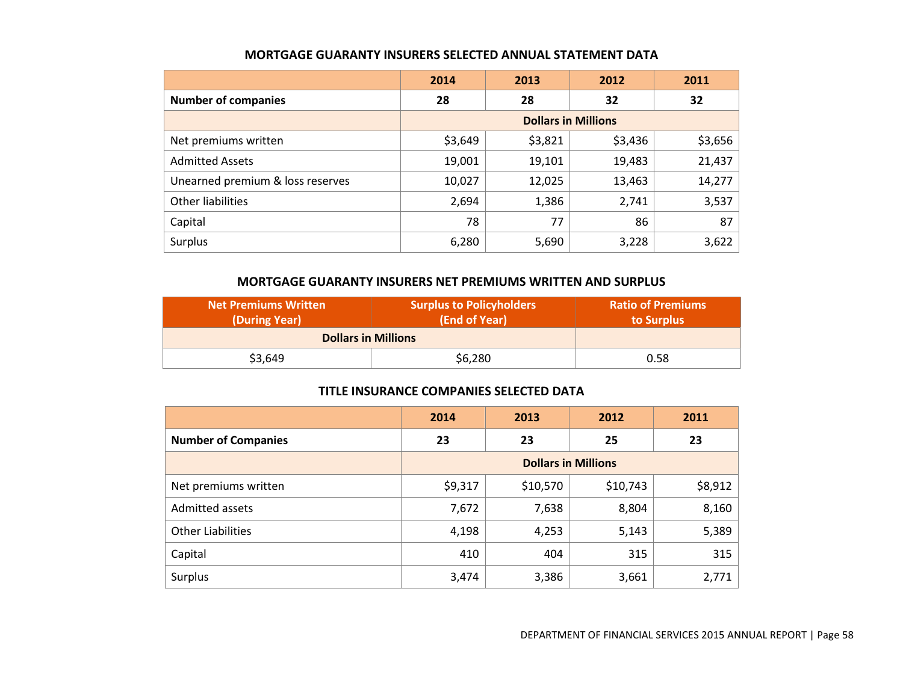|                                  | 2014                       | 2013    | 2012    | 2011    |  |
|----------------------------------|----------------------------|---------|---------|---------|--|
| <b>Number of companies</b>       | 28                         | 28      | 32      | 32      |  |
|                                  | <b>Dollars in Millions</b> |         |         |         |  |
| Net premiums written             | \$3,649                    | \$3,821 | \$3,436 | \$3,656 |  |
| <b>Admitted Assets</b>           | 19,001                     | 19,101  | 19,483  | 21,437  |  |
| Unearned premium & loss reserves | 10,027                     | 12,025  | 13,463  | 14,277  |  |
| Other liabilities                | 2,694                      | 1,386   | 2,741   | 3,537   |  |
| Capital                          | 78                         | 77      | 86      | 87      |  |
| Surplus                          | 6,280                      | 5,690   | 3,228   | 3,622   |  |

### **MORTGAGE GUARANTY INSURERS SELECTED ANNUAL STATEMENT DATA**

## **MORTGAGE GUARANTY INSURERS NET PREMIUMS WRITTEN AND SURPLUS**

| Net Premiums Written<br>(During Year) | <b>Surplus to Policyholders</b><br>(End of Year) | Ratio of Premiums<br>to Surplus |
|---------------------------------------|--------------------------------------------------|---------------------------------|
| <b>Dollars in Millions</b>            |                                                  |                                 |
| \$3,649                               | \$6,280                                          | 0.58                            |

### **TITLE INSURANCE COMPANIES SELECTED DATA**

|                            | 2014                       | 2013     | 2012     | 2011    |
|----------------------------|----------------------------|----------|----------|---------|
| <b>Number of Companies</b> | 23                         | 23       | 25       | 23      |
|                            | <b>Dollars in Millions</b> |          |          |         |
| Net premiums written       | \$9,317                    | \$10,570 | \$10,743 | \$8,912 |
| Admitted assets            | 7,672                      | 7,638    | 8,804    | 8,160   |
| <b>Other Liabilities</b>   | 4,198                      | 4,253    | 5,143    | 5,389   |
| Capital                    | 410                        | 404      | 315      | 315     |
| Surplus                    | 3,474                      | 3,386    | 3,661    | 2,771   |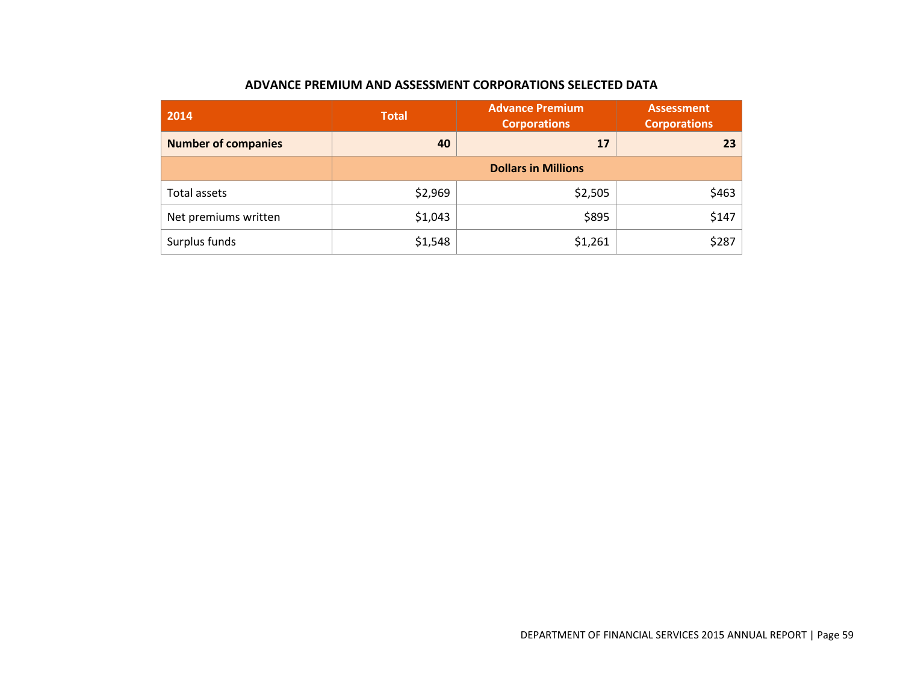## **ADVANCE PREMIUM AND ASSESSMENT CORPORATIONS SELECTED DATA**

| 2014                       | <b>Total</b> | <b>Advance Premium</b><br><b>Corporations</b> | <b>Assessment</b><br><b>Corporations</b> |
|----------------------------|--------------|-----------------------------------------------|------------------------------------------|
| <b>Number of companies</b> | 40           | 17                                            |                                          |
|                            |              | <b>Dollars in Millions</b>                    |                                          |
| Total assets               | \$2,969      | \$2,505                                       | \$463                                    |
| Net premiums written       | \$1,043      | \$895                                         | \$147                                    |
| Surplus funds              | \$1,548      | \$1,261                                       | \$287                                    |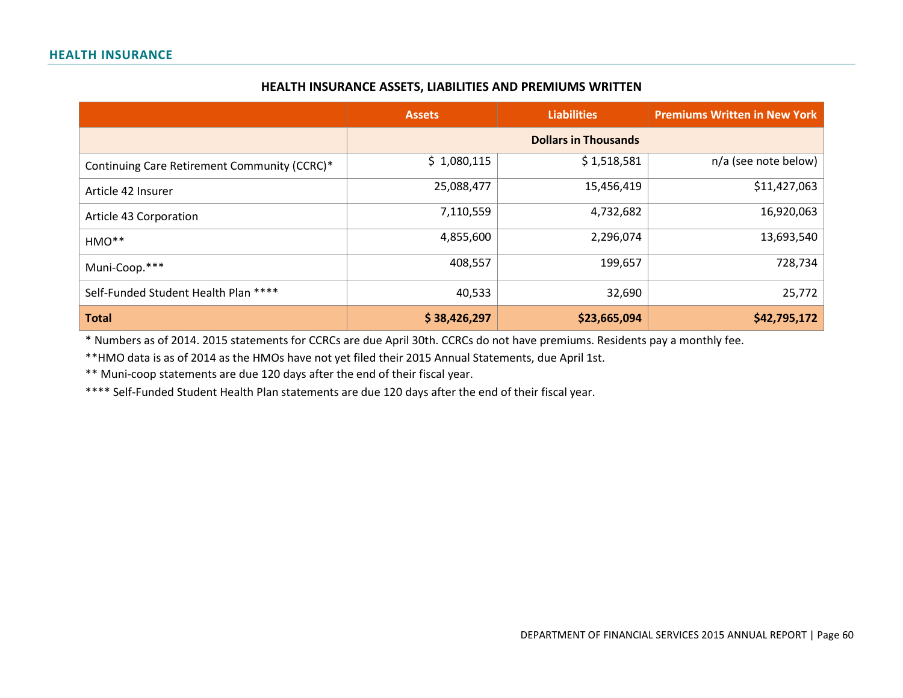#### **HEALTH INSURANCE ASSETS, LIABILITIES AND PREMIUMS WRITTEN**

|                                              | <b>Assets</b> | <b>Liabilities</b> | <b>Premiums Written in New York</b> |
|----------------------------------------------|---------------|--------------------|-------------------------------------|
|                                              |               |                    |                                     |
| Continuing Care Retirement Community (CCRC)* | \$1,080,115   | \$1,518,581        | n/a (see note below)                |
| Article 42 Insurer                           | 25,088,477    | 15,456,419         | \$11,427,063                        |
| Article 43 Corporation                       | 7,110,559     | 4,732,682          | 16,920,063                          |
| HMO**                                        | 4,855,600     | 2,296,074          | 13,693,540                          |
| Muni-Coop.***                                | 408,557       | 199,657            | 728,734                             |
| Self-Funded Student Health Plan ****         | 40,533        | 32,690             | 25,772                              |
| <b>Total</b>                                 | \$38,426,297  | \$23,665,094       | \$42,795,172                        |

\* Numbers as of 2014. 2015 statements for CCRCs are due April 30th. CCRCs do not have premiums. Residents pay a monthly fee.

\*\*HMO data is as of 2014 as the HMOs have not yet filed their 2015 Annual Statements, due April 1st.

\*\* Muni-coop statements are due 120 days after the end of their fiscal year.

\*\*\*\* Self-Funded Student Health Plan statements are due 120 days after the end of their fiscal year.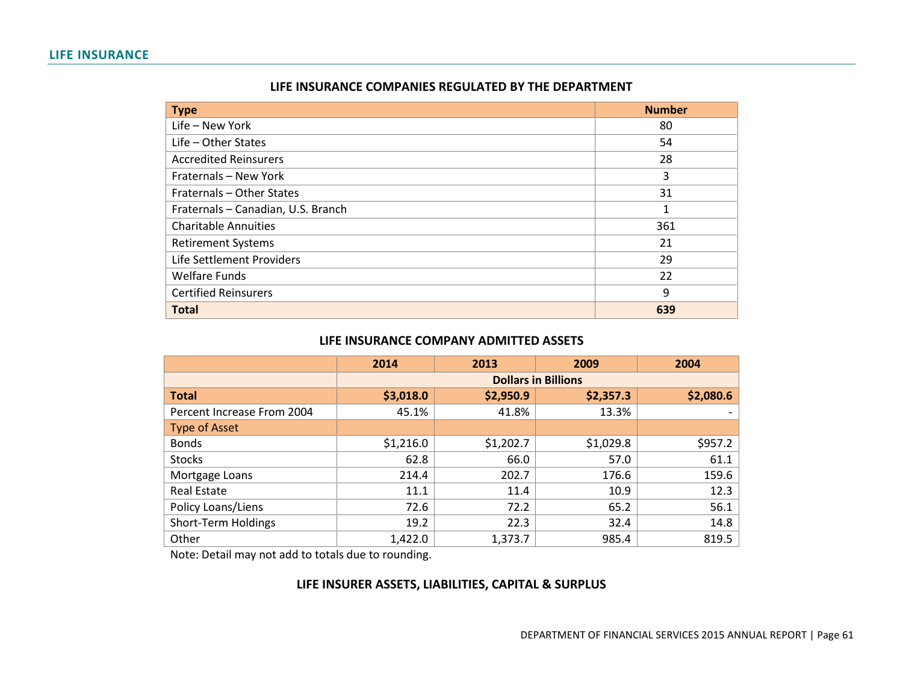#### **LIFE INSURANCE**

| LIFE INSURANCE COMPANIES REGULATED BY THE DEPARTMENT |
|------------------------------------------------------|
|------------------------------------------------------|

| <b>Type</b>                        | <b>Number</b> |
|------------------------------------|---------------|
| Life - New York                    | 80            |
| $Life - Other States$              | 54            |
| <b>Accredited Reinsurers</b>       | 28            |
| Fraternals - New York              | 3             |
| Fraternals - Other States          | 31            |
| Fraternals - Canadian, U.S. Branch | 1             |
| <b>Charitable Annuities</b>        | 361           |
| <b>Retirement Systems</b>          | 21            |
| Life Settlement Providers          | 29            |
| <b>Welfare Funds</b>               | 22            |
| <b>Certified Reinsurers</b>        | 9             |
| <b>Total</b>                       | 639           |

### **LIFE INSURANCE COMPANY ADMITTED ASSETS**

|                            | 2014      | 2013                       | 2009      | 2004      |  |  |  |
|----------------------------|-----------|----------------------------|-----------|-----------|--|--|--|
|                            |           | <b>Dollars in Billions</b> |           |           |  |  |  |
| <b>Total</b>               | \$3,018.0 | \$2,950.9                  | \$2,357.3 | \$2,080.6 |  |  |  |
| Percent Increase From 2004 | 45.1%     | 41.8%                      | 13.3%     |           |  |  |  |
| <b>Type of Asset</b>       |           |                            |           |           |  |  |  |
| <b>Bonds</b>               | \$1,216.0 | \$1,202.7                  | \$1,029.8 | \$957.2   |  |  |  |
| <b>Stocks</b>              | 62.8      | 66.0                       | 57.0      | 61.1      |  |  |  |
| Mortgage Loans             | 214.4     | 202.7                      | 176.6     | 159.6     |  |  |  |
| Real Estate                | 11.1      | 11.4                       | 10.9      | 12.3      |  |  |  |
| Policy Loans/Liens         | 72.6      | 72.2                       | 65.2      | 56.1      |  |  |  |
| Short-Term Holdings        | 19.2      | 22.3                       | 32.4      | 14.8      |  |  |  |
| Other                      | 1,422.0   | 1,373.7                    | 985.4     | 819.5     |  |  |  |

Note: Detail may not add to totals due to rounding.

## **LIFE INSURER ASSETS, LIABILITIES, CAPITAL & SURPLUS**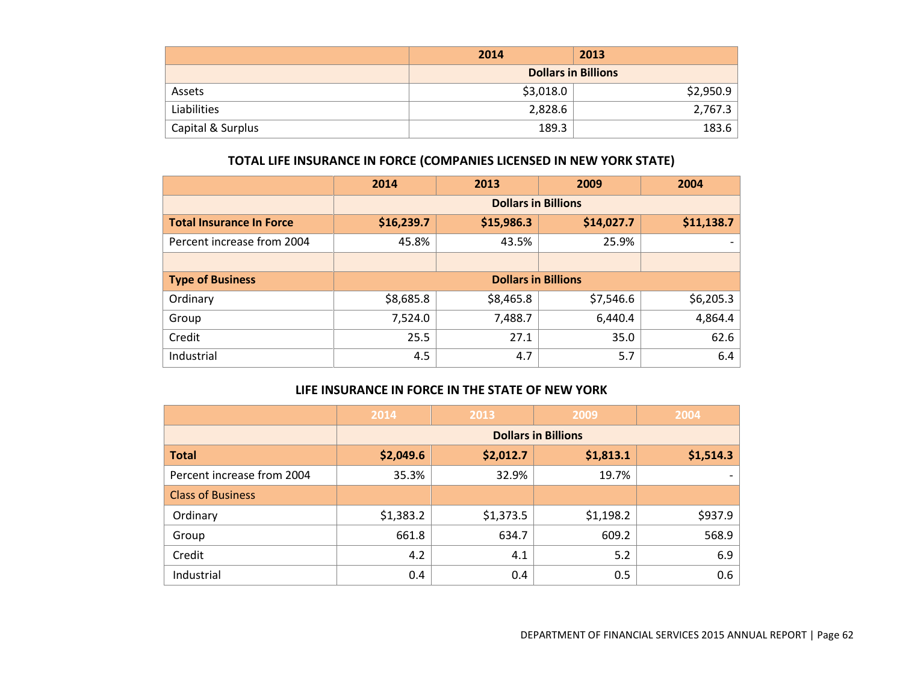|                   | 2014      | 2013                       |
|-------------------|-----------|----------------------------|
|                   |           | <b>Dollars in Billions</b> |
| Assets            | \$3,018.0 | \$2,950.9                  |
| Liabilities       | 2,828.6   | 2,767.3                    |
| Capital & Surplus | 189.3     | 183.6                      |

## **TOTAL LIFE INSURANCE IN FORCE (COMPANIES LICENSED IN NEW YORK STATE)**

|                                 | 2014                       | 2013                       | 2009       | 2004       |  |
|---------------------------------|----------------------------|----------------------------|------------|------------|--|
|                                 | <b>Dollars in Billions</b> |                            |            |            |  |
| <b>Total Insurance In Force</b> | \$16,239.7                 | \$15,986.3                 | \$14,027.7 | \$11,138.7 |  |
| Percent increase from 2004      | 45.8%                      | 43.5%                      | 25.9%      |            |  |
|                                 |                            |                            |            |            |  |
| <b>Type of Business</b>         |                            | <b>Dollars in Billions</b> |            |            |  |
| Ordinary                        | \$8,685.8                  | \$8,465.8                  | \$7,546.6  | \$6,205.3  |  |
| Group                           | 7,524.0                    | 7,488.7                    | 6,440.4    | 4,864.4    |  |
| Credit                          | 25.5                       | 27.1                       | 35.0       | 62.6       |  |
| Industrial                      | 4.5                        | 4.7                        | 5.7        | 6.4        |  |

## **LIFE INSURANCE IN FORCE IN THE STATE OF NEW YORK**

|                            | 2014      | 2013                       | 2009      | 2004      |  |  |  |
|----------------------------|-----------|----------------------------|-----------|-----------|--|--|--|
|                            |           | <b>Dollars in Billions</b> |           |           |  |  |  |
| <b>Total</b>               | \$2,049.6 | \$2,012.7                  | \$1,813.1 | \$1,514.3 |  |  |  |
| Percent increase from 2004 | 35.3%     | 32.9%                      | 19.7%     |           |  |  |  |
| <b>Class of Business</b>   |           |                            |           |           |  |  |  |
| Ordinary                   | \$1,383.2 | \$1,373.5                  | \$1,198.2 | \$937.9   |  |  |  |
| Group                      | 661.8     | 634.7                      | 609.2     | 568.9     |  |  |  |
| Credit                     | 4.2       | 4.1                        | 5.2       | 6.9       |  |  |  |
| Industrial                 | 0.4       | 0.4                        | 0.5       | 0.6       |  |  |  |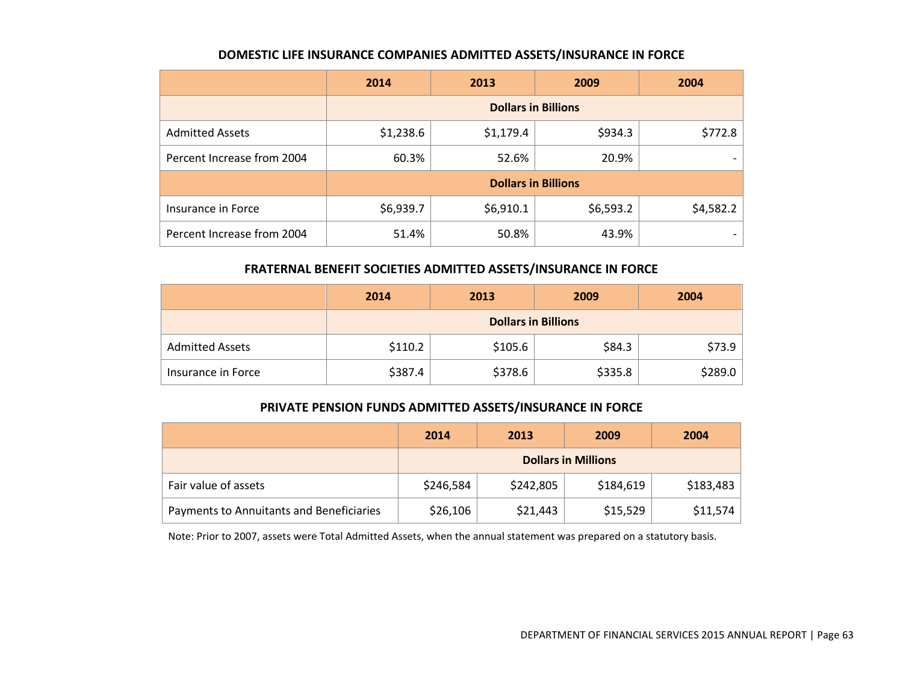#### **DOMESTIC LIFE INSURANCE COMPANIES ADMITTED ASSETS/INSURANCE IN FORCE**

|                            | 2014                       | 2013      | 2009      | 2004      |  |  |
|----------------------------|----------------------------|-----------|-----------|-----------|--|--|
|                            | <b>Dollars in Billions</b> |           |           |           |  |  |
| <b>Admitted Assets</b>     | \$1,238.6                  | \$1,179.4 | \$934.3   | \$772.8   |  |  |
| Percent Increase from 2004 | 60.3%                      | 52.6%     | 20.9%     |           |  |  |
|                            | <b>Dollars in Billions</b> |           |           |           |  |  |
| Insurance in Force         | \$6,939.7                  | \$6,910.1 | \$6,593.2 | \$4,582.2 |  |  |
| Percent Increase from 2004 | 51.4%                      | 50.8%     | 43.9%     |           |  |  |

## **FRATERNAL BENEFIT SOCIETIES ADMITTED ASSETS/INSURANCE IN FORCE**

|                        | 2014                       | 2013    | 2009    | 2004    |  |
|------------------------|----------------------------|---------|---------|---------|--|
|                        | <b>Dollars in Billions</b> |         |         |         |  |
| <b>Admitted Assets</b> | \$110.2                    | \$105.6 | \$84.3  | \$73.9  |  |
| Insurance in Force     | \$387.4                    | \$378.6 | \$335.8 | \$289.0 |  |

### **PRIVATE PENSION FUNDS ADMITTED ASSETS/INSURANCE IN FORCE**

|                                          | 2014                       | 2013      | 2009      | 2004      |
|------------------------------------------|----------------------------|-----------|-----------|-----------|
|                                          | <b>Dollars in Millions</b> |           |           |           |
| Fair value of assets                     | \$246,584                  | \$242,805 | \$184,619 | \$183,483 |
| Payments to Annuitants and Beneficiaries | \$26,106                   | \$21,443  | \$15,529  | \$11,574  |

Note: Prior to 2007, assets were Total Admitted Assets, when the annual statement was prepared on a statutory basis.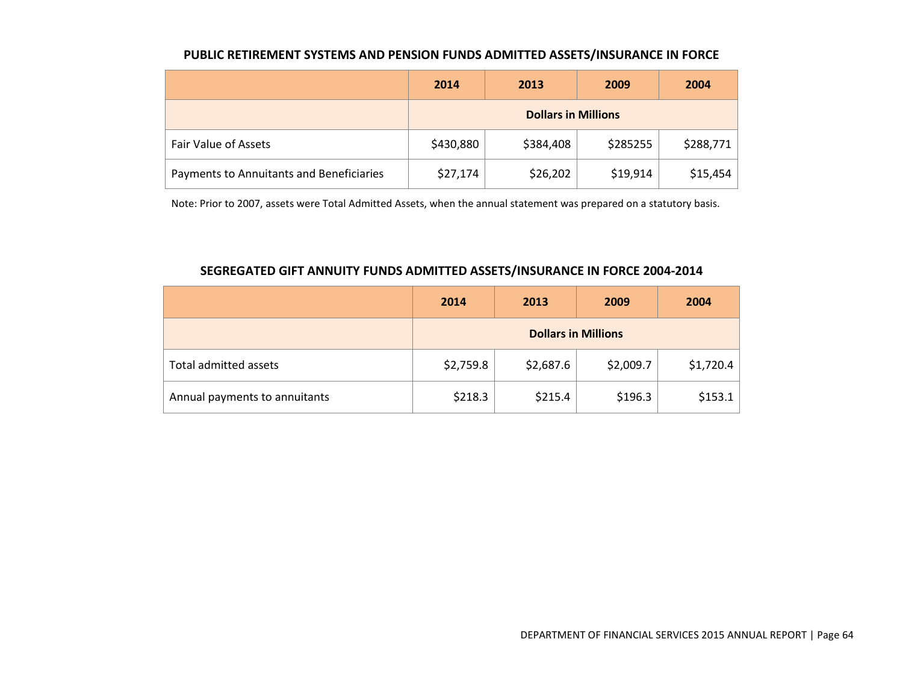### **PUBLIC RETIREMENT SYSTEMS AND PENSION FUNDS ADMITTED ASSETS/INSURANCE IN FORCE**

|                                          | 2014                       | 2013      | 2009     | 2004      |
|------------------------------------------|----------------------------|-----------|----------|-----------|
|                                          | <b>Dollars in Millions</b> |           |          |           |
| Fair Value of Assets                     | \$430,880                  | \$384,408 | \$285255 | \$288,771 |
| Payments to Annuitants and Beneficiaries | \$27,174                   | \$26,202  | \$19,914 | \$15,454  |

Note: Prior to 2007, assets were Total Admitted Assets, when the annual statement was prepared on a statutory basis.

### **SEGREGATED GIFT ANNUITY FUNDS ADMITTED ASSETS/INSURANCE IN FORCE 2004-2014**

|                               | 2014                       | 2013      | 2009      | 2004      |
|-------------------------------|----------------------------|-----------|-----------|-----------|
|                               | <b>Dollars in Millions</b> |           |           |           |
| Total admitted assets         | \$2,759.8                  | \$2,687.6 | \$2,009.7 | \$1,720.4 |
| Annual payments to annuitants | \$218.3                    | \$215.4   | \$196.3   | \$153.1   |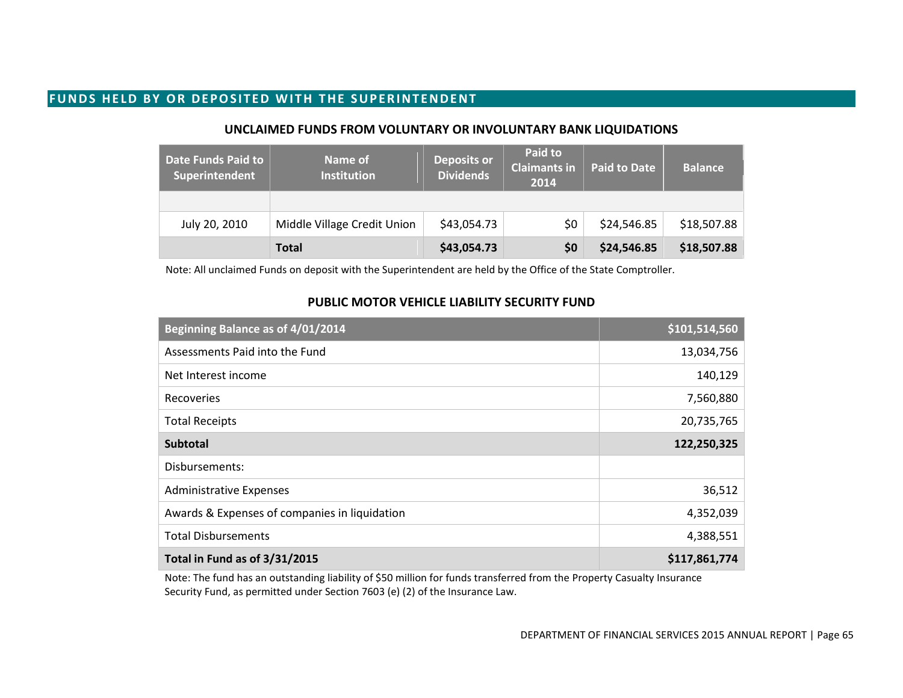## **FUNDS HELD BY OR DEPOSITED WITH THE SUPERINTENDENT**

#### **UNCLAIMED FUNDS FROM VOLUNTARY OR INVOLUNTARY BANK LIQUIDATIONS**

| <b>Date Funds Paid to</b><br>Superintendent | Name of<br><b>Institution</b> | <b>Deposits or</b><br><b>Dividends</b> | Paid to<br><b>Claimants in</b><br>2014 | <b>Paid to Date</b> | <b>Balance</b> |
|---------------------------------------------|-------------------------------|----------------------------------------|----------------------------------------|---------------------|----------------|
|                                             |                               |                                        |                                        |                     |                |
| July 20, 2010                               | Middle Village Credit Union   | \$43,054.73                            | \$0                                    | \$24,546.85         | \$18,507.88    |
|                                             | <b>Total</b>                  | \$43,054.73                            | \$0                                    | \$24,546.85         | \$18,507.88    |

Note: All unclaimed Funds on deposit with the Superintendent are held by the Office of the State Comptroller.

### **PUBLIC MOTOR VEHICLE LIABILITY SECURITY FUND**

| Beginning Balance as of 4/01/2014             | \$101,514,560 |
|-----------------------------------------------|---------------|
| Assessments Paid into the Fund                | 13,034,756    |
| Net Interest income                           | 140,129       |
| Recoveries                                    | 7,560,880     |
| <b>Total Receipts</b>                         | 20,735,765    |
| <b>Subtotal</b>                               | 122,250,325   |
| Disbursements:                                |               |
| <b>Administrative Expenses</b>                | 36,512        |
| Awards & Expenses of companies in liquidation | 4,352,039     |
| <b>Total Disbursements</b>                    | 4,388,551     |
| Total in Fund as of 3/31/2015                 | \$117,861,774 |

Note: The fund has an outstanding liability of \$50 million for funds transferred from the Property Casualty Insurance Security Fund, as permitted under Section 7603 (e) (2) of the Insurance Law.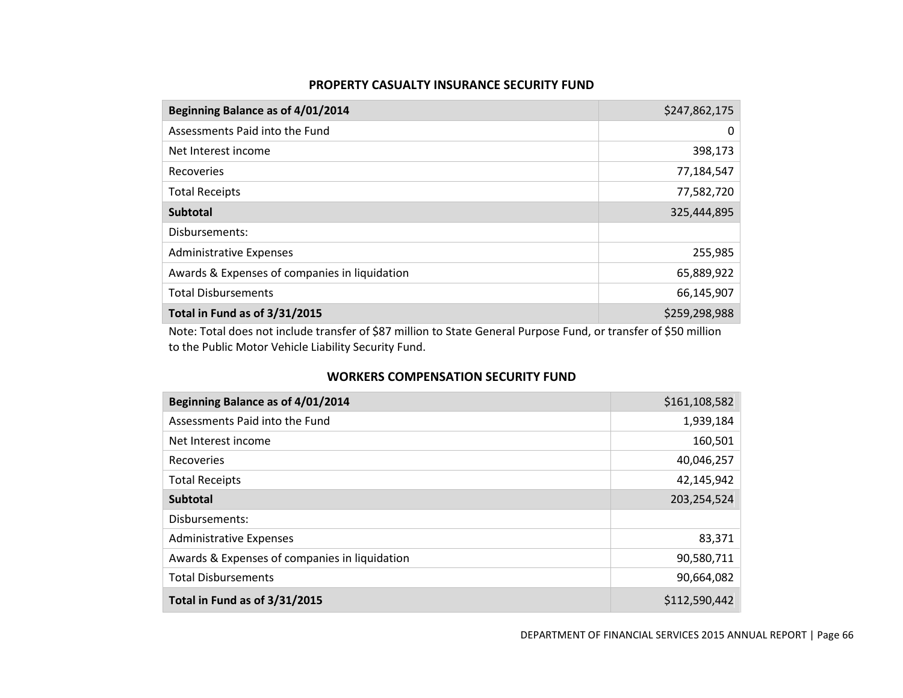#### **PROPERTY CASUALTY INSURANCE SECURITY FUND**

| Beginning Balance as of 4/01/2014             | \$247,862,175 |
|-----------------------------------------------|---------------|
| Assessments Paid into the Fund                | 0             |
| Net Interest income                           | 398,173       |
| Recoveries                                    | 77,184,547    |
| <b>Total Receipts</b>                         | 77,582,720    |
| <b>Subtotal</b>                               | 325,444,895   |
| Disbursements:                                |               |
| <b>Administrative Expenses</b>                | 255,985       |
| Awards & Expenses of companies in liquidation | 65,889,922    |
| <b>Total Disbursements</b>                    | 66,145,907    |
| Total in Fund as of 3/31/2015                 | \$259,298,988 |

Note: Total does not include transfer of \$87 million to State General Purpose Fund, or transfer of \$50 million to the Public Motor Vehicle Liability Security Fund.

## **WORKERS COMPENSATION SECURITY FUND**

| Beginning Balance as of 4/01/2014             | \$161,108,582 |
|-----------------------------------------------|---------------|
| Assessments Paid into the Fund                | 1,939,184     |
| Net Interest income                           | 160,501       |
| Recoveries                                    | 40,046,257    |
| <b>Total Receipts</b>                         | 42,145,942    |
| <b>Subtotal</b>                               | 203,254,524   |
| Disbursements:                                |               |
| <b>Administrative Expenses</b>                | 83,371        |
| Awards & Expenses of companies in liquidation | 90,580,711    |
| <b>Total Disbursements</b>                    | 90,664,082    |
| Total in Fund as of 3/31/2015                 | \$112,590,442 |

DEPARTMENT OF FINANCIAL SERVICES 2015 ANNUAL REPORT | Page 66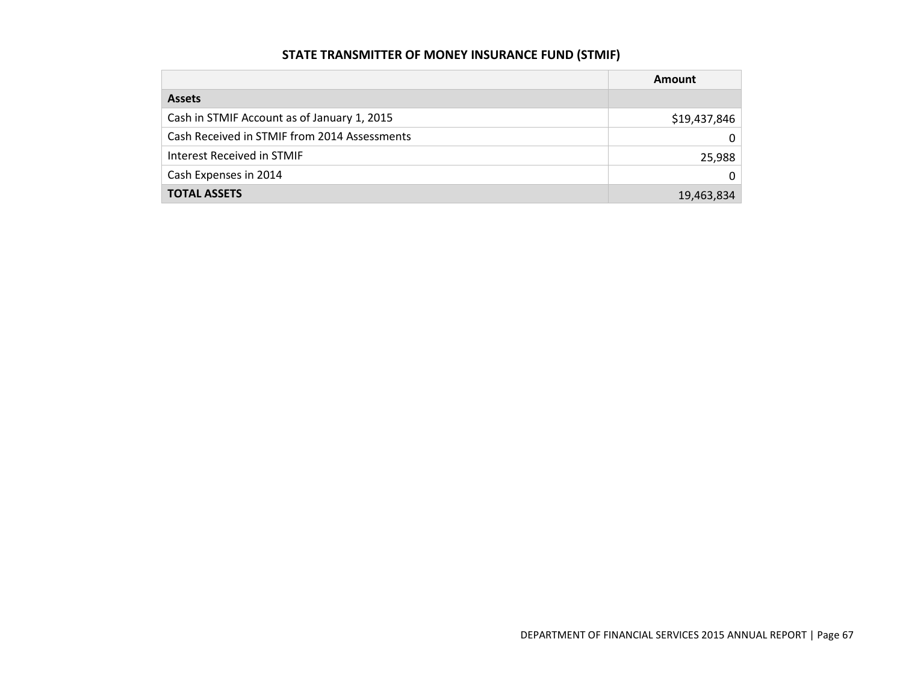# **STATE TRANSMITTER OF MONEY INSURANCE FUND (STMIF)**

|                                              | Amount       |
|----------------------------------------------|--------------|
| <b>Assets</b>                                |              |
| Cash in STMIF Account as of January 1, 2015  | \$19,437,846 |
| Cash Received in STMIF from 2014 Assessments | 0            |
| Interest Received in STMIF                   | 25,988       |
| Cash Expenses in 2014                        | 0            |
| <b>TOTAL ASSETS</b>                          | 19,463,834   |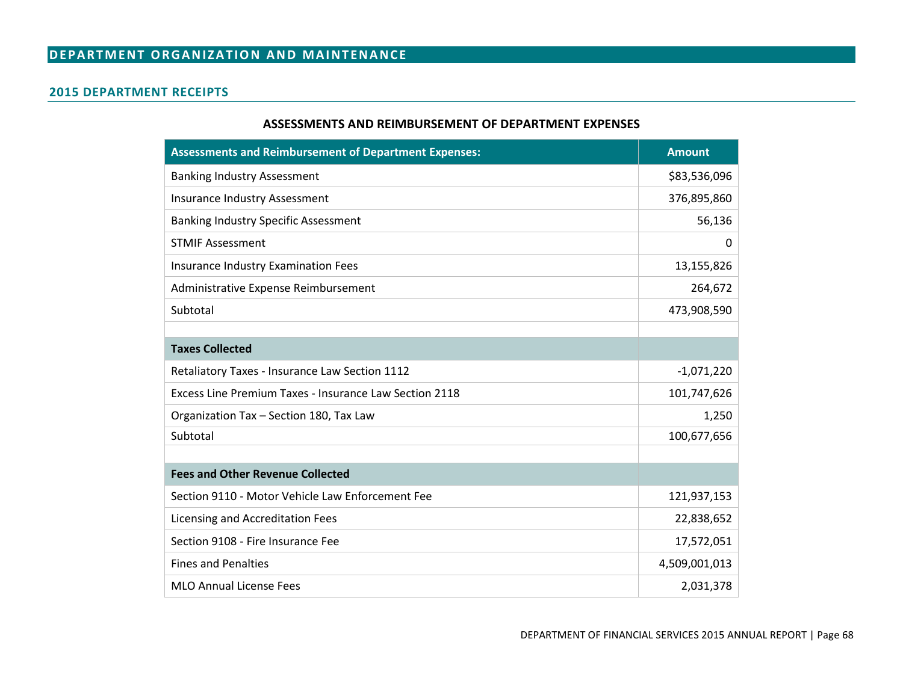### **2015 DEPARTMENT RECEIPTS**

#### **ASSESSMENTS AND REIMBURSEMENT OF DEPARTMENT EXPENSES**

| <b>Assessments and Reimbursement of Department Expenses:</b> | <b>Amount</b> |
|--------------------------------------------------------------|---------------|
| <b>Banking Industry Assessment</b>                           | \$83,536,096  |
| Insurance Industry Assessment                                | 376,895,860   |
| <b>Banking Industry Specific Assessment</b>                  | 56,136        |
| <b>STMIF Assessment</b>                                      | 0             |
| Insurance Industry Examination Fees                          | 13,155,826    |
| Administrative Expense Reimbursement                         | 264,672       |
| Subtotal                                                     | 473,908,590   |
|                                                              |               |
| <b>Taxes Collected</b>                                       |               |
| Retaliatory Taxes - Insurance Law Section 1112               | $-1,071,220$  |
| Excess Line Premium Taxes - Insurance Law Section 2118       | 101,747,626   |
| Organization Tax - Section 180, Tax Law                      | 1,250         |
| Subtotal                                                     | 100,677,656   |
|                                                              |               |
| <b>Fees and Other Revenue Collected</b>                      |               |
| Section 9110 - Motor Vehicle Law Enforcement Fee             | 121,937,153   |
| Licensing and Accreditation Fees                             | 22,838,652    |
| Section 9108 - Fire Insurance Fee                            | 17,572,051    |
| <b>Fines and Penalties</b>                                   | 4,509,001,013 |
| <b>MLO Annual License Fees</b>                               | 2,031,378     |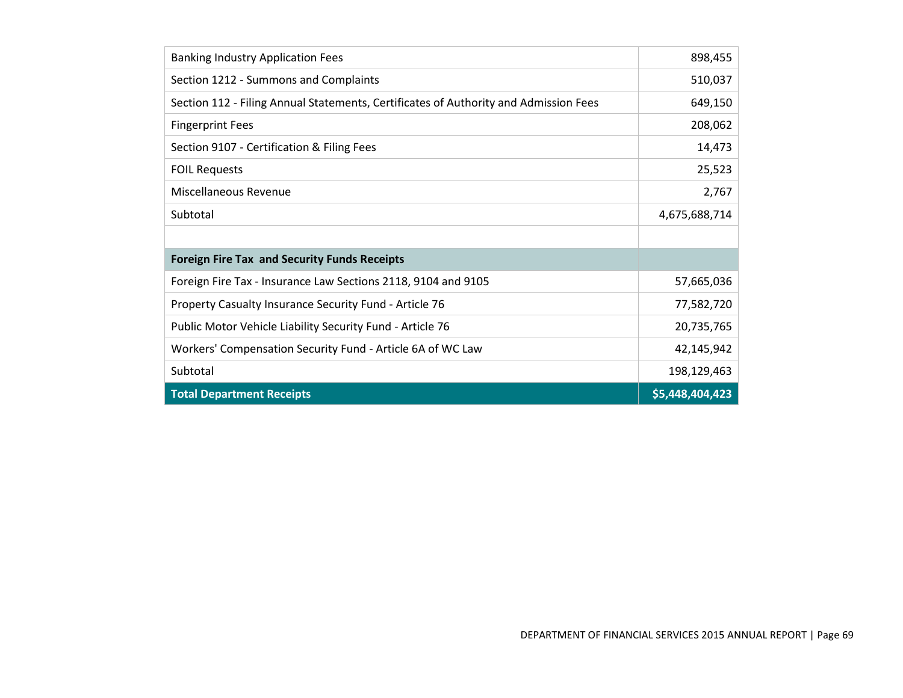| <b>Banking Industry Application Fees</b>                                             | 898,455         |
|--------------------------------------------------------------------------------------|-----------------|
| Section 1212 - Summons and Complaints                                                | 510,037         |
| Section 112 - Filing Annual Statements, Certificates of Authority and Admission Fees | 649,150         |
| <b>Fingerprint Fees</b>                                                              | 208,062         |
| Section 9107 - Certification & Filing Fees                                           | 14,473          |
| <b>FOIL Requests</b>                                                                 | 25,523          |
| Miscellaneous Revenue                                                                | 2,767           |
| Subtotal                                                                             | 4,675,688,714   |
|                                                                                      |                 |
| <b>Foreign Fire Tax and Security Funds Receipts</b>                                  |                 |
| Foreign Fire Tax - Insurance Law Sections 2118, 9104 and 9105                        | 57,665,036      |
| Property Casualty Insurance Security Fund - Article 76                               | 77,582,720      |
| Public Motor Vehicle Liability Security Fund - Article 76                            | 20,735,765      |
| Workers' Compensation Security Fund - Article 6A of WC Law                           | 42,145,942      |
| Subtotal                                                                             | 198,129,463     |
| <b>Total Department Receipts</b>                                                     | \$5,448,404,423 |